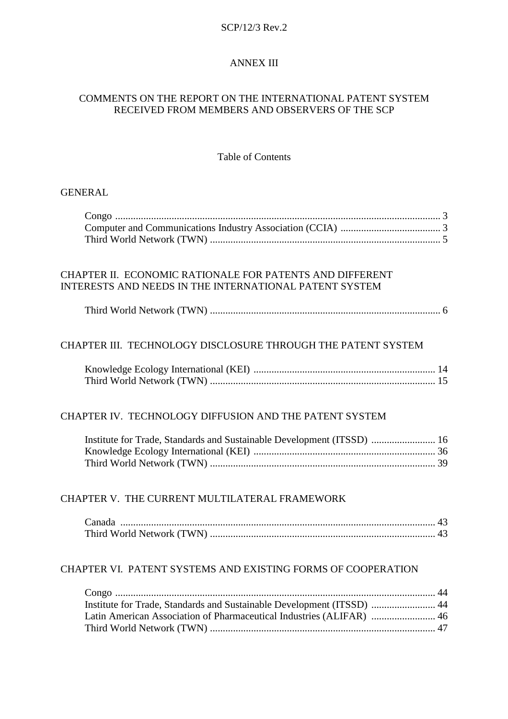#### SCP/12/3 Rev.2

#### ANNEX III

#### COMMENTS ON THE REPORT ON THE INTERNATIONAL PATENT SYSTEM RECEIVED FROM MEMBERS AND OBSERVERS OF THE SCP

Table of Contents

| <b>GENERAL</b> |
|----------------|
|----------------|

### CHAPTER II. ECONOMIC RATIONALE FOR PATENTS AND DIFFERENT INTERESTS AND NEEDS IN THE INTERNATIONAL PATENT SYSTEM

|--|--|

### CHAPTER III. TECHNOLOGY DISCLOSURE THROUGH THE PATENT SYSTEM

#### CHAPTER IV. TECHNOLOGY DIFFUSION AND THE PATENT SYSTEM

| Institute for Trade, Standards and Sustainable Development (ITSSD)  16 |  |
|------------------------------------------------------------------------|--|
|                                                                        |  |
|                                                                        |  |

#### CHAPTER V. THE CURRENT MULTILATERAL FRAMEWORK

| Canada |  |
|--------|--|
|        |  |

#### CHAPTER VI. PATENT SYSTEMS AND EXISTING FORMS OF COOPERATION

| Institute for Trade, Standards and Sustainable Development (ITSSD)  44 |  |
|------------------------------------------------------------------------|--|
| Latin American Association of Pharmaceutical Industries (ALIFAR)  46   |  |
|                                                                        |  |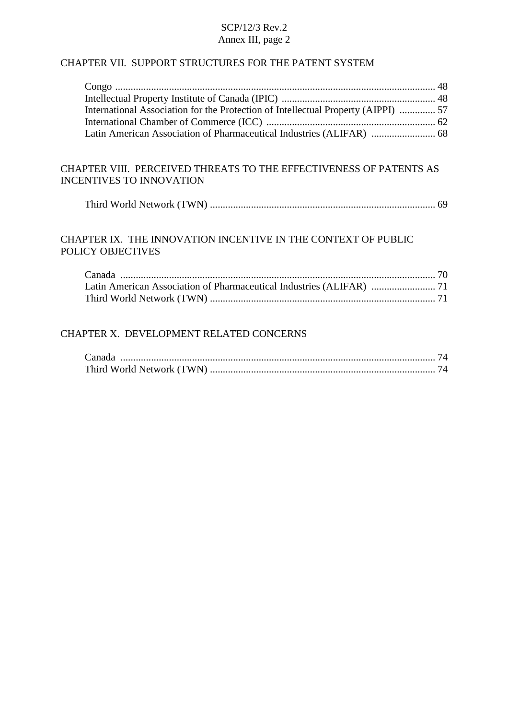#### CHAPTER VII. SUPPORT STRUCTURES FOR THE PATENT SYSTEM

| International Association for the Protection of Intellectual Property (AIPPI)  57 |  |
|-----------------------------------------------------------------------------------|--|
|                                                                                   |  |
|                                                                                   |  |

## CHAPTER VIII. PERCEIVED THREATS TO THE EFFECTIVENESS OF PATENTS AS INCENTIVES TO INNOVATION

|--|--|

# CHAPTER IX. THE INNOVATION INCENTIVE IN THE CONTEXT OF PUBLIC POLICY OBJECTIVES

## CHAPTER X. DEVELOPMENT RELATED CONCERNS

| Canada |  |
|--------|--|
|        |  |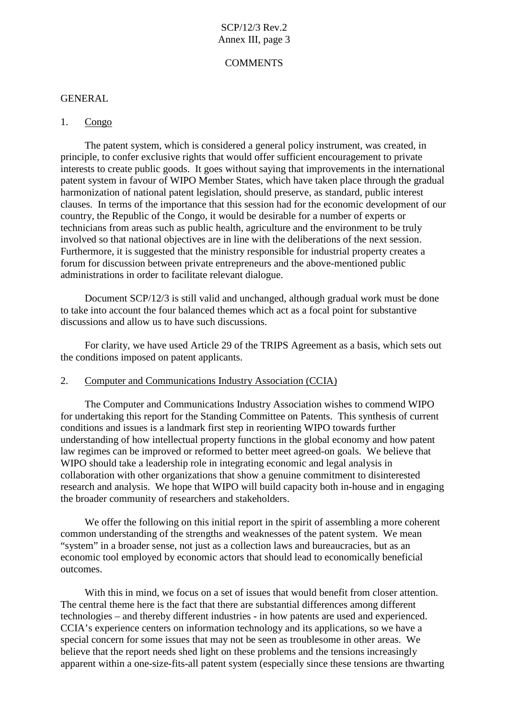#### **COMMENTS**

#### **GENERAL**

#### 1. Congo

The patent system, which is considered a general policy instrument, was created, in principle, to confer exclusive rights that would offer sufficient encouragement to private interests to create public goods. It goes without saying that improvements in the international patent system in favour of WIPO Member States, which have taken place through the gradual harmonization of national patent legislation, should preserve, as standard, public interest clauses. In terms of the importance that this session had for the economic development of our country, the Republic of the Congo, it would be desirable for a number of experts or technicians from areas such as public health, agriculture and the environment to be truly involved so that national objectives are in line with the deliberations of the next session. Furthermore, it is suggested that the ministry responsible for industrial property creates a forum for discussion between private entrepreneurs and the above-mentioned public administrations in order to facilitate relevant dialogue.

Document SCP/12/3 is still valid and unchanged, although gradual work must be done to take into account the four balanced themes which act as a focal point for substantive discussions and allow us to have such discussions.

For clarity, we have used Article 29 of the TRIPS Agreement as a basis, which sets out the conditions imposed on patent applicants.

#### 2. Computer and Communications Industry Association (CCIA)

The Computer and Communications Industry Association wishes to commend WIPO for undertaking this report for the Standing Committee on Patents. This synthesis of current conditions and issues is a landmark first step in reorienting WIPO towards further understanding of how intellectual property functions in the global economy and how patent law regimes can be improved or reformed to better meet agreed-on goals. We believe that WIPO should take a leadership role in integrating economic and legal analysis in collaboration with other organizations that show a genuine commitment to disinterested research and analysis. We hope that WIPO will build capacity both in-house and in engaging the broader community of researchers and stakeholders.

We offer the following on this initial report in the spirit of assembling a more coherent common understanding of the strengths and weaknesses of the patent system. We mean "system" in a broader sense, not just as a collection laws and bureaucracies, but as an economic tool employed by economic actors that should lead to economically beneficial outcomes.

With this in mind, we focus on a set of issues that would benefit from closer attention. The central theme here is the fact that there are substantial differences among different technologies – and thereby different industries - in how patents are used and experienced. CCIA's experience centers on information technology and its applications, so we have a special concern for some issues that may not be seen as troublesome in other areas. We believe that the report needs shed light on these problems and the tensions increasingly apparent within a one-size-fits-all patent system (especially since these tensions are thwarting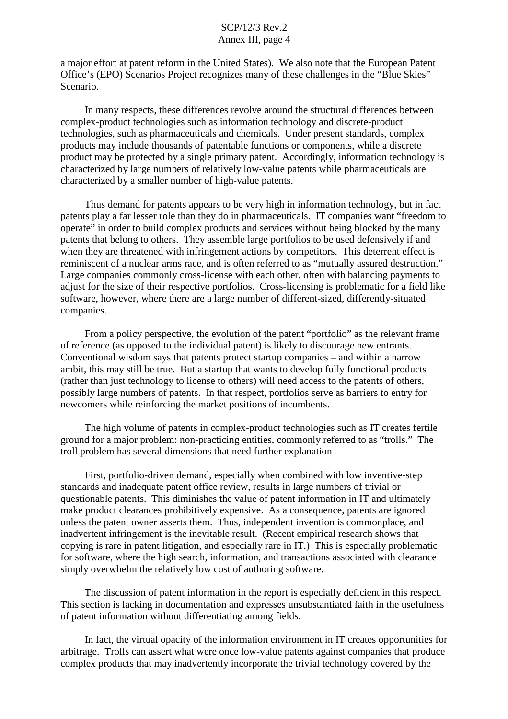a major effort at patent reform in the United States). We also note that the European Patent Office's (EPO) Scenarios Project recognizes many of these challenges in the "Blue Skies" Scenario.

In many respects, these differences revolve around the structural differences between complex-product technologies such as information technology and discrete-product technologies, such as pharmaceuticals and chemicals. Under present standards, complex products may include thousands of patentable functions or components, while a discrete product may be protected by a single primary patent. Accordingly, information technology is characterized by large numbers of relatively low-value patents while pharmaceuticals are characterized by a smaller number of high-value patents.

Thus demand for patents appears to be very high in information technology, but in fact patents play a far lesser role than they do in pharmaceuticals. IT companies want "freedom to operate" in order to build complex products and services without being blocked by the many patents that belong to others. They assemble large portfolios to be used defensively if and when they are threatened with infringement actions by competitors. This deterrent effect is reminiscent of a nuclear arms race, and is often referred to as "mutually assured destruction." Large companies commonly cross-license with each other, often with balancing payments to adjust for the size of their respective portfolios. Cross-licensing is problematic for a field like software, however, where there are a large number of different-sized, differently-situated companies.

From a policy perspective, the evolution of the patent "portfolio" as the relevant frame of reference (as opposed to the individual patent) is likely to discourage new entrants. Conventional wisdom says that patents protect startup companies – and within a narrow ambit, this may still be true. But a startup that wants to develop fully functional products (rather than just technology to license to others) will need access to the patents of others, possibly large numbers of patents. In that respect, portfolios serve as barriers to entry for newcomers while reinforcing the market positions of incumbents.

The high volume of patents in complex-product technologies such as IT creates fertile ground for a major problem: non-practicing entities, commonly referred to as "trolls." The troll problem has several dimensions that need further explanation

First, portfolio-driven demand, especially when combined with low inventive-step standards and inadequate patent office review, results in large numbers of trivial or questionable patents. This diminishes the value of patent information in IT and ultimately make product clearances prohibitively expensive. As a consequence, patents are ignored unless the patent owner asserts them. Thus, independent invention is commonplace, and inadvertent infringement is the inevitable result. (Recent empirical research shows that copying is rare in patent litigation, and especially rare in IT.) This is especially problematic for software, where the high search, information, and transactions associated with clearance simply overwhelm the relatively low cost of authoring software.

The discussion of patent information in the report is especially deficient in this respect. This section is lacking in documentation and expresses unsubstantiated faith in the usefulness of patent information without differentiating among fields.

In fact, the virtual opacity of the information environment in IT creates opportunities for arbitrage. Trolls can assert what were once low-value patents against companies that produce complex products that may inadvertently incorporate the trivial technology covered by the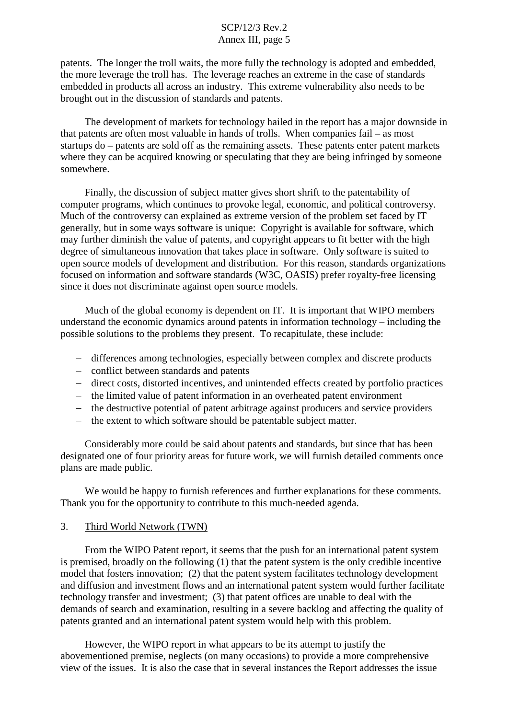patents. The longer the troll waits, the more fully the technology is adopted and embedded, the more leverage the troll has. The leverage reaches an extreme in the case of standards embedded in products all across an industry. This extreme vulnerability also needs to be brought out in the discussion of standards and patents.

The development of markets for technology hailed in the report has a major downside in that patents are often most valuable in hands of trolls. When companies fail – as most startups do – patents are sold off as the remaining assets. These patents enter patent markets where they can be acquired knowing or speculating that they are being infringed by someone somewhere.

Finally, the discussion of subject matter gives short shrift to the patentability of computer programs, which continues to provoke legal, economic, and political controversy. Much of the controversy can explained as extreme version of the problem set faced by IT generally, but in some ways software is unique: Copyright is available for software, which may further diminish the value of patents, and copyright appears to fit better with the high degree of simultaneous innovation that takes place in software. Only software is suited to open source models of development and distribution. For this reason, standards organizations focused on information and software standards (W3C, OASIS) prefer royalty-free licensing since it does not discriminate against open source models.

Much of the global economy is dependent on IT. It is important that WIPO members understand the economic dynamics around patents in information technology – including the possible solutions to the problems they present. To recapitulate, these include:

- differences among technologies, especially between complex and discrete products
- conflict between standards and patents
- direct costs, distorted incentives, and unintended effects created by portfolio practices
- the limited value of patent information in an overheated patent environment
- the destructive potential of patent arbitrage against producers and service providers
- $\theta$  the extent to which software should be patentable subject matter.

Considerably more could be said about patents and standards, but since that has been designated one of four priority areas for future work, we will furnish detailed comments once plans are made public.

We would be happy to furnish references and further explanations for these comments. Thank you for the opportunity to contribute to this much-needed agenda.

#### 3. Third World Network (TWN)

From the WIPO Patent report, it seems that the push for an international patent system is premised, broadly on the following (1) that the patent system is the only credible incentive model that fosters innovation; (2) that the patent system facilitates technology development and diffusion and investment flows and an international patent system would further facilitate technology transfer and investment; (3) that patent offices are unable to deal with the demands of search and examination, resulting in a severe backlog and affecting the quality of patents granted and an international patent system would help with this problem.

However, the WIPO report in what appears to be its attempt to justify the abovementioned premise, neglects (on many occasions) to provide a more comprehensive view of the issues. It is also the case that in several instances the Report addresses the issue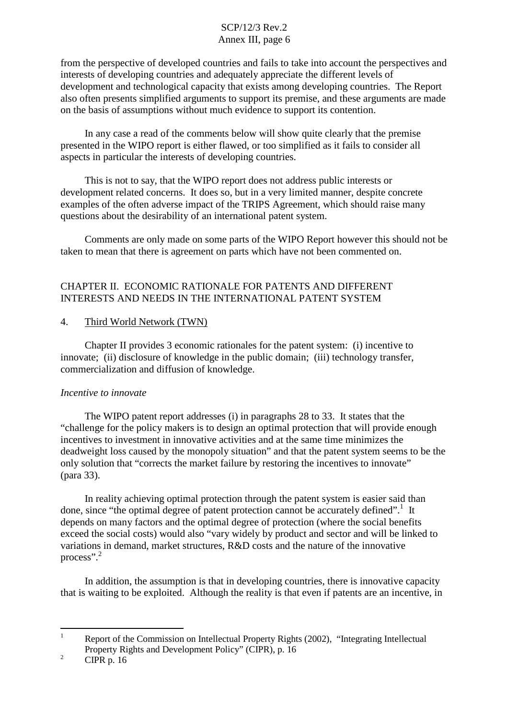from the perspective of developed countries and fails to take into account the perspectives and interests of developing countries and adequately appreciate the different levels of development and technological capacity that exists among developing countries. The Report also often presents simplified arguments to support its premise, and these arguments are made on the basis of assumptions without much evidence to support its contention.

In any case a read of the comments below will show quite clearly that the premise presented in the WIPO report is either flawed, or too simplified as it fails to consider all aspects in particular the interests of developing countries.

This is not to say, that the WIPO report does not address public interests or development related concerns. It does so, but in a very limited manner, despite concrete examples of the often adverse impact of the TRIPS Agreement, which should raise many questions about the desirability of an international patent system.

Comments are only made on some parts of the WIPO Report however this should not be taken to mean that there is agreement on parts which have not been commented on.

# CHAPTER II. ECONOMIC RATIONALE FOR PATENTS AND DIFFERENT INTERESTS AND NEEDS IN THE INTERNATIONAL PATENT SYSTEM

#### 4. Third World Network (TWN)

Chapter II provides 3 economic rationales for the patent system: (i) incentive to innovate; (ii) disclosure of knowledge in the public domain; (iii) technology transfer, commercialization and diffusion of knowledge.

#### *Incentive to innovate*

The WIPO patent report addresses (i) in paragraphs 28 to 33. It states that the "challenge for the policy makers is to design an optimal protection that will provide enough incentives to investment in innovative activities and at the same time minimizes the deadweight loss caused by the monopoly situation" and that the patent system seems to be the only solution that "corrects the market failure by restoring the incentives to innovate" (para 33).

In reality achieving optimal protection through the patent system is easier said than done, since "the optimal degree of patent protection cannot be accurately defined".<sup>1</sup> It depends on many factors and the optimal degree of protection (where the social benefits exceed the social costs) would also "vary widely by product and sector and will be linked to variations in demand, market structures, R&D costs and the nature of the innovative process".<sup>2</sup>

In addition, the assumption is that in developing countries, there is innovative capacity that is waiting to be exploited. Although the reality is that even if patents are an incentive, in

<sup>2</sup> CIPR p. 16

<sup>&</sup>lt;sup>1</sup> Report of the Commission on Intellectual Property Rights (2002), "Integrating Intellectual Property Rights and Development Policy" (CIPR), p. 16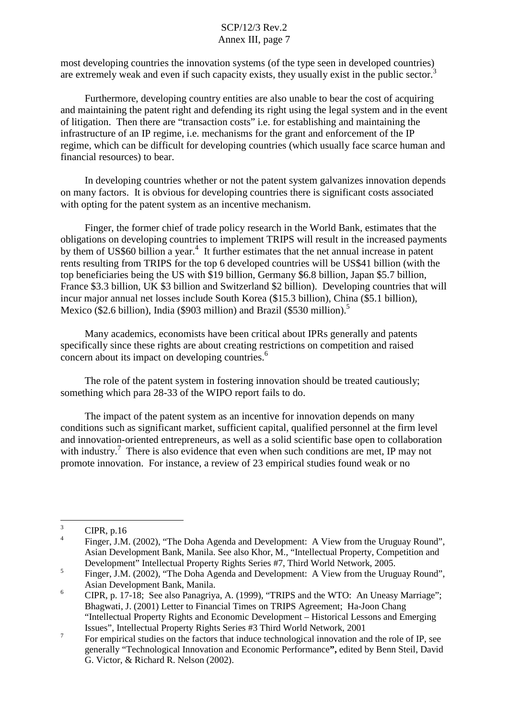most developing countries the innovation systems (of the type seen in developed countries) are extremely weak and even if such capacity exists, they usually exist in the public sector.<sup>3</sup>

Furthermore, developing country entities are also unable to bear the cost of acquiring and maintaining the patent right and defending its right using the legal system and in the event of litigation. Then there are "transaction costs" i.e. for establishing and maintaining the infrastructure of an IP regime, i.e. mechanisms for the grant and enforcement of the IP regime, which can be difficult for developing countries (which usually face scarce human and financial resources) to bear.

In developing countries whether or not the patent system galvanizes innovation depends on many factors. It is obvious for developing countries there is significant costs associated with opting for the patent system as an incentive mechanism.

Finger, the former chief of trade policy research in the World Bank, estimates that the obligations on developing countries to implement TRIPS will result in the increased payments by them of US\$60 billion a year.<sup>4</sup> It further estimates that the net annual increase in patent rents resulting from TRIPS for the top 6 developed countries will be US\$41 billion (with the top beneficiaries being the US with \$19 billion, Germany \$6.8 billion, Japan \$5.7 billion, France \$3.3 billion, UK \$3 billion and Switzerland \$2 billion). Developing countries that will incur major annual net losses include South Korea (\$15.3 billion), China (\$5.1 billion), Mexico (\$2.6 billion), India (\$903 million) and Brazil (\$530 million).<sup>5</sup>

Many academics, economists have been critical about IPRs generally and patents specifically since these rights are about creating restrictions on competition and raised concern about its impact on developing countries. 6

The role of the patent system in fostering innovation should be treated cautiously; something which para 28-33 of the WIPO report fails to do.

The impact of the patent system as an incentive for innovation depends on many conditions such as significant market, sufficient capital, qualified personnel at the firm level and innovation-oriented entrepreneurs, as well as a solid scientific base open to collaboration with industry.<sup>7</sup> There is also evidence that even when such conditions are met, IP may not promote innovation. For instance, a review of 23 empirical studies found weak or no

 $\frac{3}{4}$  CIPR, p.16

<sup>4</sup> Finger, J.M. (2002), "The Doha Agenda and Development: A View from the Uruguay Round", Asian Development Bank, Manila. See also Khor, M., "Intellectual Property, Competition and Development" Intellectual Property Rights Series #7, Third World Network, 2005.<br>
Finger, J.M. (2002), "The Doha Agenda and Development: A View from the Uruguay Round",

Asian Development Bank, Manila.<br><sup>6</sup> CIPR, p. 17-18; See also Panagriya, A. (1999), "TRIPS and the WTO: An Uneasy Marriage";

Bhagwati, J. (2001) Letter to Financial Times on TRIPS Agreement; Ha-Joon Chang "Intellectual Property Rights and Economic Development – Historical Lessons and Emerging Issues", Intellectual Property Rights Series #3 Third World Network, 2001

<sup>&</sup>lt;sup>7</sup> For empirical studies on the factors that induce technological innovation and the role of IP, see generally "Technological Innovation and Economic Performance**",** edited by Benn Steil, David G. Victor, & Richard R. Nelson (2002).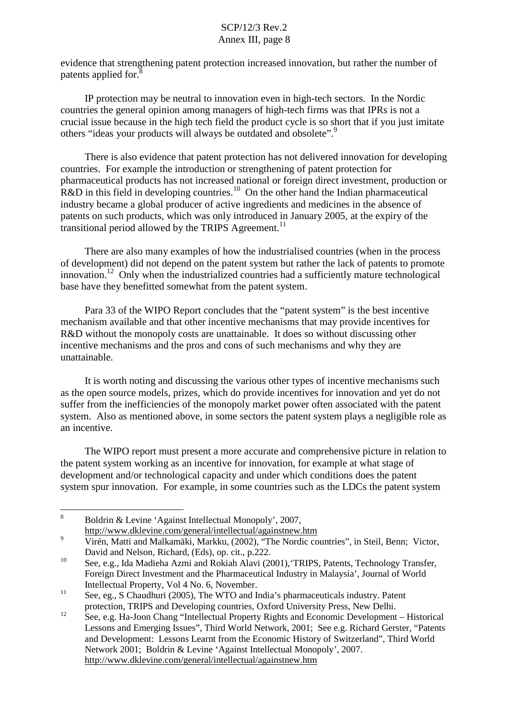evidence that strengthening patent protection increased innovation, but rather the number of patents applied for.<sup>8</sup>

IP protection may be neutral to innovation even in high-tech sectors. In the Nordic countries the general opinion among managers of high-tech firms was that IPRs is not a crucial issue because in the high tech field the product cycle is so short that if you just imitate others "ideas your products will always be outdated and obsolete".<sup>9</sup>

There is also evidence that patent protection has not delivered innovation for developing countries. For example the introduction or strengthening of patent protection for pharmaceutical products has not increased national or foreign direct investment, production or  $R&D$  in this field in developing countries.<sup>10</sup> On the other hand the Indian pharmaceutical industry became a global producer of active ingredients and medicines in the absence of patents on such products, which was only introduced in January 2005, at the expiry of the transitional period allowed by the TRIPS Agreement.<sup>11</sup>

There are also many examples of how the industrialised countries (when in the process of development) did not depend on the patent system but rather the lack of patents to promote innovation.<sup>12</sup> Only when the industrialized countries had a sufficiently mature technological base have they benefitted somewhat from the patent system.

Para 33 of the WIPO Report concludes that the "patent system" is the best incentive mechanism available and that other incentive mechanisms that may provide incentives for R&D without the monopoly costs are unattainable. It does so without discussing other incentive mechanisms and the pros and cons of such mechanisms and why they are unattainable.

It is worth noting and discussing the various other types of incentive mechanisms such as the open source models, prizes, which do provide incentives for innovation and yet do not suffer from the inefficiencies of the monopoly market power often associated with the patent system. Also as mentioned above, in some sectors the patent system plays a negligible role as an incentive.

The WIPO report must present a more accurate and comprehensive picture in relation to the patent system working as an incentive for innovation, for example at what stage of development and/or technological capacity and under which conditions does the patent system spur innovation. For example, in some countries such as the LDCs the patent system

http://www.dklevine.com/general/intellectual/againstnew.htm

<sup>8</sup> Boldrin & Levine 'Against Intellectual Monopoly', 2007,

<sup>&</sup>lt;sup>9</sup> Virén, Matti and Malkamäki, Markku, (2002), "The Nordic countries", in Steil, Benn; Victor, David and Nelson, Richard, (Eds), op. cit., p.222.<br><sup>10</sup> See, e.g., Ida Madieha Azmi and Rokiah Alavi (2001), 'TRIPS, Patents, Technology Transfer,

Foreign Direct Investment and the Pharmaceutical Industry in Malaysia', Journal of World Intellectual Property, Vol 4 No. 6, November.<br>
<sup>11</sup> See, eg., S Chaudhuri (2005), The WTO and India's pharmaceuticals industry. Patent

protection, TRIPS and Developing countries, Oxford University Press, New Delhi.<br>
12 See, e.g. Ha-Joon Chang "Intellectual Property Rights and Economic Development – Historical Lessons and Emerging Issues", Third World Network, 2001; See e.g. Richard Gerster, "Patents and Development: Lessons Learnt from the Economic History of Switzerland", Third World Network 2001; Boldrin & Levine 'Against Intellectual Monopoly', 2007. http://www.dklevine.com/general/intellectual/againstnew.htm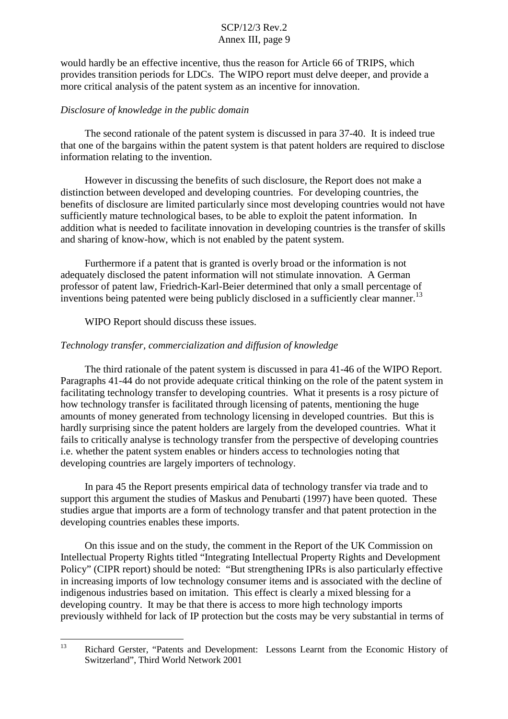would hardly be an effective incentive, thus the reason for Article 66 of TRIPS, which provides transition periods for LDCs. The WIPO report must delve deeper, and provide a more critical analysis of the patent system as an incentive for innovation.

#### *Disclosure of knowledge in the public domain*

The second rationale of the patent system is discussed in para 37-40. It is indeed true that one of the bargains within the patent system is that patent holders are required to disclose information relating to the invention.

However in discussing the benefits of such disclosure, the Report does not make a distinction between developed and developing countries. For developing countries, the benefits of disclosure are limited particularly since most developing countries would not have sufficiently mature technological bases, to be able to exploit the patent information. In addition what is needed to facilitate innovation in developing countries is the transfer of skills and sharing of know-how, which is not enabled by the patent system.

Furthermore if a patent that is granted is overly broad or the information is not adequately disclosed the patent information will not stimulate innovation. A German professor of patent law, Friedrich-Karl-Beier determined that only a small percentage of inventions being patented were being publicly disclosed in a sufficiently clear manner.<sup>13</sup>

WIPO Report should discuss these issues.

# *Technology transfer, commercialization and diffusion of knowledge*

The third rationale of the patent system is discussed in para 41-46 of the WIPO Report. Paragraphs 41-44 do not provide adequate critical thinking on the role of the patent system in facilitating technology transfer to developing countries. What it presents is a rosy picture of how technology transfer is facilitated through licensing of patents, mentioning the huge amounts of money generated from technology licensing in developed countries. But this is hardly surprising since the patent holders are largely from the developed countries. What it fails to critically analyse is technology transfer from the perspective of developing countries i.e. whether the patent system enables or hinders access to technologies noting that developing countries are largely importers of technology.

In para 45 the Report presents empirical data of technology transfer via trade and to support this argument the studies of Maskus and Penubarti (1997) have been quoted. These studies argue that imports are a form of technology transfer and that patent protection in the developing countries enables these imports.

On this issue and on the study, the comment in the Report of the UK Commission on Intellectual Property Rights titled "Integrating Intellectual Property Rights and Development Policy" (CIPR report) should be noted: "But strengthening IPRs is also particularly effective in increasing imports of low technology consumer items and is associated with the decline of indigenous industries based on imitation. This effect is clearly a mixed blessing for a developing country. It may be that there is access to more high technology imports previously withheld for lack of IP protection but the costs may be very substantial in terms of

<sup>&</sup>lt;sup>13</sup> Richard Gerster, "Patents and Development: Lessons Learnt from the Economic History of Switzerland", Third World Network 2001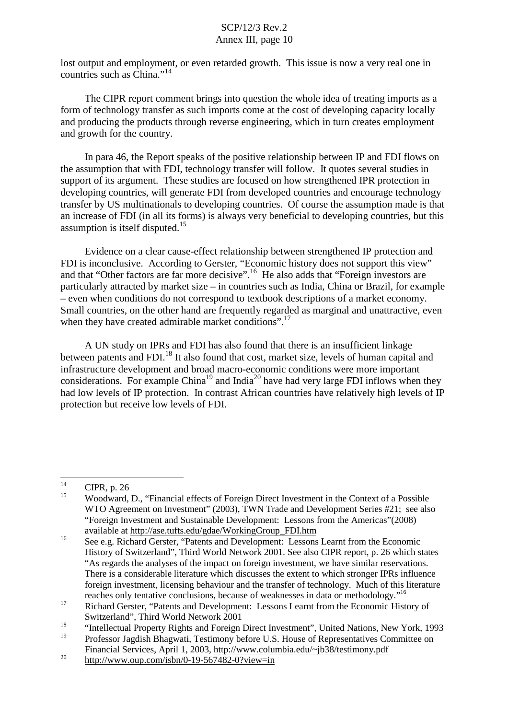lost output and employment, or even retarded growth. This issue is now a very real one in countries such as China." 14

The CIPR report comment brings into question the whole idea of treating imports as a form of technology transfer as such imports come at the cost of developing capacity locally and producing the products through reverse engineering, which in turn creates employment and growth for the country.

In para 46, the Report speaks of the positive relationship between IP and FDI flows on the assumption that with FDI, technology transfer will follow. It quotes several studies in support of its argument. These studies are focused on how strengthened IPR protection in developing countries, will generate FDI from developed countries and encourage technology transfer by US multinationals to developing countries. Of course the assumption made is that an increase of FDI (in all its forms) is always very beneficial to developing countries, but this assumption is itself disputed.<sup>15</sup>

Evidence on a clear cause-effect relationship between strengthened IP protection and FDI is inconclusive. According to Gerster, "Economic history does not support this view" and that "Other factors are far more decisive".<sup>16</sup> He also adds that "Foreign investors are particularly attracted by market size – in countries such as India, China or Brazil, for example – even when conditions do not correspond to textbook descriptions of a market economy. Small countries, on the other hand are frequently regarded as marginal and unattractive, even when they have created admirable market conditions".<sup>17</sup>

A UN study on IPRs and FDI has also found that there is an insufficient linkage between patents and FDI.<sup>18</sup> It also found that cost, market size, levels of human capital and infrastructure development and broad macro-economic conditions were more important considerations. For example China<sup>19</sup> and India<sup>20</sup> have had very large FDI inflows when they had low levels of IP protection. In contrast African countries have relatively high levels of IP protection but receive low levels of FDI.

 $\frac{14}{15}$  CIPR, p. 26

<sup>15</sup> Woodward, D., "Financial effects of Foreign Direct Investment in the Context of a Possible WTO Agreement on Investment" (2003), TWN Trade and Development Series #21; see also "Foreign Investment and Sustainable Development: Lessons from the Americas"(2008) available at http://ase.tufts.edu/gdae/WorkingGroup\_FDI.htm

<sup>&</sup>lt;sup>16</sup> See e.g. Richard Gerster, "Patents and Development: Lessons Learnt from the Economic History of Switzerland", Third World Network 2001. See also CIPR report, p. 26 which states "As regards the analyses of the impact on foreign investment, we have similar reservations. There is a considerable literature which discusses the extent to which stronger IPRs influence foreign investment, licensing behaviour and the transfer of technology. Much of this literature reaches only tentative conclusions, because of weaknesses in data or methodology."<sup>16</sup>

<sup>&</sup>lt;sup>17</sup> Richard Gerster, "Patents and Development: Lessons Learnt from the Economic History of Switzerland", Third World Network 2001

<sup>&</sup>lt;sup>18</sup> "Intellectual Property Rights and Foreign Direct Investment", United Nations, New York, 1993

<sup>19</sup> Professor Jagdish Bhagwati, Testimony before U.S. House of Representatives Committee on Financial Services, April 1, 2003, http://www.columbia.edu/~jb38/testimony.pdf

 $20$  http://www.oup.com/isbn/0-19-567482-0?view=in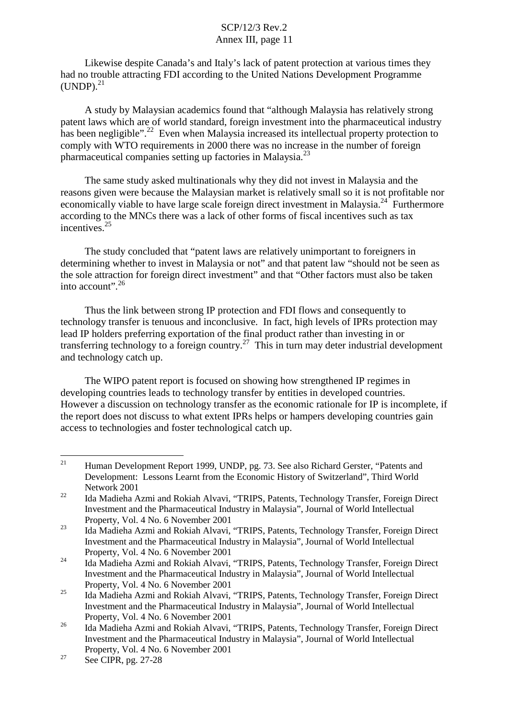Likewise despite Canada's and Italy's lack of patent protection at various times they had no trouble attracting FDI according to the United Nations Development Programme  $(UNDP).$ <sup>21</sup>

A study by Malaysian academics found that "although Malaysia has relatively strong patent laws which are of world standard, foreign investment into the pharmaceutical industry has been negligible".<sup>22</sup> Even when Malaysia increased its intellectual property protection to comply with WTO requirements in 2000 there was no increase in the number of foreign pharmaceutical companies setting up factories in Malaysia.<sup>23</sup>

The same study asked multinationals why they did not invest in Malaysia and the reasons given were because the Malaysian market is relatively small so it is not profitable nor economically viable to have large scale foreign direct investment in Malaysia.<sup>24</sup> Furthermore according to the MNCs there was a lack of other forms of fiscal incentives such as tax incentives. 25

The study concluded that "patent laws are relatively unimportant to foreigners in determining whether to invest in Malaysia or not" and that patent law "should not be seen as the sole attraction for foreign direct investment" and that "Other factors must also be taken into account".  $26$ 

Thus the link between strong IP protection and FDI flows and consequently to technology transfer is tenuous and inconclusive. In fact, high levels of IPRs protection may lead IP holders preferring exportation of the final product rather than investing in or transferring technology to a foreign country.<sup>27</sup> This in turn may deter industrial development and technology catch up.

The WIPO patent report is focused on showing how strengthened IP regimes in developing countries leads to technology transfer by entities in developed countries. However a discussion on technology transfer as the economic rationale for IP is incomplete, if the report does not discuss to what extent IPRs helps or hampers developing countries gain access to technologies and foster technological catch up.

<sup>&</sup>lt;sup>21</sup> Human Development Report 1999, UNDP, pg. 73. See also Richard Gerster, "Patents and Development: Lessons Learnt from the Economic History of Switzerland", Third World Network 2001

<sup>&</sup>lt;sup>22</sup> Ida Madieha Azmi and Rokiah Alvavi, "TRIPS, Patents, Technology Transfer, Foreign Direct Investment and the Pharmaceutical Industry in Malaysia", Journal of World Intellectual Property, Vol. 4 No. 6 November 2001

<sup>23</sup> Ida Madieha Azmi and Rokiah Alvavi, "TRIPS, Patents, Technology Transfer, Foreign Direct Investment and the Pharmaceutical Industry in Malaysia", Journal of World Intellectual Property, Vol. 4 No. 6 November 2001

<sup>&</sup>lt;sup>24</sup> Ida Madieha Azmi and Rokiah Alvavi, "TRIPS, Patents, Technology Transfer, Foreign Direct Investment and the Pharmaceutical Industry in Malaysia", Journal of World Intellectual Property, Vol. 4 No. 6 November 2001

<sup>25</sup> Ida Madieha Azmi and Rokiah Alvavi, "TRIPS, Patents, Technology Transfer, Foreign Direct Investment and the Pharmaceutical Industry in Malaysia", Journal of World Intellectual Property, Vol. 4 No. 6 November 2001

<sup>&</sup>lt;sup>26</sup> Ida Madieha Azmi and Rokiah Alvavi, "TRIPS, Patents, Technology Transfer, Foreign Direct Investment and the Pharmaceutical Industry in Malaysia", Journal of World Intellectual Property, Vol. 4 No. 6 November 2001

 $27$  See CIPR, pg. 27-28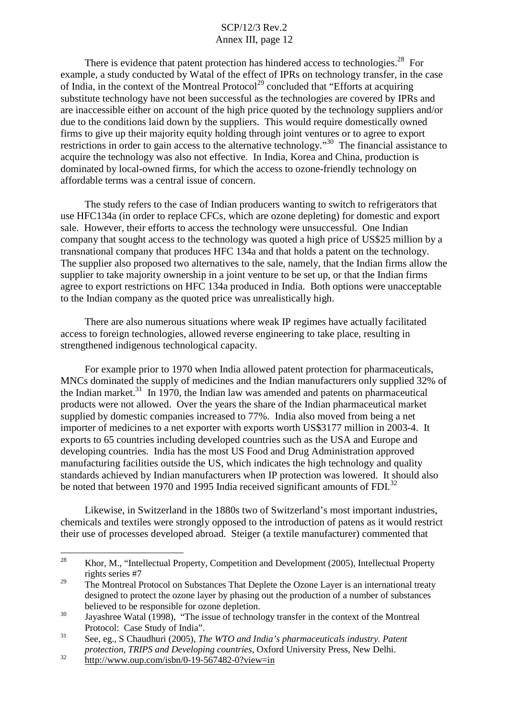There is evidence that patent protection has hindered access to technologies.<sup>28</sup> For example, a study conducted by Watal of the effect of IPRs on technology transfer, in the case of India, in the context of the Montreal Protocol<sup>29</sup> concluded that "Efforts at acquiring substitute technology have not been successful as the technologies are covered by IPRs and are inaccessible either on account of the high price quoted by the technology suppliers and/or due to the conditions laid down by the suppliers. This would require domestically owned firms to give up their majority equity holding through joint ventures or to agree to export restrictions in order to gain access to the alternative technology."<sup>30</sup> The financial assistance to acquire the technology was also not effective. In India, Korea and China, production is dominated by local-owned firms, for which the access to ozone-friendly technology on affordable terms was a central issue of concern.

The study refers to the case of Indian producers wanting to switch to refrigerators that use HFC134a (in order to replace CFCs, which are ozone depleting) for domestic and export sale. However, their efforts to access the technology were unsuccessful. One Indian company that sought access to the technology was quoted a high price of US\$25 million by a transnational company that produces HFC 134a and that holds a patent on the technology. The supplier also proposed two alternatives to the sale, namely, that the Indian firms allow the supplier to take majority ownership in a joint venture to be set up, or that the Indian firms agree to export restrictions on HFC 134a produced in India. Both options were unacceptable to the Indian company as the quoted price was unrealistically high.

There are also numerous situations where weak IP regimes have actually facilitated access to foreign technologies, allowed reverse engineering to take place, resulting in strengthened indigenous technological capacity.

For example prior to 1970 when India allowed patent protection for pharmaceuticals, MNCs dominated the supply of medicines and the Indian manufacturers only supplied 32% of the Indian market. $31$  In 1970, the Indian law was amended and patents on pharmaceutical products were not allowed. Over the years the share of the Indian pharmaceutical market supplied by domestic companies increased to 77%. India also moved from being a net importer of medicines to a net exporter with exports worth US\$3177 million in 2003-4. It exports to 65 countries including developed countries such as the USA and Europe and developing countries. India has the most US Food and Drug Administration approved manufacturing facilities outside the US, which indicates the high technology and quality standards achieved by Indian manufacturers when IP protection was lowered. It should also be noted that between 1970 and 1995 India received significant amounts of FDI.<sup>32</sup>

Likewise, in Switzerland in the 1880s two of Switzerland's most important industries, chemicals and textiles were strongly opposed to the introduction of patens as it would restrict their use of processes developed abroad. Steiger (a textile manufacturer) commented that

<sup>&</sup>lt;sup>28</sup> Khor, M., "Intellectual Property, Competition and Development (2005), Intellectual Property rights series #7

<sup>&</sup>lt;sup>29</sup> The Montreal Protocol on Substances That Deplete the Ozone Layer is an international treaty designed to protect the ozone layer by phasing out the production of a number of substances believed to be responsible for ozone depletion.<br>Jayashree Watal (1998), "The issue of technology transfer in the context of the Montreal

Protocol: Case Study of India". <sup>31</sup> See, eg., <sup>S</sup> Chaudhuri (2005), *The WTO and India's pharmaceuticals industry. Patent*

*protection, TRIPS and Developing countries, Oxford University Press, New Delhi.* http://www.oup.com/isbn/0-19-567482-0?view=in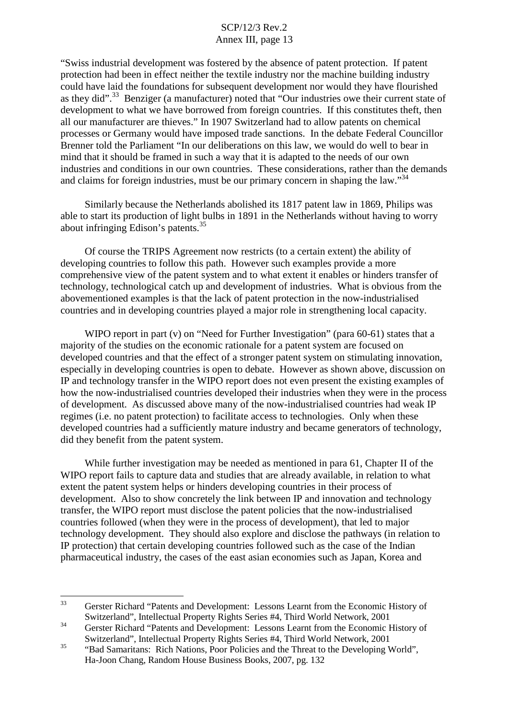"Swiss industrial development was fostered by the absence of patent protection. If patent protection had been in effect neither the textile industry nor the machine building industry could have laid the foundations for subsequent development nor would they have flourished as they did".<sup>33</sup> Benziger (a manufacturer) noted that "Our industries owe their current state of development to what we have borrowed from foreign countries. If this constitutes theft, then all our manufacturer are thieves." In 1907 Switzerland had to allow patents on chemical processes or Germany would have imposed trade sanctions. In the debate Federal Councillor Brenner told the Parliament "In our deliberations on this law, we would do well to bear in mind that it should be framed in such a way that it is adapted to the needs of our own industries and conditions in our own countries. These considerations, rather than the demands and claims for foreign industries, must be our primary concern in shaping the law."<sup>34</sup>

Similarly because the Netherlands abolished its 1817 patent law in 1869, Philips was able to start its production of light bulbs in 1891 in the Netherlands without having to worry about infringing Edison's patents. 35

Of course the TRIPS Agreement now restricts (to a certain extent) the ability of developing countries to follow this path. However such examples provide a more comprehensive view of the patent system and to what extent it enables or hinders transfer of technology, technological catch up and development of industries. What is obvious from the abovementioned examples is that the lack of patent protection in the now-industrialised countries and in developing countries played a major role in strengthening local capacity.

WIPO report in part (v) on "Need for Further Investigation" (para 60-61) states that a majority of the studies on the economic rationale for a patent system are focused on developed countries and that the effect of a stronger patent system on stimulating innovation, especially in developing countries is open to debate. However as shown above, discussion on IP and technology transfer in the WIPO report does not even present the existing examples of how the now-industrialised countries developed their industries when they were in the process of development. As discussed above many of the now-industrialised countries had weak IP regimes (i.e. no patent protection) to facilitate access to technologies. Only when these developed countries had a sufficiently mature industry and became generators of technology, did they benefit from the patent system.

While further investigation may be needed as mentioned in para 61, Chapter II of the WIPO report fails to capture data and studies that are already available, in relation to what extent the patent system helps or hinders developing countries in their process of development. Also to show concretely the link between IP and innovation and technology transfer, the WIPO report must disclose the patent policies that the now-industrialised countries followed (when they were in the process of development), that led to major technology development. They should also explore and disclose the pathways (in relation to IP protection) that certain developing countries followed such as the case of the Indian pharmaceutical industry, the cases of the east asian economies such as Japan, Korea and

<sup>&</sup>lt;sup>33</sup> Gerster Richard "Patents and Development: Lessons Learnt from the Economic History of Switzerland", Intellectual Property Rights Series #4, Third World Network, 2001

<sup>&</sup>lt;sup>34</sup> Gerster Richard "Patents and Development: Lessons Learnt from the Economic History of Switzerland", Intellectual Property Rights Series #4, Third World Network, 2001

<sup>&</sup>lt;sup>35</sup> "Bad Samaritans: Rich Nations, Poor Policies and the Threat to the Developing World". Ha-Joon Chang, Random House Business Books, 2007, pg. 132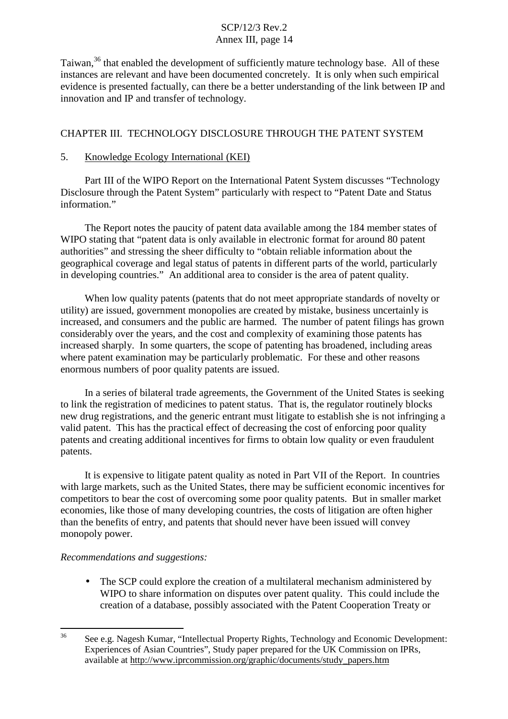Taiwan,<sup>36</sup> that enabled the development of sufficiently mature technology base. All of these instances are relevant and have been documented concretely. It is only when such empirical evidence is presented factually, can there be a better understanding of the link between IP and innovation and IP and transfer of technology.

# CHAPTER III. TECHNOLOGY DISCLOSURE THROUGH THE PATENT SYSTEM

# 5. Knowledge Ecology International (KEI)

Part III of the WIPO Report on the International Patent System discusses "Technology Disclosure through the Patent System" particularly with respect to "Patent Date and Status information"

The Report notes the paucity of patent data available among the 184 member states of WIPO stating that "patent data is only available in electronic format for around 80 patent authorities" and stressing the sheer difficulty to "obtain reliable information about the geographical coverage and legal status of patents in different parts of the world, particularly in developing countries." An additional area to consider is the area of patent quality.

When low quality patents (patents that do not meet appropriate standards of novelty or utility) are issued, government monopolies are created by mistake, business uncertainly is increased, and consumers and the public are harmed. The number of patent filings has grown considerably over the years, and the cost and complexity of examining those patents has increased sharply. In some quarters, the scope of patenting has broadened, including areas where patent examination may be particularly problematic. For these and other reasons enormous numbers of poor quality patents are issued.

In a series of bilateral trade agreements, the Government of the United States is seeking to link the registration of medicines to patent status. That is, the regulator routinely blocks new drug registrations, and the generic entrant must litigate to establish she is not infringing a valid patent. This has the practical effect of decreasing the cost of enforcing poor quality patents and creating additional incentives for firms to obtain low quality or even fraudulent patents.

It is expensive to litigate patent quality as noted in Part VII of the Report. In countries with large markets, such as the United States, there may be sufficient economic incentives for competitors to bear the cost of overcoming some poor quality patents. But in smaller market economies, like those of many developing countries, the costs of litigation are often higher than the benefits of entry, and patents that should never have been issued will convey monopoly power.

# *Recommendations and suggestions:*

• The SCP could explore the creation of a multilateral mechanism administered by WIPO to share information on disputes over patent quality. This could include the creation of a database, possibly associated with the Patent Cooperation Treaty or

<sup>36</sup> See e.g. Nagesh Kumar, "Intellectual Property Rights, Technology and Economic Development: Experiences of Asian Countries", Study paper prepared for the UK Commission on IPRs, available at http://www.iprcommission.org/graphic/documents/study\_papers.htm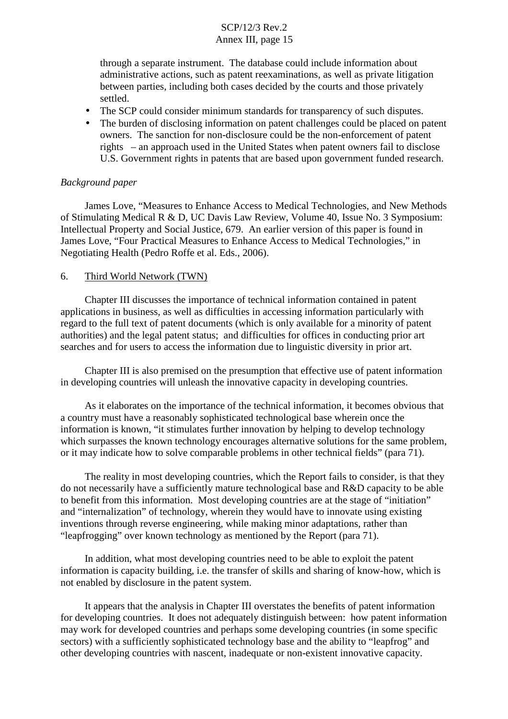through a separate instrument. The database could include information about administrative actions, such as patent reexaminations, as well as private litigation between parties, including both cases decided by the courts and those privately settled.

- The SCP could consider minimum standards for transparency of such disputes.
- The burden of disclosing information on patent challenges could be placed on patent owners. The sanction for non-disclosure could be the non-enforcement of patent rights – an approach used in the United States when patent owners fail to disclose U.S. Government rights in patents that are based upon government funded research.

#### *Background paper*

James Love, "Measures to Enhance Access to Medical Technologies, and New Methods of Stimulating Medical R & D, UC Davis Law Review, Volume 40, Issue No. 3 Symposium: Intellectual Property and Social Justice, 679. An earlier version of this paper is found in James Love, "Four Practical Measures to Enhance Access to Medical Technologies," in Negotiating Health (Pedro Roffe et al. Eds., 2006).

### 6. Third World Network (TWN)

Chapter III discusses the importance of technical information contained in patent applications in business, as well as difficulties in accessing information particularly with regard to the full text of patent documents (which is only available for a minority of patent authorities) and the legal patent status; and difficulties for offices in conducting prior art searches and for users to access the information due to linguistic diversity in prior art.

Chapter III is also premised on the presumption that effective use of patent information in developing countries will unleash the innovative capacity in developing countries.

As it elaborates on the importance of the technical information, it becomes obvious that a country must have a reasonably sophisticated technological base wherein once the information is known, "it stimulates further innovation by helping to develop technology which surpasses the known technology encourages alternative solutions for the same problem, or it may indicate how to solve comparable problems in other technical fields" (para 71).

The reality in most developing countries, which the Report fails to consider, is that they do not necessarily have a sufficiently mature technological base and R&D capacity to be able to benefit from this information. Most developing countries are at the stage of "initiation" and "internalization" of technology, wherein they would have to innovate using existing inventions through reverse engineering, while making minor adaptations, rather than "leapfrogging" over known technology as mentioned by the Report (para 71).

In addition, what most developing countries need to be able to exploit the patent information is capacity building, i.e. the transfer of skills and sharing of know-how, which is not enabled by disclosure in the patent system.

It appears that the analysis in Chapter III overstates the benefits of patent information for developing countries. It does not adequately distinguish between: how patent information may work for developed countries and perhaps some developing countries (in some specific sectors) with a sufficiently sophisticated technology base and the ability to "leapfrog" and other developing countries with nascent, inadequate or non-existent innovative capacity.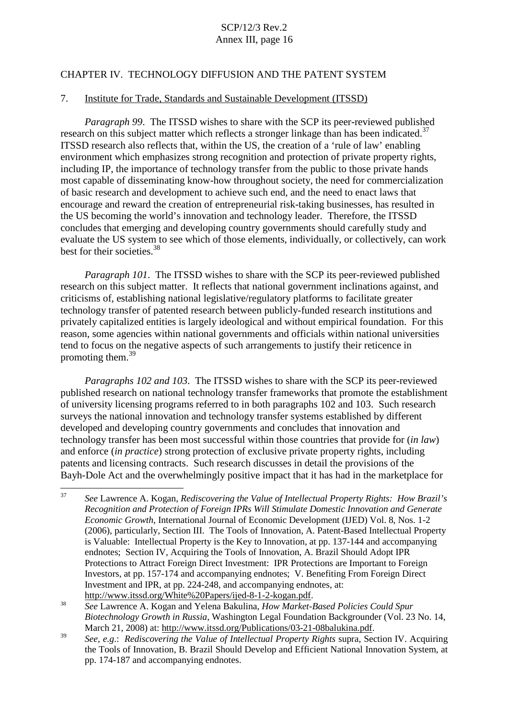## CHAPTER IV. TECHNOLOGY DIFFUSION AND THE PATENT SYSTEM

#### 7. Institute for Trade, Standards and Sustainable Development (ITSSD)

*Paragraph 99*. The ITSSD wishes to share with the SCP its peer-reviewed published research on this subject matter which reflects a stronger linkage than has been indicated.<sup>37</sup> ITSSD research also reflects that, within the US, the creation of a 'rule of law' enabling environment which emphasizes strong recognition and protection of private property rights, including IP, the importance of technology transfer from the public to those private hands most capable of disseminating know-how throughout society, the need for commercialization of basic research and development to achieve such end, and the need to enact laws that encourage and reward the creation of entrepreneurial risk-taking businesses, has resulted in the US becoming the world's innovation and technology leader. Therefore, the ITSSD concludes that emerging and developing country governments should carefully study and evaluate the US system to see which of those elements, individually, or collectively, can work best for their societies. 38

*Paragraph 101*. The ITSSD wishes to share with the SCP its peer-reviewed published research on this subject matter. It reflects that national government inclinations against, and criticisms of, establishing national legislative/regulatory platforms to facilitate greater technology transfer of patented research between publicly-funded research institutions and privately capitalized entities is largely ideological and without empirical foundation. For this reason, some agencies within national governments and officials within national universities tend to focus on the negative aspects of such arrangements to justify their reticence in promoting them.<sup>39</sup>

*Paragraphs 102 and 103*. The ITSSD wishes to share with the SCP its peer-reviewed published research on national technology transfer frameworks that promote the establishment of university licensing programs referred to in both paragraphs 102 and 103. Such research surveys the national innovation and technology transfer systems established by different developed and developing country governments and concludes that innovation and technology transfer has been most successful within those countries that provide for (*in law*) and enforce (*in practice*) strong protection of exclusive private property rights, including patents and licensing contracts. Such research discusses in detail the provisions of the Bayh-Dole Act and the overwhelmingly positive impact that it has had in the marketplace for

<sup>37</sup> *See* Lawrence A. Kogan, *Rediscovering the Value of Intellectual Property Rights: How Brazil's Recognition and Protection of Foreign IPRs Will Stimulate Domestic Innovation and Generate Economic Growth*, International Journal of Economic Development (IJED) Vol. 8, Nos. 1-2 (2006), particularly, Section III. The Tools of Innovation, A. Patent-Based Intellectual Property is Valuable: Intellectual Property is the Key to Innovation, at pp. 137-144 and accompanying endnotes; Section IV, Acquiring the Tools of Innovation, A. Brazil Should Adopt IPR Protections to Attract Foreign Direct Investment: IPR Protections are Important to Foreign Investors, at pp. 157-174 and accompanying endnotes; V. Benefiting From Foreign Direct Investment and IPR, at pp. 224-248, and accompanying endnotes, at: http://www.itssd.org/White%20Papers/ijed-8-1-2-kogan.pdf.

<sup>38</sup> *See* Lawrence A. Kogan and Yelena Bakulina, *How Market-Based Policies Could Spur Biotechnology Growth in Russia*, Washington Legal Foundation Backgrounder (Vol. 23 No. 14, March 21, 2008) at: http://www.itssd.org/Publications/03-21-08balukina.pdf.<br>See, e.g.: Rediscovering the Value of Intellectual Property Rights supra, Section IV. Acquiring

the Tools of Innovation, B. Brazil Should Develop and Efficient National Innovation System, at pp. 174-187 and accompanying endnotes.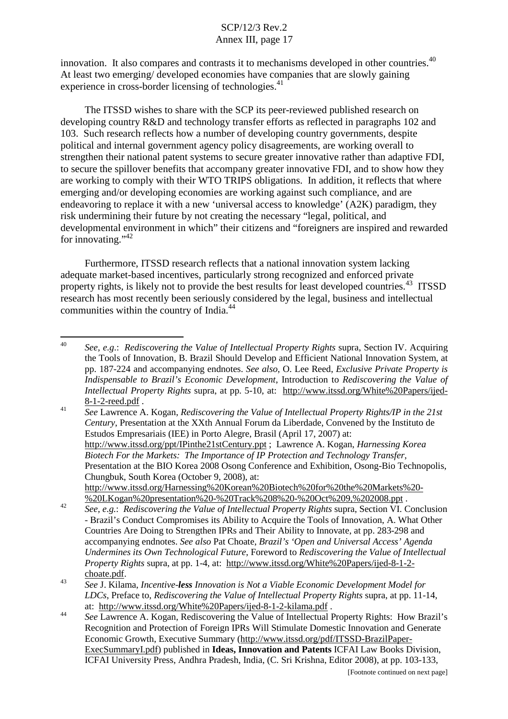innovation. It also compares and contrasts it to mechanisms developed in other countries.<sup>40</sup> At least two emerging/ developed economies have companies that are slowly gaining experience in cross-border licensing of technologies.<sup>41</sup>

The ITSSD wishes to share with the SCP its peer-reviewed published research on developing country R&D and technology transfer efforts as reflected in paragraphs 102 and 103. Such research reflects how a number of developing country governments, despite political and internal government agency policy disagreements, are working overall to strengthen their national patent systems to secure greater innovative rather than adaptive FDI, to secure the spillover benefits that accompany greater innovative FDI, and to show how they are working to comply with their WTO TRIPS obligations. In addition, it reflects that where emerging and/or developing economies are working against such compliance, and are endeavoring to replace it with a new 'universal access to knowledge' (A2K) paradigm, they risk undermining their future by not creating the necessary "legal, political, and developmental environment in which" their citizens and "foreigners are inspired and rewarded for innovating."<sup>42</sup>

Furthermore, ITSSD research reflects that a national innovation system lacking adequate market-based incentives, particularly strong recognized and enforced private property rights, is likely not to provide the best results for least developed countries.<sup>43</sup> ITSSD research has most recently been seriously considered by the legal, business and intellectual communities within the country of India.<sup>44</sup>

*Century*, Presentation at the XXth Annual Forum da Liberdade, Convened by the Instituto de Estudos Empresariais (IEE) in Porto Alegre, Brasil (April 17, 2007) at: http://www.itssd.org/ppt/IPinthe21stCentury.ppt ; Lawrence A. Kogan, *Harnessing Korea Biotech For the Markets: The Importance of IP Protection and Technology Transfer*, Presentation at the BIO Korea 2008 Osong Conference and Exhibition, Osong-Bio Technopolis, Chungbuk, South Korea (October 9, 2008), at: http://www.itssd.org/Harnessing%20Korean%20Biotech%20for%20the%20Markets%20-

<sup>40</sup> *See, e.g*.: *Rediscovering the Value of Intellectual Property Rights* supra, Section IV. Acquiring the Tools of Innovation, B. Brazil Should Develop and Efficient National Innovation System, at pp. 187-224 and accompanying endnotes. *See also*, O. Lee Reed, *Exclusive Private Property is Indispensable to Brazil's Economic Development*, Introduction to *Rediscovering the Value of Intellectual Property Rights* supra, at pp. 5-10, at: http://www.itssd.org/White%20Papers/ijed-8-1-2-reed.pdf . <sup>41</sup> *See* Lawrence A. Kogan, *Rediscovering the Value of Intellectual Property Rights/IP in the 21st*

<sup>&</sup>lt;sup>9</sup>%20LKogan%20presentation%20-%20Track%208%20-%20Oct%209,%202008.ppt .<br>See, e.g.: Rediscovering the Value of Intellectual Property Rights supra, Section VI. Conclusion - Brazil's Conduct Compromises its Ability to Acquire the Tools of Innovation, A. What Other Countries Are Doing to Strengthen IPRs and Their Ability to Innovate, at pp. 283-298 and accompanying endnotes. *See also* Pat Choate, *Brazil's 'Open and Universal Access' Agenda Undermines its Own Technological Future*, Foreword to *Rediscovering the Value of Intellectual Property Rights* supra, at pp. 1-4, at: http://www.itssd.org/White%20Papers/ijed-8-1-2-

choate.pdf. <sup>43</sup> *See* J. Kilama, *Incentive-less Innovation is Not <sup>a</sup> Viable Economic Development Model for LDCs*, Preface to, *Rediscovering the Value of Intellectual Property Rights* supra, at pp. 11-14,

at: http://www.itssd.org/White%20Papers/ijed-8-1-2-kilama.pdf . <sup>44</sup> *See* Lawrence A. Kogan, Rediscovering the Value of Intellectual Property Rights: How Brazil's Recognition and Protection of Foreign IPRs Will Stimulate Domestic Innovation and Generate Economic Growth, Executive Summary (http://www.itssd.org/pdf/ITSSD-BrazilPaper-ExecSummaryI.pdf) published in **Ideas, Innovation and Patents** ICFAI Law Books Division, ICFAI University Press, Andhra Pradesh, India, (C. Sri Krishna, Editor 2008), at pp. 103-133,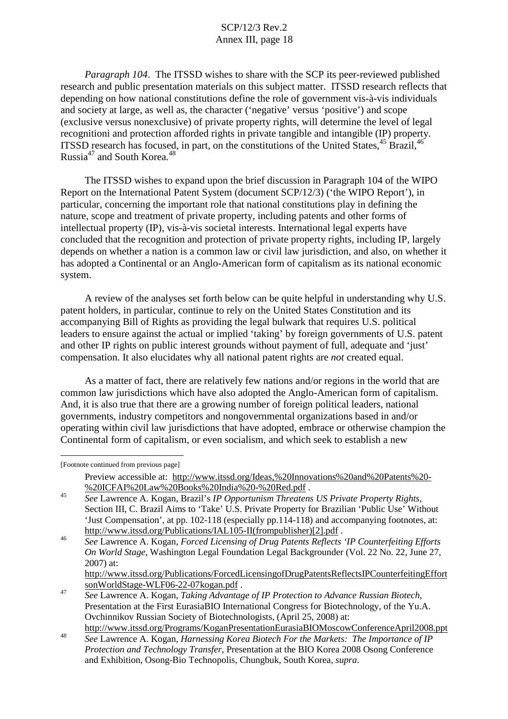*Paragraph 104*. The ITSSD wishes to share with the SCP its peer-reviewed published research and public presentation materials on this subject matter. ITSSD research reflects that depending on how national constitutions define the role of government vis-à-vis individuals and society at large, as well as, the character ('negative' versus 'positive') and scope (exclusive versus nonexclusive) of private property rights, will determine the level of legal recognitioni and protection afforded rights in private tangible and intangible (IP) property. ITSSD research has focused, in part, on the constitutions of the United States, <sup>45</sup> Brazil, <sup>46</sup> Russia<sup>47</sup> and South Korea.<sup>48</sup>

The ITSSD wishes to expand upon the brief discussion in Paragraph 104 of the WIPO Report on the International Patent System (document SCP/12/3) ('the WIPO Report'), in particular, concerning the important role that national constitutions play in defining the nature, scope and treatment of private property, including patents and other forms of intellectual property (IP), vis-à-vis societal interests. International legal experts have concluded that the recognition and protection of private property rights, including IP, largely depends on whether a nation is a common law or civil law jurisdiction, and also, on whether it has adopted a Continental or an Anglo-American form of capitalism as its national economic system.

A review of the analyses set forth below can be quite helpful in understanding why U.S. patent holders, in particular, continue to rely on the United States Constitution and its accompanying Bill of Rights as providing the legal bulwark that requires U.S. political leaders to ensure against the actual or implied 'taking' by foreign governments of U.S. patent and other IP rights on public interest grounds without payment of full, adequate and 'just' compensation. It also elucidates why all national patent rights are *not* created equal.

As a matter of fact, there are relatively few nations and/or regions in the world that are common law jurisdictions which have also adopted the Anglo-American form of capitalism. And, it is also true that there are a growing number of foreign political leaders, national governments, industry competitors and nongovernmental organizations based in and/or operating within civil law jurisdictions that have adopted, embrace or otherwise champion the Continental form of capitalism, or even socialism, and which seek to establish a new

[Footnote continued from previous page]

Preview accessible at: http://www.itssd.org/Ideas,%20Innovations%20and%20Patents%20- %20ICFAI%20Law%20Books%20India%20-%20Red.pdf . <sup>45</sup> *See* Lawrence A. Kogan, Brazil's *IP Opportunism Threatens US Private Property Rights*,

Section III, C. Brazil Aims to 'Take' U.S. Private Property for Brazilian 'Public Use' Without 'Just Compensation', at pp. 102-118 (especially pp.114-118) and accompanying footnotes, at:

http://www.itssd.org/Publications/IAL105-II(frompublisher)[2].pdf .<br>See Lawrence A. Kogan, *Forced Licensing of Drug Patents Reflects 'IP Counterfeiting Efforts On World Stage*, Washington Legal Foundation Legal Backgrounder (Vol. 22 No. 22, June 27, 2007) at:

http://www.itssd.org/Publications/ForcedLicensingofDrugPatentsReflectsIPCounterfeitingEffort sonWorldStage-WLF06-22-07kogan.pdf . <sup>47</sup> *See* Lawrence A. Kogan, *Taking Advantage of IP Protection to Advance Russian Biotech*,

Presentation at the First EurasiaBIO International Congress for Biotechnology, of the Yu.A. Ovchinnikov Russian Society of Biotechnologists, (April 25, 2008) at: http://www.itssd.org/Programs/KoganPresentationEurasiaBIOMoscowConferenceApril2008.ppt

<sup>48</sup> *See* Lawrence A. Kogan, *Harnessing Korea Biotech For the Markets: The Importance of IP Protection and Technology Transfer*, Presentation at the BIO Korea 2008 Osong Conference and Exhibition, Osong-Bio Technopolis, Chungbuk, South Korea, *supra*.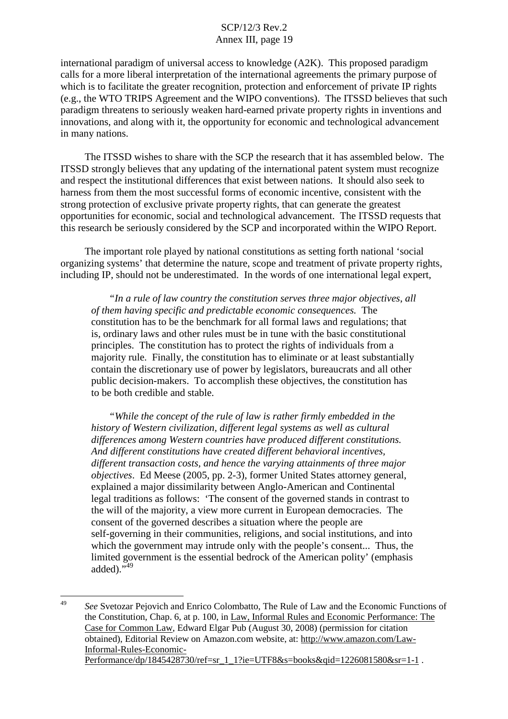international paradigm of universal access to knowledge (A2K). This proposed paradigm calls for a more liberal interpretation of the international agreements the primary purpose of which is to facilitate the greater recognition, protection and enforcement of private IP rights (e.g., the WTO TRIPS Agreement and the WIPO conventions). The ITSSD believes that such paradigm threatens to seriously weaken hard-earned private property rights in inventions and innovations, and along with it, the opportunity for economic and technological advancement in many nations.

The ITSSD wishes to share with the SCP the research that it has assembled below. The ITSSD strongly believes that any updating of the international patent system must recognize and respect the institutional differences that exist between nations. It should also seek to harness from them the most successful forms of economic incentive, consistent with the strong protection of exclusive private property rights, that can generate the greatest opportunities for economic, social and technological advancement. The ITSSD requests that this research be seriously considered by the SCP and incorporated within the WIPO Report.

The important role played by national constitutions as setting forth national 'social organizing systems' that determine the nature, scope and treatment of private property rights, including IP, should not be underestimated. In the words of one international legal expert,

*"In a rule of law country the constitution serves three major objectives*, *all of them having specific and predictable economic consequences.* The constitution has to be the benchmark for all formal laws and regulations; that is, ordinary laws and other rules must be in tune with the basic constitutional principles. The constitution has to protect the rights of individuals from a majority rule. Finally, the constitution has to eliminate or at least substantially contain the discretionary use of power by legislators, bureaucrats and all other public decision-makers. To accomplish these objectives, the constitution has to be both credible and stable.

*"While the concept of the rule of law is rather firmly embedded in the history of Western civilization, different legal systems as well as cultural differences among Western countries have produced different constitutions. And different constitutions have created different behavioral incentives, different transaction costs, and hence the varying attainments of three major objectives*. Ed Meese (2005, pp. 2-3), former United States attorney general, explained a major dissimilarity between Anglo-American and Continental legal traditions as follows: 'The consent of the governed stands in contrast to the will of the majority, a view more current in European democracies. The consent of the governed describes a situation where the people are self-governing in their communities, religions, and social institutions, and into which the government may intrude only with the people's consent... Thus, the limited government is the essential bedrock of the American polity' (emphasis added). $\cdot$ <sup>549</sup>

<sup>49</sup> *See* Svetozar Pejovich and Enrico Colombatto, The Rule of Law and the Economic Functions of the Constitution, Chap. 6, at p. 100, in Law, Informal Rules and Economic Performance: The Case for Common Law, Edward Elgar Pub (August 30, 2008) (permission for citation obtained), Editorial Review on Amazon.com website, at: http://www.amazon.com/Law-Informal-Rules-Economic-Performance/dp/1845428730/ref=sr\_1\_1?ie=UTF8&s=books&qid=1226081580&sr=1-1 .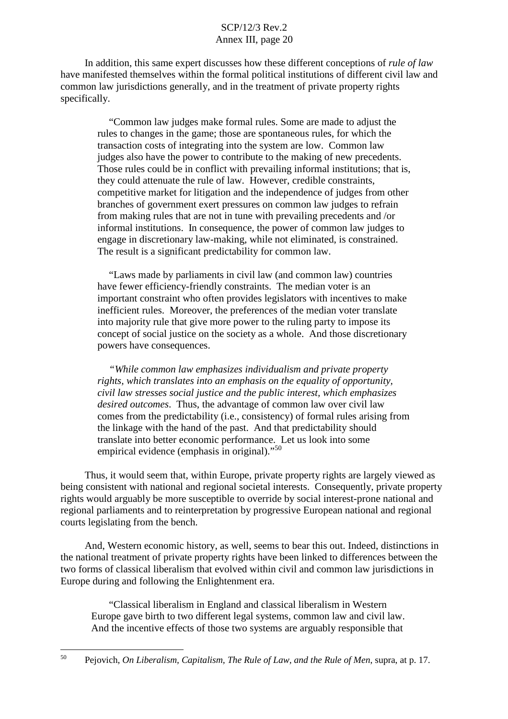In addition, this same expert discusses how these different conceptions of *rule of law* have manifested themselves within the formal political institutions of different civil law and common law jurisdictions generally, and in the treatment of private property rights specifically.

"Common law judges make formal rules. Some are made to adjust the rules to changes in the game; those are spontaneous rules, for which the transaction costs of integrating into the system are low. Common law judges also have the power to contribute to the making of new precedents. Those rules could be in conflict with prevailing informal institutions; that is, they could attenuate the rule of law. However, credible constraints, competitive market for litigation and the independence of judges from other branches of government exert pressures on common law judges to refrain from making rules that are not in tune with prevailing precedents and /or informal institutions. In consequence, the power of common law judges to engage in discretionary law-making, while not eliminated, is constrained. The result is a significant predictability for common law.

"Laws made by parliaments in civil law (and common law) countries have fewer efficiency-friendly constraints. The median voter is an important constraint who often provides legislators with incentives to make inefficient rules. Moreover, the preferences of the median voter translate into majority rule that give more power to the ruling party to impose its concept of social justice on the society as a whole. And those discretionary powers have consequences.

*"While common law emphasizes individualism and private property rights, which translates into an emphasis on the equality of opportunity, civil law stresses social justice and the public interest, which emphasizes desired outcomes*. Thus, the advantage of common law over civil law comes from the predictability (i.e., consistency) of formal rules arising from the linkage with the hand of the past. And that predictability should translate into better economic performance. Let us look into some empirical evidence (emphasis in original)."<sup>50</sup>

Thus, it would seem that, within Europe, private property rights are largely viewed as being consistent with national and regional societal interests. Consequently, private property rights would arguably be more susceptible to override by social interest-prone national and regional parliaments and to reinterpretation by progressive European national and regional courts legislating from the bench.

And, Western economic history, as well, seems to bear this out. Indeed, distinctions in the national treatment of private property rights have been linked to differences between the two forms of classical liberalism that evolved within civil and common law jurisdictions in Europe during and following the Enlightenment era.

"Classical liberalism in England and classical liberalism in Western Europe gave birth to two different legal systems, common law and civil law. And the incentive effects of those two systems are arguably responsible that

<sup>50</sup> Pejovich, *On Liberalism, Capitalism, The Rule of Law, and the Rule of Men*, supra, at p. 17.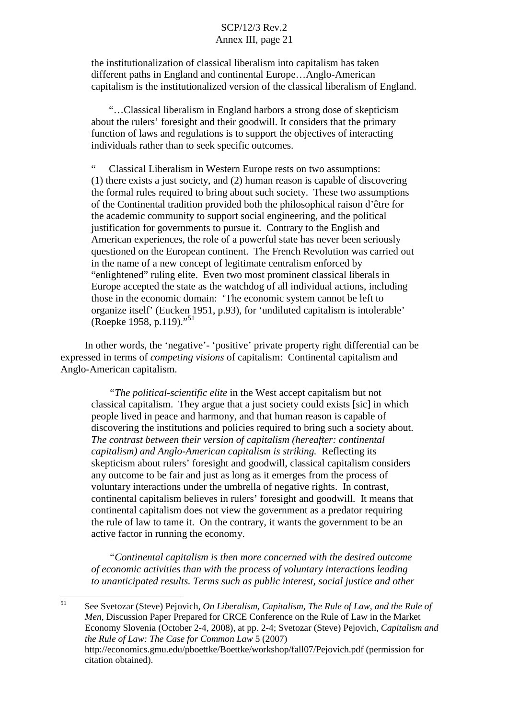the institutionalization of classical liberalism into capitalism has taken different paths in England and continental Europe…Anglo-American capitalism is the institutionalized version of the classical liberalism of England.

"…Classical liberalism in England harbors a strong dose of skepticism about the rulers' foresight and their goodwill. It considers that the primary function of laws and regulations is to support the objectives of interacting individuals rather than to seek specific outcomes.

Classical Liberalism in Western Europe rests on two assumptions: (1) there exists a just society, and (2) human reason is capable of discovering the formal rules required to bring about such society. These two assumptions of the Continental tradition provided both the philosophical raison d'être for the academic community to support social engineering, and the political justification for governments to pursue it. Contrary to the English and American experiences, the role of a powerful state has never been seriously questioned on the European continent. The French Revolution was carried out in the name of a new concept of legitimate centralism enforced by "enlightened" ruling elite. Even two most prominent classical liberals in Europe accepted the state as the watchdog of all individual actions, including those in the economic domain: 'The economic system cannot be left to organize itself' (Eucken 1951, p.93), for 'undiluted capitalism is intolerable' (Roepke 1958, p.119)."<sup>51</sup>

In other words, the 'negative'- 'positive' private property right differential can be expressed in terms of *competing visions* of capitalism: Continental capitalism and Anglo-American capitalism.

*"The political-scientific elite* in the West accept capitalism but not classical capitalism. They argue that a just society could exists [sic] in which people lived in peace and harmony, and that human reason is capable of discovering the institutions and policies required to bring such a society about. *The contrast between their version of capitalism (hereafter: continental capitalism) and Anglo-American capitalism is striking.* Reflecting its skepticism about rulers' foresight and goodwill, classical capitalism considers any outcome to be fair and just as long as it emerges from the process of voluntary interactions under the umbrella of negative rights. In contrast, continental capitalism believes in rulers' foresight and goodwill. It means that continental capitalism does not view the government as a predator requiring the rule of law to tame it. On the contrary, it wants the government to be an active factor in running the economy.

*"Continental capitalism is then more concerned with the desired outcome of economic activities than with the process of voluntary interactions leading to unanticipated results. Terms such as public interest, social justice and other*

<sup>51</sup> See Svetozar (Steve) Pejovich, *On Liberalism, Capitalism, The Rule of Law, and the Rule of Men*, Discussion Paper Prepared for CRCE Conference on the Rule of Law in the Market Economy Slovenia (October 2-4, 2008), at pp. 2-4; Svetozar (Steve) Pejovich, *Capitalism and the Rule of Law: The Case for Common Law* 5 (2007) http://economics.gmu.edu/pboettke/Boettke/workshop/fall07/Pejovich.pdf (permission for citation obtained).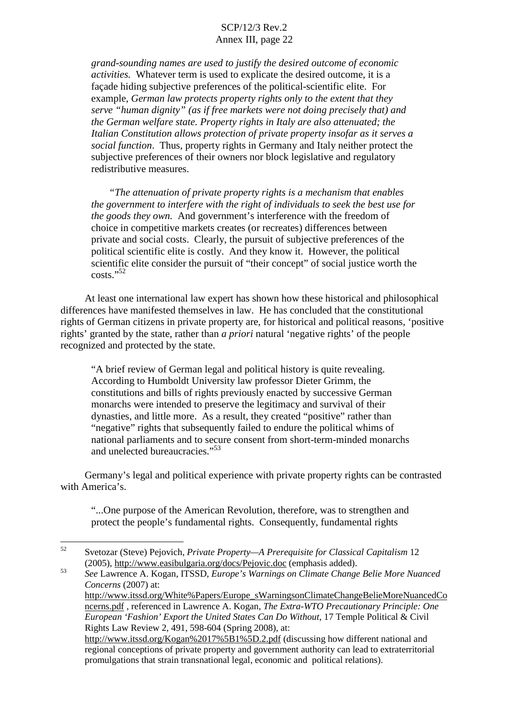*grand-sounding names are used to justify the desired outcome of economic activities.* Whatever term is used to explicate the desired outcome, it is a façade hiding subjective preferences of the political-scientific elite. For example, *German law protects property rights only to the extent that they serve "human dignity" (as if free markets were not doing precisely that) and the German welfare state. Property rights in Italy are also attenuated; the Italian Constitution allows protection of private property insofar as it serves a social function*. Thus, property rights in Germany and Italy neither protect the subjective preferences of their owners nor block legislative and regulatory redistributive measures.

*"The attenuation of private property rights is a mechanism that enables the government to interfere with the right of individuals to seek the best use for the goods they own.* And government's interference with the freedom of choice in competitive markets creates (or recreates) differences between private and social costs. Clearly, the pursuit of subjective preferences of the political scientific elite is costly. And they know it. However, the political scientific elite consider the pursuit of "their concept" of social justice worth the costs." 52

At least one international law expert has shown how these historical and philosophical differences have manifested themselves in law. He has concluded that the constitutional rights of German citizens in private property are, for historical and political reasons, 'positive rights' granted by the state, rather than *a priori* natural 'negative rights' of the people recognized and protected by the state.

"A brief review of German legal and political history is quite revealing. According to Humboldt University law professor Dieter Grimm, the constitutions and bills of rights previously enacted by successive German monarchs were intended to preserve the legitimacy and survival of their dynasties, and little more. As a result, they created "positive" rather than "negative" rights that subsequently failed to endure the political whims of national parliaments and to secure consent from short-term-minded monarchs and unelected bureaucracies."<sup>53</sup>

Germany's legal and political experience with private property rights can be contrasted with America's.

"...One purpose of the American Revolution, therefore, was to strengthen and protect the people's fundamental rights. Consequently, fundamental rights

promulgations that strain transnational legal, economic and political relations).

<sup>52</sup> Svetozar (Steve) Pejovich, *Private Property—A Prerequisite for Classical Capitalism* 12 (2005), http://www.easibulgaria.org/docs/Pejovic.doc (emphasis added). <sup>53</sup> *See* Lawrence A. Kogan, ITSSD, *Europe's Warnings on Climate Change Belie More Nuanced*

*Concerns* (2007) at: http://www.itssd.org/White%Papers/Europe\_sWarningsonClimateChangeBelieMoreNuancedCo ncerns.pdf , referenced in Lawrence A. Kogan, *The Extra-WTO Precautionary Principle: One European 'Fashion' Export the United States Can Do Without*, 17 Temple Political & Civil Rights Law Review 2, 491, 598-604 (Spring 2008), at: http://www.itssd.org/Kogan%2017%5B1%5D.2.pdf (discussing how different national and regional conceptions of private property and government authority can lead to extraterritorial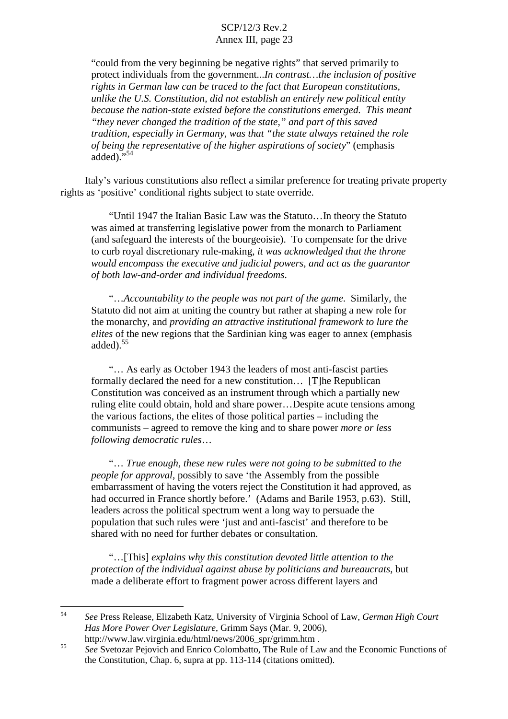"could from the very beginning be negative rights" that served primarily to protect individuals from the government...*In contrast…the inclusion of positive rights in German law can be traced to the fact that European constitutions, unlike the U.S. Constitution, did not establish an entirely new political entity because the nation-state existed before the constitutions emerged. This meant "they never changed the tradition of the state," and part of this saved tradition, especially in Germany, was that "the state always retained the role of being the representative of the higher aspirations of society*" (emphasis  $\alpha$ dded)."

Italy's various constitutions also reflect a similar preference for treating private property rights as 'positive' conditional rights subject to state override.

"Until 1947 the Italian Basic Law was the Statuto…In theory the Statuto was aimed at transferring legislative power from the monarch to Parliament (and safeguard the interests of the bourgeoisie). To compensate for the drive to curb royal discretionary rule-making, *it was acknowledged that the throne would encompass the executive and judicial powers, and act as the guarantor of both law-and-order and individual freedoms*.

"…*Accountability to the people was not part of the game*. Similarly, the Statuto did not aim at uniting the country but rather at shaping a new role for the monarchy, and *providing an attractive institutional framework to lure the elites* of the new regions that the Sardinian king was eager to annex (emphasis added). 55

"… As early as October 1943 the leaders of most anti-fascist parties formally declared the need for a new constitution… [T]he Republican Constitution was conceived as an instrument through which a partially new ruling elite could obtain, hold and share power…Despite acute tensions among the various factions, the elites of those political parties – including the communists – agreed to remove the king and to share power *more or less following democratic rules*…

"… *True enough, these new rules were not going to be submitted to the people for approval*, possibly to save 'the Assembly from the possible embarrassment of having the voters reject the Constitution it had approved, as had occurred in France shortly before.' (Adams and Barile 1953, p.63). Still, leaders across the political spectrum went a long way to persuade the population that such rules were 'just and anti-fascist' and therefore to be shared with no need for further debates or consultation.

"…[This] *explains why this constitution devoted little attention to the protection of the individual against abuse by politicians and bureaucrats*, but made a deliberate effort to fragment power across different layers and

<sup>54</sup> *See* Press Release, Elizabeth Katz, University of Virginia School of Law, *German High Court Has More Power Over Legislature*, Grimm Says (Mar. 9, 2006),

http://www.law.virginia.edu/html/news/2006\_spr/grimm.htm . <sup>55</sup> *See* Svetozar Pejovich and Enrico Colombatto, The Rule of Law and the Economic Functions of the Constitution, Chap. 6, supra at pp. 113-114 (citations omitted).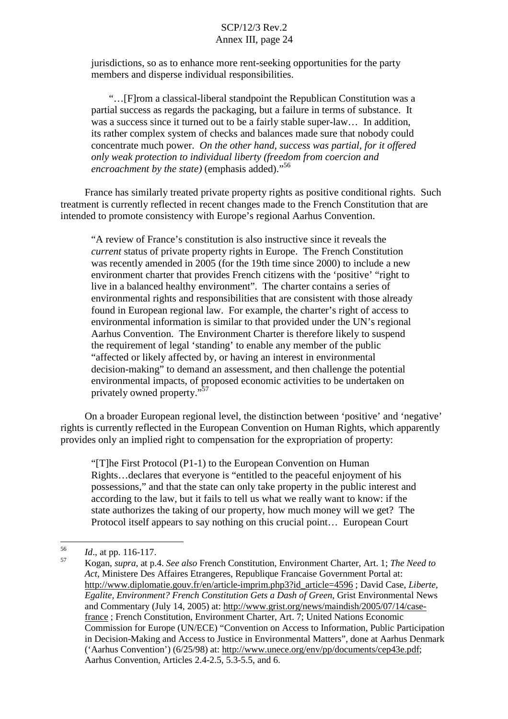jurisdictions, so as to enhance more rent-seeking opportunities for the party members and disperse individual responsibilities.

"…[F]rom a classical-liberal standpoint the Republican Constitution was a partial success as regards the packaging, but a failure in terms of substance. It was a success since it turned out to be a fairly stable super-law... In addition, its rather complex system of checks and balances made sure that nobody could concentrate much power. *On the other hand, success was partial, for it offered only weak protection to individual liberty (freedom from coercion and encroachment by the state)* (emphasis added)." 56

France has similarly treated private property rights as positive conditional rights. Such treatment is currently reflected in recent changes made to the French Constitution that are intended to promote consistency with Europe's regional Aarhus Convention.

"A review of France's constitution is also instructive since it reveals the *current* status of private property rights in Europe. The French Constitution was recently amended in 2005 (for the 19th time since 2000) to include a new environment charter that provides French citizens with the 'positive' "right to live in a balanced healthy environment". The charter contains a series of environmental rights and responsibilities that are consistent with those already found in European regional law. For example, the charter's right of access to environmental information is similar to that provided under the UN's regional Aarhus Convention. The Environment Charter is therefore likely to suspend the requirement of legal 'standing' to enable any member of the public "affected or likely affected by, or having an interest in environmental decision-making" to demand an assessment, and then challenge the potential environmental impacts, of proposed economic activities to be undertaken on privately owned property."<sup>57</sup>

On a broader European regional level, the distinction between 'positive' and 'negative' rights is currently reflected in the European Convention on Human Rights, which apparently provides only an implied right to compensation for the expropriation of property:

"[T]he First Protocol (P1-1) to the European Convention on Human Rights…declares that everyone is "entitled to the peaceful enjoyment of his possessions," and that the state can only take property in the public interest and according to the law, but it fails to tell us what we really want to know: if the state authorizes the taking of our property, how much money will we get? The Protocol itself appears to say nothing on this crucial point… European Court

<sup>56</sup> *Id*., at pp. 116-117. <sup>57</sup> Kogan, *supra*, at p.4. *See also* French Constitution, Environment Charter, Art. 1; *The Need to Act*, Ministere Des Affaires Etrangeres, Republique Francaise Government Portal at: http://www.diplomatie.gouv.fr/en/article-imprim.php3?id\_article=4596 ; David Case, *Liberte, Egalite, Environment? French Constitution Gets a Dash of Green*, Grist Environmental News and Commentary (July 14, 2005) at: http://www.grist.org/news/maindish/2005/07/14/casefrance ; French Constitution, Environment Charter, Art. 7; United Nations Economic Commission for Europe (UN/ECE) "Convention on Access to Information, Public Participation in Decision-Making and Access to Justice in Environmental Matters", done at Aarhus Denmark ('Aarhus Convention') (6/25/98) at: http://www.unece.org/env/pp/documents/cep43e.pdf; Aarhus Convention, Articles 2.4-2.5, 5.3-5.5, and 6.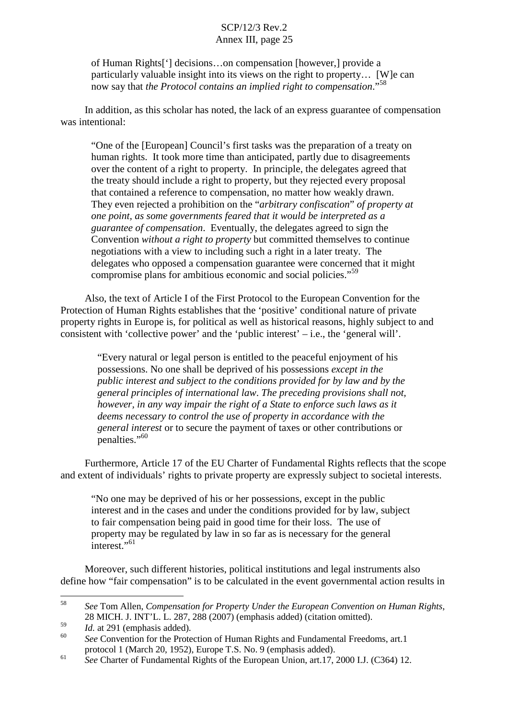of Human Rights['] decisions…on compensation [however,] provide a particularly valuable insight into its views on the right to property… [W]e can now say that *the Protocol contains an implied right to compensation*."<sup>58</sup>

In addition, as this scholar has noted, the lack of an express guarantee of compensation was intentional:

"One of the [European] Council's first tasks was the preparation of a treaty on human rights. It took more time than anticipated, partly due to disagreements over the content of a right to property. In principle, the delegates agreed that the treaty should include a right to property, but they rejected every proposal that contained a reference to compensation, no matter how weakly drawn. They even rejected a prohibition on the "*arbitrary confiscation*" *of property at one point, as some governments feared that it would be interpreted as a guarantee of compensation*. Eventually, the delegates agreed to sign the Convention *without a right to property* but committed themselves to continue negotiations with a view to including such a right in a later treaty. The delegates who opposed a compensation guarantee were concerned that it might compromise plans for ambitious economic and social policies." 59

Also, the text of Article I of the First Protocol to the European Convention for the Protection of Human Rights establishes that the 'positive' conditional nature of private property rights in Europe is, for political as well as historical reasons, highly subject to and consistent with 'collective power' and the 'public interest' – i.e., the 'general will'.

"Every natural or legal person is entitled to the peaceful enjoyment of his possessions. No one shall be deprived of his possessions *except in the public interest and subject to the conditions provided for by law and by the general principles of international law*. *The preceding provisions shall not, however, in any way impair the right of a State to enforce such laws as it deems necessary to control the use of property in accordance with the general interest* or to secure the payment of taxes or other contributions or penalties."<sup>60</sup>

Furthermore, Article 17 of the EU Charter of Fundamental Rights reflects that the scope and extent of individuals' rights to private property are expressly subject to societal interests.

"No one may be deprived of his or her possessions, except in the public interest and in the cases and under the conditions provided for by law, subject to fair compensation being paid in good time for their loss. The use of property may be regulated by law in so far as is necessary for the general interest."<sup>61</sup>

Moreover, such different histories, political institutions and legal instruments also define how "fair compensation" is to be calculated in the event governmental action results in

<sup>58</sup> *See* Tom Allen, *Compensation for Property Under the European Convention on Human Rights*, 28 MICH. J. INT'L. L. 287, 288 (2007) (emphasis added) (citation omitted).<br> *Id.* at 291 (emphasis added).<br> *See* Convention for the Protection of Human Rights and Fundamental Freedoms, art.1

protocol <sup>1</sup> (March 20, 1952), Europe T.S. No. <sup>9</sup> (emphasis added). <sup>61</sup> *See* Charter of Fundamental Rights of the European Union, art.17, <sup>2000</sup> I.J. (C364) 12.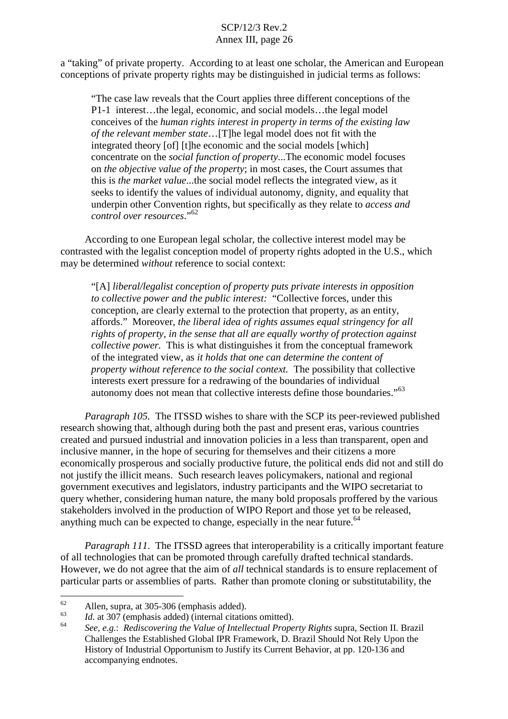a "taking" of private property. According to at least one scholar, the American and European conceptions of private property rights may be distinguished in judicial terms as follows:

"The case law reveals that the Court applies three different conceptions of the P1-1 interest…the legal, economic, and social models…the legal model conceives of the *human rights interest in property in terms of the existing law of the relevant member state*…[T]he legal model does not fit with the integrated theory [of] [t]he economic and the social models [which] concentrate on the *social function of property*...The economic model focuses on *the objective value of the property*; in most cases, the Court assumes that this is *the market value*...the social model reflects the integrated view, as it seeks to identify the values of individual autonomy, dignity, and equality that underpin other Convention rights, but specifically as they relate to *access and control over resources*."<sup>62</sup>

According to one European legal scholar, the collective interest model may be contrasted with the legalist conception model of property rights adopted in the U.S., which may be determined *without* reference to social context:

"[A] *liberal/legalist conception of property puts private interests in opposition to collective power and the public interest:* "Collective forces, under this conception, are clearly external to the protection that property, as an entity, affords." Moreover, *the liberal idea of rights assumes equal stringency for all rights of property, in the sense that all are equally worthy of protection against collective power.* This is what distinguishes it from the conceptual framework of the integrated view, as *it holds that one can determine the content of property without reference to the social context.* The possibility that collective interests exert pressure for a redrawing of the boundaries of individual autonomy does not mean that collective interests define those boundaries."<sup>63</sup>

*Paragraph 105.* The ITSSD wishes to share with the SCP its peer-reviewed published research showing that, although during both the past and present eras, various countries created and pursued industrial and innovation policies in a less than transparent, open and inclusive manner, in the hope of securing for themselves and their citizens a more economically prosperous and socially productive future, the political ends did not and still do not justify the illicit means. Such research leaves policymakers, national and regional government executives and legislators, industry participants and the WIPO secretariat to query whether, considering human nature, the many bold proposals proffered by the various stakeholders involved in the production of WIPO Report and those yet to be released, anything much can be expected to change, especially in the near future.<sup>64</sup>

*Paragraph 111*. The ITSSD agrees that interoperability is a critically important feature of all technologies that can be promoted through carefully drafted technical standards. However, we do not agree that the aim of *all* technical standards is to ensure replacement of particular parts or assemblies of parts. Rather than promote cloning or substitutability, the

<sup>&</sup>lt;sup>62</sup> Allen, supra, at 305-306 (emphasis added).<br> *Id.* at 307 (emphasis added) (internal citations omitted).<br> *See, e.g.: Rediscovering the Value of Intellectual Property Rights* supra, Section II. Brazil Challenges the Established Global IPR Framework, D. Brazil Should Not Rely Upon the History of Industrial Opportunism to Justify its Current Behavior, at pp. 120-136 and accompanying endnotes.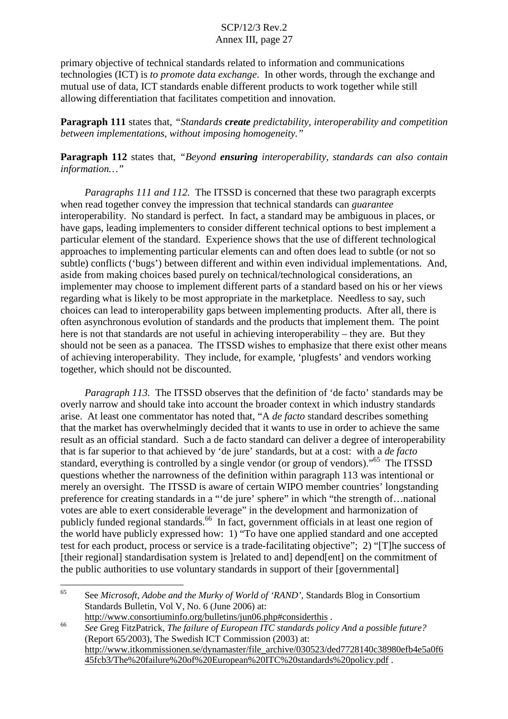primary objective of technical standards related to information and communications technologies (ICT) is *to promote data exchange*. In other words, through the exchange and mutual use of data, ICT standards enable different products to work together while still allowing differentiation that facilitates competition and innovation.

**Paragraph 111** states that, *"Standards create predictability, interoperability and competition between implementations, without imposing homogeneity."*

**Paragraph 112** states that, *"Beyond ensuring interoperability, standards can also contain information…"*

*Paragraphs 111 and 112.* The ITSSD is concerned that these two paragraph excerpts when read together convey the impression that technical standards can *guarantee* interoperability. No standard is perfect. In fact, a standard may be ambiguous in places, or have gaps, leading implementers to consider different technical options to best implement a particular element of the standard. Experience shows that the use of different technological approaches to implementing particular elements can and often does lead to subtle (or not so subtle) conflicts ('bugs') between different and within even individual implementations. And, aside from making choices based purely on technical/technological considerations, an implementer may choose to implement different parts of a standard based on his or her views regarding what is likely to be most appropriate in the marketplace. Needless to say, such choices can lead to interoperability gaps between implementing products. After all, there is often asynchronous evolution of standards and the products that implement them. The point here is not that standards are not useful in achieving interoperability – they are. But they should not be seen as a panacea. The ITSSD wishes to emphasize that there exist other means of achieving interoperability. They include, for example, 'plugfests' and vendors working together, which should not be discounted.

*Paragraph 113.* The ITSSD observes that the definition of 'de facto' standards may be overly narrow and should take into account the broader context in which industry standards arise. At least one commentator has noted that, "A *de facto* standard describes something that the market has overwhelmingly decided that it wants to use in order to achieve the same result as an official standard. Such a de facto standard can deliver a degree of interoperability that is far superior to that achieved by 'de jure' standards, but at a cost: with a *de facto* standard, everything is controlled by a single vendor (or group of vendors)."<sup>65</sup> The ITSSD questions whether the narrowness of the definition within paragraph 113 was intentional or merely an oversight. The ITSSD is aware of certain WIPO member countries' longstanding preference for creating standards in a "'de jure' sphere" in which "the strength of…national votes are able to exert considerable leverage" in the development and harmonization of publicly funded regional standards.<sup>66</sup> In fact, government officials in at least one region of the world have publicly expressed how: 1) "To have one applied standard and one accepted test for each product, process or service is a trade-facilitating objective"; 2) "[T]he success of [their regional] standardisation system is ]related to and] depend[ent] on the commitment of the public authorities to use voluntary standards in support of their [governmental]

<sup>65</sup> See *Microsoft, Adobe and the Murky of World of 'RAND'*, Standards Blog in Consortium Standards Bulletin, Vol V, No. 6 (June 2006) at:

http://www.consortiuminfo.org/bulletins/jun06.php#considerthis .<br>See Greg FitzPatrick, The failure of European ITC standards policy And a possible future? (Report 65/2003), The Swedish ICT Commission (2003) at: http://www.itkommissionen.se/dynamaster/file\_archive/030523/ded7728140c38980efb4e5a0f6 45fcb3/The%20failure%20of%20European%20ITC%20standards%20policy.pdf .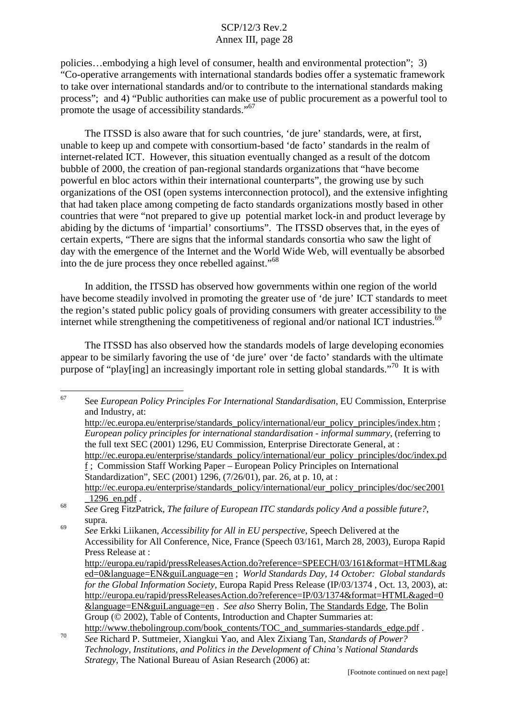policies…embodying a high level of consumer, health and environmental protection"; 3) "Co-operative arrangements with international standards bodies offer a systematic framework to take over international standards and/or to contribute to the international standards making process"; and 4) "Public authorities can make use of public procurement as a powerful tool to promote the usage of accessibility standards."<sup>67</sup>

The ITSSD is also aware that for such countries, 'de jure' standards, were, at first, unable to keep up and compete with consortium-based 'de facto' standards in the realm of internet-related ICT. However, this situation eventually changed as a result of the dotcom bubble of 2000, the creation of pan-regional standards organizations that "have become powerful en bloc actors within their international counterparts", the growing use by such organizations of the OSI (open systems interconnection protocol), and the extensive infighting that had taken place among competing de facto standards organizations mostly based in other countries that were "not prepared to give up potential market lock-in and product leverage by abiding by the dictums of 'impartial' consortiums". The ITSSD observes that, in the eyes of certain experts, "There are signs that the informal standards consortia who saw the light of day with the emergence of the Internet and the World Wide Web, will eventually be absorbed into the de jure process they once rebelled against." 68

In addition, the ITSSD has observed how governments within one region of the world have become steadily involved in promoting the greater use of 'de jure' ICT standards to meet the region's stated public policy goals of providing consumers with greater accessibility to the internet while strengthening the competitiveness of regional and/or national ICT industries.<sup>69</sup>

The ITSSD has also observed how the standards models of large developing economies appear to be similarly favoring the use of 'de jure' over 'de facto' standards with the ultimate purpose of "play[ing] an increasingly important role in setting global standards."<sup>70</sup> It is with

<sup>67</sup> See *European Policy Principles For International Standardisation*, EU Commission, Enterprise and Industry, at: http://ec.europa.eu/enterprise/standards\_policy/international/eur\_policy\_principles/index.htm ; *European policy principles for international standardisation - informal summary*, (referring to the full text SEC (2001) 1296, EU Commission, Enterprise Directorate General, at : http://ec.europa.eu/enterprise/standards\_policy/international/eur\_policy\_principles/doc/index.pd f ; Commission Staff Working Paper – European Policy Principles on International Standardization", SEC (2001) 1296, (7/26/01), par. 26, at p. 10, at : http://ec.europa.eu/enterprise/standards\_policy/international/eur\_policy\_principles/doc/sec2001 \_1296\_en.pdf . <sup>68</sup> *See* Greg FitzPatrick, *The failure of European ITC standards policy And <sup>a</sup> possible future?*, supra. <sup>69</sup> *See* Erkki Liikanen, *Accessibility for All in EU perspective*, Speech Delivered at the

Accessibility for All Conference, Nice, France (Speech 03/161, March 28, 2003), Europa Rapid Press Release at :

http://europa.eu/rapid/pressReleasesAction.do?reference=SPEECH/03/161&format=HTML&ag ed=0&language=EN&guiLanguage=en ; *World Standards Day, 14 October: Global standards for the Global Information Society*, Europa Rapid Press Release (IP/03/1374 , Oct. 13, 2003), at: http://europa.eu/rapid/pressReleasesAction.do?reference=IP/03/1374&format=HTML&aged=0 &language=EN&guiLanguage=en . *See also* Sherry Bolin, The Standards Edge, The Bolin Group (© 2002), Table of Contents, Introduction and Chapter Summaries at:

http://www.thebolingroup.com/book\_contents/TOC\_and\_summaries-standards\_edge.pdf . <sup>70</sup> *See* Richard P. Suttmeier, Xiangkui Yao, and Alex Zixiang Tan, *Standards of Power? Technology, Institutions, and Politics in the Development of China's National Standards Strategy*, The National Bureau of Asian Research (2006) at: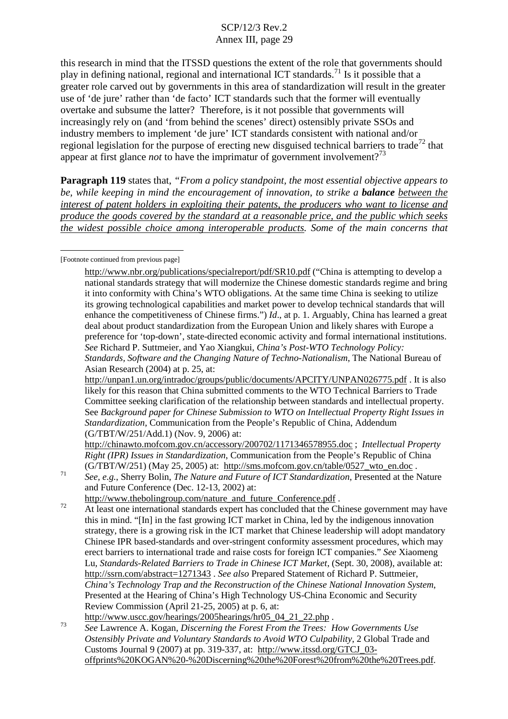this research in mind that the ITSSD questions the extent of the role that governments should play in defining national, regional and international ICT standards.<sup>71</sup> Is it possible that a greater role carved out by governments in this area of standardization will result in the greater use of 'de jure' rather than 'de facto' ICT standards such that the former will eventually overtake and subsume the latter? Therefore, is it not possible that governments will increasingly rely on (and 'from behind the scenes' direct) ostensibly private SSOs and industry members to implement 'de jure' ICT standards consistent with national and/or regional legislation for the purpose of erecting new disguised technical barriers to trade<sup>72</sup> that appear at first glance *not* to have the imprimatur of government involvement?<sup>73</sup>

**Paragraph 119** states that, *"From a policy standpoint, the most essential objective appears to be, while keeping in mind the encouragement of innovation, to strike a balance between the interest of patent holders in exploiting their patents, the producers who want to license and produce the goods covered by the standard at a reasonable price, and the public which seeks the widest possible choice among interoperable products. Some of the main concerns that*

#### [Footnote continued from previous page]

http://chinawto.mofcom.gov.cn/accessory/200702/1171346578955.doc ; *Intellectual Property Right (IPR) Issues in Standardization*, Communication from the People's Republic of China

(G/TBT/W/251) (May 25, 2005) at: http://sms.mofcom.gov.cn/table/0527\_wto\_en.doc.<br>See, e.g., Sherry Bolin, The Nature and Future of ICT Standardization, Presented at the Nature and Future Conference (Dec. 12-13, 2002) at:

http://www.thebolingroup.com/nature\_and\_future\_Conference.pdf .<br>At least one international standards expert has concluded that the Chinese government may have this in mind. "[In] in the fast growing ICT market in China, led by the indigenous innovation strategy, there is a growing risk in the ICT market that Chinese leadership will adopt mandatory Chinese IPR based-standards and over-stringent conformity assessment procedures, which may erect barriers to international trade and raise costs for foreign ICT companies." *See* Xiaomeng Lu*, Standards-Related Barriers to Trade in Chinese ICT Market*, (Sept. 30, 2008), available at: http://ssrn.com/abstract=1271343 . *See also* Prepared Statement of Richard P. Suttmeier, *China's Technology Trap and the Reconstruction of the Chinese National Innovation System*, Presented at the Hearing of China's High Technology US-China Economic and Security Review Commission (April 21-25, 2005) at p. 6, at:

http://www.uscc.gov/hearings/2005hearings/hr05\_04\_21\_22.php . <sup>73</sup> *See* Lawrence A. Kogan, *Discerning the Forest From the Trees: How Governments Use Ostensibly Private and Voluntary Standards to Avoid WTO Culpability*, 2 Global Trade and Customs Journal 9 (2007) at pp. 319-337, at: http://www.itssd.org/GTCJ\_03 offprints%20KOGAN%20-%20Discerning%20the%20Forest%20from%20the%20Trees.pdf.

http://www.nbr.org/publications/specialreport/pdf/SR10.pdf ("China is attempting to develop a national standards strategy that will modernize the Chinese domestic standards regime and bring it into conformity with China's WTO obligations. At the same time China is seeking to utilize its growing technological capabilities and market power to develop technical standards that will enhance the competitiveness of Chinese firms.") *Id*., at p. 1. Arguably, China has learned a great deal about product standardization from the European Union and likely shares with Europe a preference for 'top-down', state-directed economic activity and formal international institutions. *See* Richard P. Suttmeier, and Yao Xiangkui, *China's Post-WTO Technology Policy: Standards, Software and the Changing Nature of Techno-Nationalism*, The National Bureau of Asian Research (2004) at p. 25, at:

http://unpan1.un.org/intradoc/groups/public/documents/APCITY/UNPAN026775.pdf . It is also likely for this reason that China submitted comments to the WTO Technical Barriers to Trade Committee seeking clarification of the relationship between standards and intellectual property. See *Background paper for Chinese Submission to WTO on Intellectual Property Right Issues in Standardization*, Communication from the People's Republic of China, Addendum (G/TBT/W/251/Add.1) (Nov. 9, 2006) at: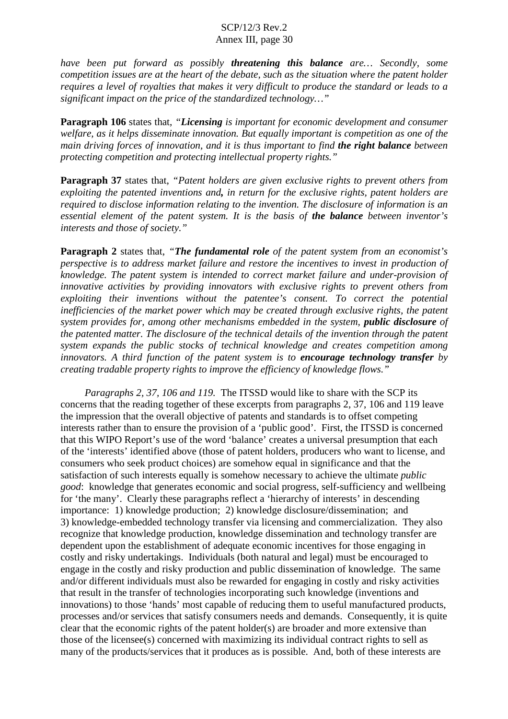*have been put forward as possibly threatening this balance are… Secondly, some competition issues are at the heart of the debate, such as the situation where the patent holder requires a level of royalties that makes it very difficult to produce the standard or leads to a significant impact on the price of the standardized technology…"*

**Paragraph 106** states that, *"Licensing is important for economic development and consumer welfare, as it helps disseminate innovation. But equally important is competition as one of the main driving forces of innovation, and it is thus important to find the right balance between protecting competition and protecting intellectual property rights."*

**Paragraph 37** states that, *"Patent holders are given exclusive rights to prevent others from exploiting the patented inventions and, in return for the exclusive rights, patent holders are required to disclose information relating to the invention. The disclosure of information is an essential element of the patent system. It is the basis of the balance between inventor's interests and those of society."*

**Paragraph 2** states that, *"The fundamental role of the patent system from an economist's perspective is to address market failure and restore the incentives to invest in production of knowledge. The patent system is intended to correct market failure and under-provision of innovative activities by providing innovators with exclusive rights to prevent others from exploiting their inventions without the patentee's consent. To correct the potential inefficiencies of the market power which may be created through exclusive rights, the patent system provides for, among other mechanisms embedded in the system, public disclosure of the patented matter. The disclosure of the technical details of the invention through the patent system expands the public stocks of technical knowledge and creates competition among innovators. A third function of the patent system is to encourage technology transfer by creating tradable property rights to improve the efficiency of knowledge flows."*

*Paragraphs 2, 37, 106 and 119.* The ITSSD would like to share with the SCP its concerns that the reading together of these excerpts from paragraphs 2, 37, 106 and 119 leave the impression that the overall objective of patents and standards is to offset competing interests rather than to ensure the provision of a 'public good'. First, the ITSSD is concerned that this WIPO Report's use of the word 'balance' creates a universal presumption that each of the 'interests' identified above (those of patent holders, producers who want to license, and consumers who seek product choices) are somehow equal in significance and that the satisfaction of such interests equally is somehow necessary to achieve the ultimate *public good*: knowledge that generates economic and social progress, self-sufficiency and wellbeing for 'the many'. Clearly these paragraphs reflect a 'hierarchy of interests' in descending importance: 1) knowledge production; 2) knowledge disclosure/dissemination; and 3) knowledge-embedded technology transfer via licensing and commercialization. They also recognize that knowledge production, knowledge dissemination and technology transfer are dependent upon the establishment of adequate economic incentives for those engaging in costly and risky undertakings. Individuals (both natural and legal) must be encouraged to engage in the costly and risky production and public dissemination of knowledge. The same and/or different individuals must also be rewarded for engaging in costly and risky activities that result in the transfer of technologies incorporating such knowledge (inventions and innovations) to those 'hands' most capable of reducing them to useful manufactured products, processes and/or services that satisfy consumers needs and demands. Consequently, it is quite clear that the economic rights of the patent holder(s) are broader and more extensive than those of the licensee(s) concerned with maximizing its individual contract rights to sell as many of the products/services that it produces as is possible. And, both of these interests are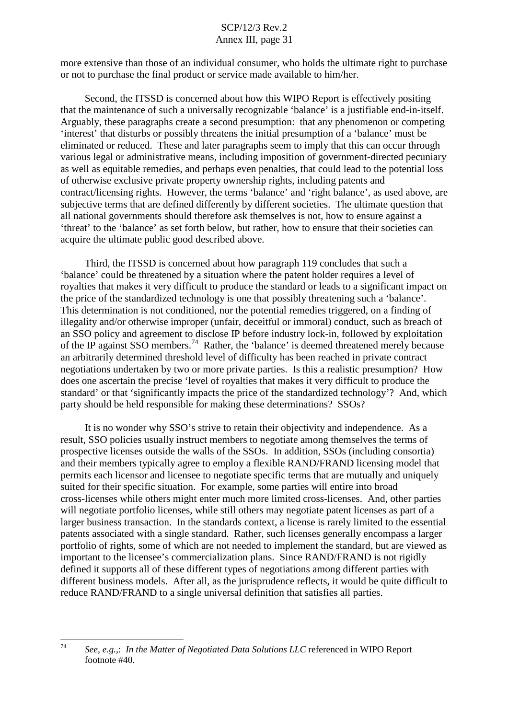more extensive than those of an individual consumer, who holds the ultimate right to purchase or not to purchase the final product or service made available to him/her.

Second, the ITSSD is concerned about how this WIPO Report is effectively positing that the maintenance of such a universally recognizable 'balance' is a justifiable end-in-itself. Arguably, these paragraphs create a second presumption: that any phenomenon or competing 'interest' that disturbs or possibly threatens the initial presumption of a 'balance' must be eliminated or reduced. These and later paragraphs seem to imply that this can occur through various legal or administrative means, including imposition of government-directed pecuniary as well as equitable remedies, and perhaps even penalties, that could lead to the potential loss of otherwise exclusive private property ownership rights, including patents and contract/licensing rights. However, the terms 'balance' and 'right balance', as used above, are subjective terms that are defined differently by different societies. The ultimate question that all national governments should therefore ask themselves is not, how to ensure against a 'threat' to the 'balance' as set forth below, but rather, how to ensure that their societies can acquire the ultimate public good described above.

Third, the ITSSD is concerned about how paragraph 119 concludes that such a 'balance' could be threatened by a situation where the patent holder requires a level of royalties that makes it very difficult to produce the standard or leads to a significant impact on the price of the standardized technology is one that possibly threatening such a 'balance'. This determination is not conditioned, nor the potential remedies triggered, on a finding of illegality and/or otherwise improper (unfair, deceitful or immoral) conduct, such as breach of an SSO policy and agreement to disclose IP before industry lock-in, followed by exploitation of the IP against SSO members.<sup>74</sup> Rather, the 'balance' is deemed threatened merely because an arbitrarily determined threshold level of difficulty has been reached in private contract negotiations undertaken by two or more private parties. Is this a realistic presumption? How does one ascertain the precise 'level of royalties that makes it very difficult to produce the standard' or that 'significantly impacts the price of the standardized technology'? And, which party should be held responsible for making these determinations? SSOs?

It is no wonder why SSO's strive to retain their objectivity and independence. As a result, SSO policies usually instruct members to negotiate among themselves the terms of prospective licenses outside the walls of the SSOs. In addition, SSOs (including consortia) and their members typically agree to employ a flexible RAND/FRAND licensing model that permits each licensor and licensee to negotiate specific terms that are mutually and uniquely suited for their specific situation. For example, some parties will entire into broad cross-licenses while others might enter much more limited cross-licenses. And, other parties will negotiate portfolio licenses, while still others may negotiate patent licenses as part of a larger business transaction. In the standards context, a license is rarely limited to the essential patents associated with a single standard. Rather, such licenses generally encompass a larger portfolio of rights, some of which are not needed to implement the standard, but are viewed as important to the licensee's commercialization plans. Since RAND/FRAND is not rigidly defined it supports all of these different types of negotiations among different parties with different business models. After all, as the jurisprudence reflects, it would be quite difficult to reduce RAND/FRAND to a single universal definition that satisfies all parties.

<sup>74</sup> *See, e.g.*,: *In the Matter of Negotiated Data Solutions LLC* referenced in WIPO Report footnote #40.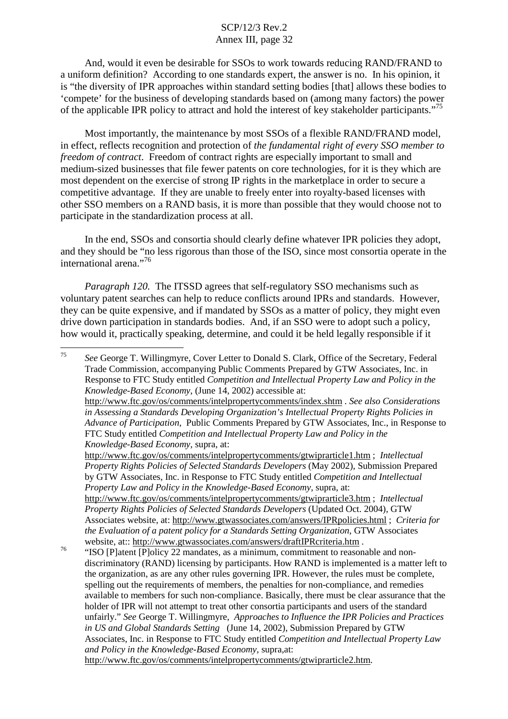And, would it even be desirable for SSOs to work towards reducing RAND/FRAND to a uniform definition? According to one standards expert, the answer is no. In his opinion, it is "the diversity of IPR approaches within standard setting bodies [that] allows these bodies to 'compete' for the business of developing standards based on (among many factors) the power of the applicable IPR policy to attract and hold the interest of key stakeholder participants." 75

Most importantly, the maintenance by most SSOs of a flexible RAND/FRAND model, in effect, reflects recognition and protection of *the fundamental right of every SSO member to freedom of contract*. Freedom of contract rights are especially important to small and medium-sized businesses that file fewer patents on core technologies, for it is they which are most dependent on the exercise of strong IP rights in the marketplace in order to secure a competitive advantage. If they are unable to freely enter into royalty-based licenses with other SSO members on a RAND basis, it is more than possible that they would choose not to participate in the standardization process at all.

In the end, SSOs and consortia should clearly define whatever IPR policies they adopt, and they should be "no less rigorous than those of the ISO, since most consortia operate in the international arena." 76

*Paragraph 120.* The ITSSD agrees that self-regulatory SSO mechanisms such as voluntary patent searches can help to reduce conflicts around IPRs and standards. However, they can be quite expensive, and if mandated by SSOs as a matter of policy, they might even drive down participation in standards bodies. And, if an SSO were to adopt such a policy, how would it, practically speaking, determine, and could it be held legally responsible if it

<sup>75</sup> *See* George T. Willingmyre, Cover Letter to Donald S. Clark, Office of the Secretary, Federal Trade Commission, accompanying Public Comments Prepared by GTW Associates, Inc. in Response to FTC Study entitled *Competition and Intellectual Property Law and Policy in the Knowledge-Based Economy*, (June 14, 2002) accessible at: http://www.ftc.gov/os/comments/intelpropertycomments/index.shtm . *See also Considerations in Assessing a Standards Developing Organization's Intellectual Property Rights Policies in Advance of Participation*, Public Comments Prepared by GTW Associates, Inc., in Response to FTC Study entitled *Competition and Intellectual Property Law and Policy in the Knowledge-Based Economy,* supra, at: http://www.ftc.gov/os/comments/intelpropertycomments/gtwiprarticle1.htm ; *Intellectual Property Rights Policies of Selected Standards Developers* (May 2002), Submission Prepared by GTW Associates, Inc. in Response to FTC Study entitled *Competition and Intellectual Property Law and Policy in the Knowledge-Based Economy,* supra, at: http://www.ftc.gov/os/comments/intelpropertycomments/gtwiprarticle3.htm ; *Intellectual Property Rights Policies of Selected Standards Developers* (Updated Oct. 2004), GTW Associates website, at: http://www.gtwassociates.com/answers/IPRpolicies.html ; *Criteria for the Evaluation of a patent policy for a Standards Setting Organization*, GTW Associates <sup>76</sup> "ISO [P]atent [P]olicy 22 mandates, as a minimum, commitment to reasonable and nondiscriminatory (RAND) licensing by participants. How RAND is implemented is a matter left to the organization, as are any other rules governing IPR. However, the rules must be complete, spelling out the requirements of members, the penalties for non-compliance, and remedies available to members for such non-compliance. Basically, there must be clear assurance that the holder of IPR will not attempt to treat other consortia participants and users of the standard

unfairly." *See* George T. Willingmyre, *Approaches to Influence the IPR Policies and Practices in US and Global Standards Setting* (June 14, 2002), Submission Prepared by GTW Associates, Inc. in Response to FTC Study entitled *Competition and Intellectual Property Law and Policy in the Knowledge-Based Economy,* supra,at:

http://www.ftc.gov/os/comments/intelpropertycomments/gtwiprarticle2.htm.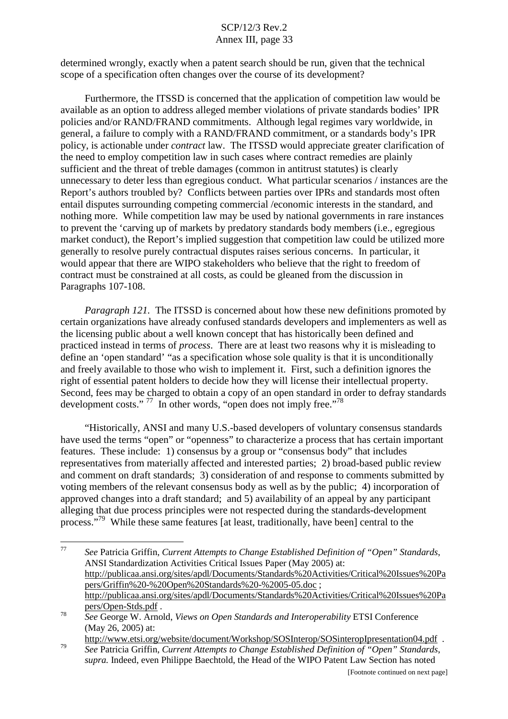determined wrongly, exactly when a patent search should be run, given that the technical scope of a specification often changes over the course of its development?

Furthermore, the ITSSD is concerned that the application of competition law would be available as an option to address alleged member violations of private standards bodies' IPR policies and/or RAND/FRAND commitments. Although legal regimes vary worldwide, in general, a failure to comply with a RAND/FRAND commitment, or a standards body's IPR policy, is actionable under *contract* law. The ITSSD would appreciate greater clarification of the need to employ competition law in such cases where contract remedies are plainly sufficient and the threat of treble damages (common in antitrust statutes) is clearly unnecessary to deter less than egregious conduct. What particular scenarios / instances are the Report's authors troubled by? Conflicts between parties over IPRs and standards most often entail disputes surrounding competing commercial /economic interests in the standard, and nothing more. While competition law may be used by national governments in rare instances to prevent the 'carving up of markets by predatory standards body members (i.e., egregious market conduct), the Report's implied suggestion that competition law could be utilized more generally to resolve purely contractual disputes raises serious concerns. In particular, it would appear that there are WIPO stakeholders who believe that the right to freedom of contract must be constrained at all costs, as could be gleaned from the discussion in Paragraphs 107-108.

*Paragraph 121.* The ITSSD is concerned about how these new definitions promoted by certain organizations have already confused standards developers and implementers as well as the licensing public about a well known concept that has historically been defined and practiced instead in terms of *process*. There are at least two reasons why it is misleading to define an 'open standard' "as a specification whose sole quality is that it is unconditionally and freely available to those who wish to implement it. First, such a definition ignores the right of essential patent holders to decide how they will license their intellectual property. Second, fees may be charged to obtain a copy of an open standard in order to defray standards development costs."  $^{77}$  In other words, "open does not imply free."<sup>78</sup>

"Historically, ANSI and many U.S.-based developers of voluntary consensus standards have used the terms "open" or "openness" to characterize a process that has certain important features. These include: 1) consensus by a group or "consensus body" that includes representatives from materially affected and interested parties; 2) broad-based public review and comment on draft standards; 3) consideration of and response to comments submitted by voting members of the relevant consensus body as well as by the public; 4) incorporation of approved changes into a draft standard; and 5) availability of an appeal by any participant alleging that due process principles were not respected during the standards-development process."<sup>79</sup> While these same features [at least, traditionally, have been] central to the

<sup>77</sup> *See* Patricia Griffin, *Current Attempts to Change Established Definition of "Open" Standards*, ANSI Standardization Activities Critical Issues Paper (May 2005) at: http://publicaa.ansi.org/sites/apdl/Documents/Standards%20Activities/Critical%20Issues%20Pa pers/Griffin%20-%20Open%20Standards%20-%2005-05.doc ; http://publicaa.ansi.org/sites/apdl/Documents/Standards%20Activities/Critical%20Issues%20Pa pers/Open-Stds.pdf . <sup>78</sup> *See* George W. Arnold, *Views on Open Standards and Interoperability* ETSI Conference

<sup>(</sup>May 26, 2005) at:

http://www.etsi.org/website/document/Workshop/SOSInterop/SOSinteropIpresentation04.pdf .<br>See Patricia Griffin, Current Attempts to Change Established Definition of "Open" Standards,

*supra.* Indeed, even Philippe Baechtold, the Head of the WIPO Patent Law Section has noted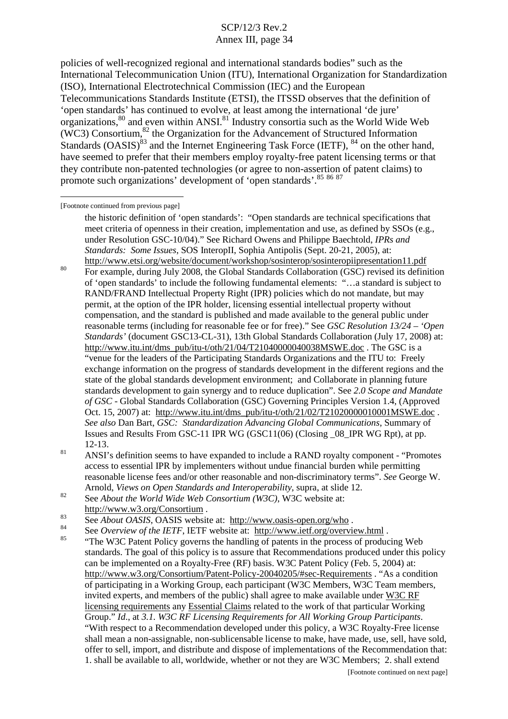policies of well-recognized regional and international standards bodies" such as the International Telecommunication Union (ITU), International Organization for Standardization (ISO), International Electrotechnical Commission (IEC) and the European Telecommunications Standards Institute (ETSI), the ITSSD observes that the definition of 'open standards' has continued to evolve, at least among the international 'de jure' organizations,<sup>80</sup> and even within ANSI.<sup>81</sup> Industry consortia such as the World Wide Web (WC3) Consortium, <sup>82</sup> the Organization for the Advancement of Structured Information Standards (OASIS)<sup>83</sup> and the Internet Engineering Task Force (IETF), <sup>84</sup> on the other hand, have seemed to prefer that their members employ royalty-free patent licensing terms or that they contribute non-patented technologies (or agree to non-assertion of patent claims) to promote such organizations' development of 'open standards'.<sup>85 86 87</sup>

[Footnote continued from previous page]

<sup>80</sup> For example, during July 2008, the Global Standards Collaboration (GSC) revised its definition of 'open standards' to include the following fundamental elements: "…a standard is subject to RAND/FRAND Intellectual Property Right (IPR) policies which do not mandate, but may permit, at the option of the IPR holder, licensing essential intellectual property without compensation, and the standard is published and made available to the general public under reasonable terms (including for reasonable fee or for free)." See *GSC Resolution 13/24 – 'Open Standards'* (document GSC13-CL-31), 13th Global Standards Collaboration (July 17, 2008) at: http://www.itu.int/dms\_pub/itu-t/oth/21/04/T21040000040038MSWE.doc . The GSC is a "venue for the leaders of the Participating Standards Organizations and the ITU to: Freely exchange information on the progress of standards development in the different regions and the state of the global standards development environment; and Collaborate in planning future standards development to gain synergy and to reduce duplication". See *2.0 Scope and Mandate of GSC* - Global Standards Collaboration (GSC) Governing Principles Version 1.4, (Approved Oct. 15, 2007) at: http://www.itu.int/dms\_pub/itu-t/oth/21/02/T21020000010001MSWE.doc . *See also* Dan Bart, *GSC: Standardization Advancing Global Communications*, Summary of Issues and Results From GSC-11 IPR WG (GSC11(06) (Closing \_08\_IPR WG Rpt), at pp.

- 12-13.<br><sup>81</sup> ANSI's definition seems to have expanded to include a RAND royalty component "Promotes" access to essential IPR by implementers without undue financial burden while permitting reasonable license fees and/or other reasonable and non-discriminatory terms". *See* George W.
- Arnold, *Views on Open Standards and Interoperability*, supra, at slide 12.<br>See About the World Wide Web Consortium (W3C), W3C website at:
- 
- http://www.w3.org/Consortium<br>See About OASIS, OASIS website at: http://www.oasis-open.org/who.<br>See Overview of the IETF, IETF website at: http://www.ietf.org/overview.html .<br>See Overview of the IETF, IETF website at: http:
- standards. The goal of this policy is to assure that Recommendations produced under this policy can be implemented on a Royalty-Free (RF) basis. W3C Patent Policy (Feb. 5, 2004) at: http://www.w3.org/Consortium/Patent-Policy-20040205/#sec-Requirements . "As a condition of participating in a Working Group, each participant (W3C Members, W3C Team members, invited experts, and members of the public) shall agree to make available under W3C RF licensing requirements any Essential Claims related to the work of that particular Working Group." *Id*., at *3.1. W3C RF Licensing Requirements for All Working Group Participants*. "With respect to a Recommendation developed under this policy, a W3C Royalty-Free license shall mean a non-assignable, non-sublicensable license to make, have made, use, sell, have sold, offer to sell, import, and distribute and dispose of implementations of the Recommendation that: 1. shall be available to all, worldwide, whether or not they are W3C Members; 2. shall extend

the historic definition of 'open standards': "Open standards are technical specifications that meet criteria of openness in their creation, implementation and use, as defined by SSOs (e.g., under Resolution GSC-10/04)." See Richard Owens and Philippe Baechtold, *IPRs and Standards: Some Issues*, SOS InteropII, Sophia Antipolis (Sept. 20-21, 2005), at: http://www.etsi.org/website/document/workshop/sosinterop/sosinteropiipresentation11.pdf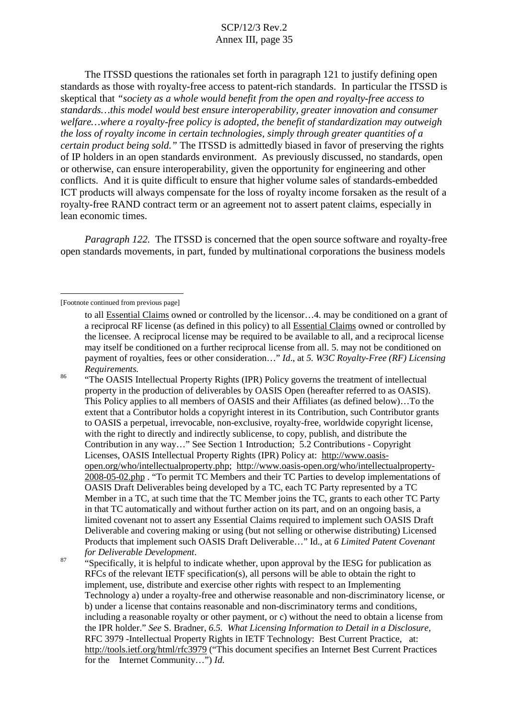The ITSSD questions the rationales set forth in paragraph 121 to justify defining open standards as those with royalty-free access to patent-rich standards. In particular the ITSSD is skeptical that *"society as a whole would benefit from the open and royalty-free access to standards…this model would best ensure interoperability, greater innovation and consumer welfare…where a royalty-free policy is adopted, the benefit of standardization may outweigh the loss of royalty income in certain technologies, simply through greater quantities of a certain product being sold."* The ITSSD is admittedly biased in favor of preserving the rights of IP holders in an open standards environment. As previously discussed, no standards, open or otherwise, can ensure interoperability, given the opportunity for engineering and other conflicts. And it is quite difficult to ensure that higher volume sales of standards-embedded ICT products will always compensate for the loss of royalty income forsaken as the result of a royalty-free RAND contract term or an agreement not to assert patent claims, especially in lean economic times.

*Paragraph 122.* The ITSSD is concerned that the open source software and royalty-free open standards movements, in part, funded by multinational corporations the business models

property in the production of deliverables by OASIS Open (hereafter referred to as OASIS). This Policy applies to all members of OASIS and their Affiliates (as defined below)…To the extent that a Contributor holds a copyright interest in its Contribution, such Contributor grants to OASIS a perpetual, irrevocable, non-exclusive, royalty-free, worldwide copyright license, with the right to directly and indirectly sublicense, to copy, publish, and distribute the Contribution in any way…" See Section 1 Introduction; 5.2 Contributions - Copyright Licenses, OASIS Intellectual Property Rights (IPR) Policy at: http://www.oasisopen.org/who/intellectualproperty.php; http://www.oasis-open.org/who/intellectualproperty-2008-05-02.php . "To permit TC Members and their TC Parties to develop implementations of OASIS Draft Deliverables being developed by a TC, each TC Party represented by a TC Member in a TC, at such time that the TC Member joins the TC, grants to each other TC Party in that TC automatically and without further action on its part, and on an ongoing basis, a limited covenant not to assert any Essential Claims required to implement such OASIS Draft Deliverable and covering making or using (but not selling or otherwise distributing) Licensed Products that implement such OASIS Draft Deliverable…" Id., at *6 Limited Patent Covenant*

<sup>87</sup> "Specifically, it is helpful to indicate whether, upon approval by the IESG for publication as RFCs of the relevant IETF specification(s), all persons will be able to obtain the right to implement, use, distribute and exercise other rights with respect to an Implementing Technology a) under a royalty-free and otherwise reasonable and non-discriminatory license, or b) under a license that contains reasonable and non-discriminatory terms and conditions, including a reasonable royalty or other payment, or c) without the need to obtain a license from the IPR holder." *See* S. Bradner, *6.5. What Licensing Information to Detail in a Disclosure*, RFC 3979 -Intellectual Property Rights in IETF Technology: Best Current Practice, at: http://tools.ietf.org/html/rfc3979 ("This document specifies an Internet Best Current Practices for the Internet Community…") *Id*.

<sup>[</sup>Footnote continued from previous page]

to all Essential Claims owned or controlled by the licensor…4. may be conditioned on a grant of a reciprocal RF license (as defined in this policy) to all Essential Claims owned or controlled by the licensee. A reciprocal license may be required to be available to all, and a reciprocal license may itself be conditioned on a further reciprocal license from all. 5. may not be conditioned on payment of royalties, fees or other consideration…" *Id*., at *5. W3C Royalty-Free (RF) Licensing Requirements.*<br><sup>86</sup> "The OASIS Intellectual Property Rights (IPR) Policy governs the treatment of intellectual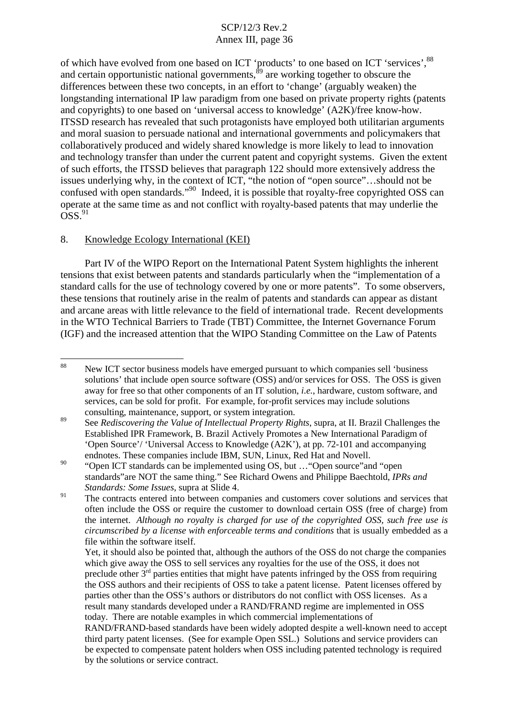of which have evolved from one based on ICT 'products' to one based on ICT 'services', 88 and certain opportunistic national governments, <sup>89</sup> are working together to obscure the differences between these two concepts, in an effort to 'change' (arguably weaken) the longstanding international IP law paradigm from one based on private property rights (patents and copyrights) to one based on 'universal access to knowledge' (A2K)/free know-how. ITSSD research has revealed that such protagonists have employed both utilitarian arguments and moral suasion to persuade national and international governments and policymakers that collaboratively produced and widely shared knowledge is more likely to lead to innovation and technology transfer than under the current patent and copyright systems. Given the extent of such efforts, the ITSSD believes that paragraph 122 should more extensively address the issues underlying why, in the context of ICT, "the notion of "open source"…should not be confused with open standards."<sup>90</sup> Indeed, it is possible that royalty-free copyrighted OSS can operate at the same time as and not conflict with royalty-based patents that may underlie the  $\overline{O}SS.^{91}$ 

#### 8. Knowledge Ecology International (KEI)

Part IV of the WIPO Report on the International Patent System highlights the inherent tensions that exist between patents and standards particularly when the "implementation of a standard calls for the use of technology covered by one or more patents". To some observers, these tensions that routinely arise in the realm of patents and standards can appear as distant and arcane areas with little relevance to the field of international trade. Recent developments in the WTO Technical Barriers to Trade (TBT) Committee, the Internet Governance Forum (IGF) and the increased attention that the WIPO Standing Committee on the Law of Patents

<sup>88</sup> New ICT sector business models have emerged pursuant to which companies sell 'business solutions' that include open source software (OSS) and/or services for OSS. The OSS is given away for free so that other components of an IT solution, *i.e.*, hardware, custom software, and services, can be sold for profit. For example, for-profit services may include solutions consulting, maintenance, support, or system integration. <sup>89</sup> See *Rediscovering the Value of Intellectual Property Rights*, supra, at II. Brazil Challenges the

Established IPR Framework, B. Brazil Actively Promotes a New International Paradigm of 'Open Source'/ 'Universal Access to Knowledge (A2K'), at pp. 72-101 and accompanying

endnotes. These companies include IBM, SUN, Linux, Red Hat and Novell.<br><sup>90</sup> "Open ICT standards can be implemented using OS, but ..."Open source"and "open standards"are NOT the same thing." See Richard Owens and Philippe Baechtold, *IPRs and Standards: Some Issues*, supra at Slide 4.<br><sup>91</sup> The contracts entered into between companies and customers cover solutions and services that

often include the OSS or require the customer to download certain OSS (free of charge) from the internet. *Although no royalty is charged for use of the copyrighted OSS, such free use is circumscribed by a license with enforceable terms and conditions* that is usually embedded as a file within the software itself.

Yet, it should also be pointed that, although the authors of the OSS do not charge the companies which give away the OSS to sell services any royalties for the use of the OSS, it does not preclude other  $3<sup>rd</sup>$  parties entities that might have patents infringed by the OSS from requiring the OSS authors and their recipients of OSS to take a patent license. Patent licenses offered by parties other than the OSS's authors or distributors do not conflict with OSS licenses. As a result many standards developed under a RAND/FRAND regime are implemented in OSS today. There are notable examples in which commercial implementations of RAND/FRAND-based standards have been widely adopted despite a well-known need to accept third party patent licenses. (See for example Open SSL.) Solutions and service providers can be expected to compensate patent holders when OSS including patented technology is required by the solutions or service contract.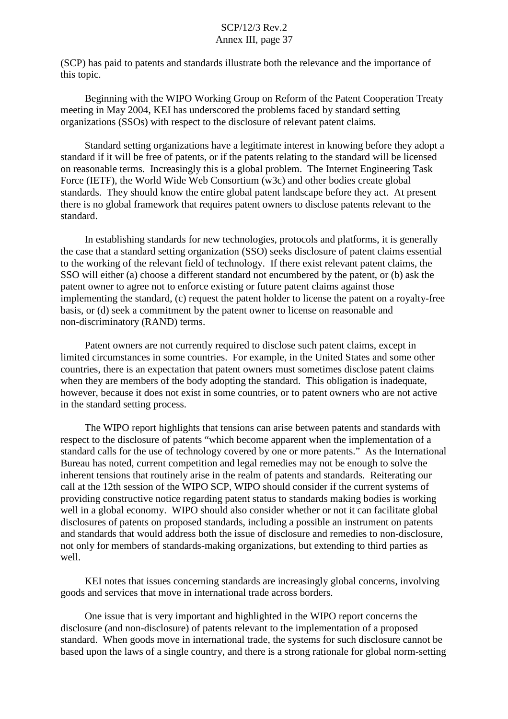(SCP) has paid to patents and standards illustrate both the relevance and the importance of this topic.

Beginning with the WIPO Working Group on Reform of the Patent Cooperation Treaty meeting in May 2004, KEI has underscored the problems faced by standard setting organizations (SSOs) with respect to the disclosure of relevant patent claims.

Standard setting organizations have a legitimate interest in knowing before they adopt a standard if it will be free of patents, or if the patents relating to the standard will be licensed on reasonable terms. Increasingly this is a global problem. The Internet Engineering Task Force (IETF), the World Wide Web Consortium (w3c) and other bodies create global standards. They should know the entire global patent landscape before they act. At present there is no global framework that requires patent owners to disclose patents relevant to the standard.

In establishing standards for new technologies, protocols and platforms, it is generally the case that a standard setting organization (SSO) seeks disclosure of patent claims essential to the working of the relevant field of technology. If there exist relevant patent claims, the SSO will either (a) choose a different standard not encumbered by the patent, or (b) ask the patent owner to agree not to enforce existing or future patent claims against those implementing the standard, (c) request the patent holder to license the patent on a royalty-free basis, or (d) seek a commitment by the patent owner to license on reasonable and non-discriminatory (RAND) terms.

Patent owners are not currently required to disclose such patent claims, except in limited circumstances in some countries. For example, in the United States and some other countries, there is an expectation that patent owners must sometimes disclose patent claims when they are members of the body adopting the standard. This obligation is inadequate, however, because it does not exist in some countries, or to patent owners who are not active in the standard setting process.

The WIPO report highlights that tensions can arise between patents and standards with respect to the disclosure of patents "which become apparent when the implementation of a standard calls for the use of technology covered by one or more patents." As the International Bureau has noted, current competition and legal remedies may not be enough to solve the inherent tensions that routinely arise in the realm of patents and standards. Reiterating our call at the 12th session of the WIPO SCP, WIPO should consider if the current systems of providing constructive notice regarding patent status to standards making bodies is working well in a global economy. WIPO should also consider whether or not it can facilitate global disclosures of patents on proposed standards, including a possible an instrument on patents and standards that would address both the issue of disclosure and remedies to non-disclosure, not only for members of standards-making organizations, but extending to third parties as well.

KEI notes that issues concerning standards are increasingly global concerns, involving goods and services that move in international trade across borders.

One issue that is very important and highlighted in the WIPO report concerns the disclosure (and non-disclosure) of patents relevant to the implementation of a proposed standard. When goods move in international trade, the systems for such disclosure cannot be based upon the laws of a single country, and there is a strong rationale for global norm-setting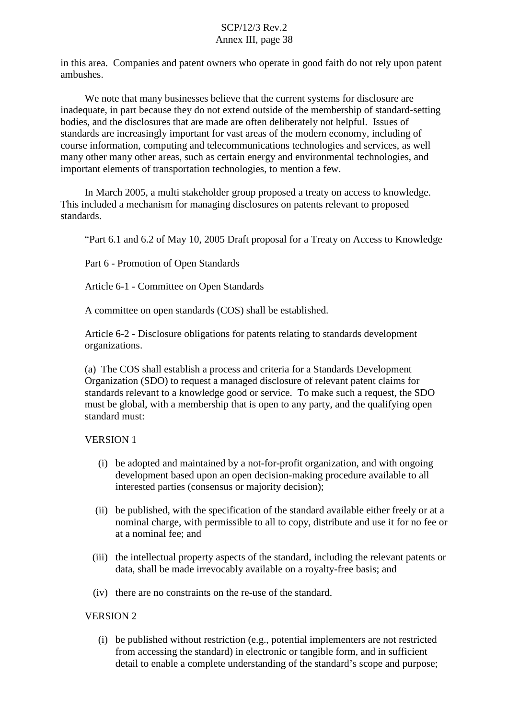in this area. Companies and patent owners who operate in good faith do not rely upon patent ambushes.

We note that many businesses believe that the current systems for disclosure are inadequate, in part because they do not extend outside of the membership of standard-setting bodies, and the disclosures that are made are often deliberately not helpful. Issues of standards are increasingly important for vast areas of the modern economy, including of course information, computing and telecommunications technologies and services, as well many other many other areas, such as certain energy and environmental technologies, and important elements of transportation technologies, to mention a few.

In March 2005, a multi stakeholder group proposed a treaty on access to knowledge. This included a mechanism for managing disclosures on patents relevant to proposed standards.

"Part 6.1 and 6.2 of May 10, 2005 Draft proposal for a Treaty on Access to Knowledge

Part 6 - Promotion of Open Standards

Article 6-1 - Committee on Open Standards

A committee on open standards (COS) shall be established.

Article 6-2 - Disclosure obligations for patents relating to standards development organizations.

(a) The COS shall establish a process and criteria for a Standards Development Organization (SDO) to request a managed disclosure of relevant patent claims for standards relevant to a knowledge good or service. To make such a request, the SDO must be global, with a membership that is open to any party, and the qualifying open standard must:

#### VERSION 1

- (i) be adopted and maintained by a not-for-profit organization, and with ongoing development based upon an open decision-making procedure available to all interested parties (consensus or majority decision);
- (ii) be published, with the specification of the standard available either freely or at a nominal charge, with permissible to all to copy, distribute and use it for no fee or at a nominal fee; and
- (iii) the intellectual property aspects of the standard, including the relevant patents or data, shall be made irrevocably available on a royalty-free basis; and
- (iv) there are no constraints on the re-use of the standard.

#### VERSION 2

(i) be published without restriction (e.g., potential implementers are not restricted from accessing the standard) in electronic or tangible form, and in sufficient detail to enable a complete understanding of the standard's scope and purpose;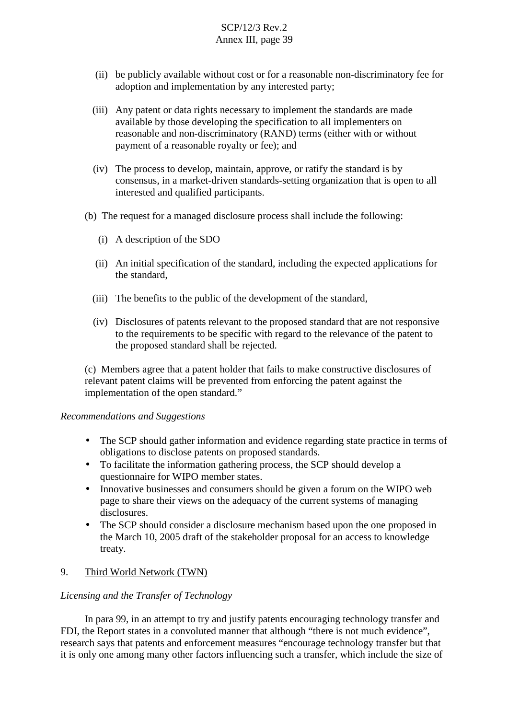- (ii) be publicly available without cost or for a reasonable non-discriminatory fee for adoption and implementation by any interested party;
- (iii) Any patent or data rights necessary to implement the standards are made available by those developing the specification to all implementers on reasonable and non-discriminatory (RAND) terms (either with or without payment of a reasonable royalty or fee); and
- (iv) The process to develop, maintain, approve, or ratify the standard is by consensus, in a market-driven standards-setting organization that is open to all interested and qualified participants.
- (b) The request for a managed disclosure process shall include the following:
	- (i) A description of the SDO
	- (ii) An initial specification of the standard, including the expected applications for the standard,
	- (iii) The benefits to the public of the development of the standard,
	- (iv) Disclosures of patents relevant to the proposed standard that are not responsive to the requirements to be specific with regard to the relevance of the patent to the proposed standard shall be rejected.

(c) Members agree that a patent holder that fails to make constructive disclosures of relevant patent claims will be prevented from enforcing the patent against the implementation of the open standard."

#### *Recommendations and Suggestions*

- The SCP should gather information and evidence regarding state practice in terms of obligations to disclose patents on proposed standards.
- To facilitate the information gathering process, the SCP should develop a questionnaire for WIPO member states.
- Innovative businesses and consumers should be given a forum on the WIPO web page to share their views on the adequacy of the current systems of managing disclosures.
- The SCP should consider a disclosure mechanism based upon the one proposed in the March 10, 2005 draft of the stakeholder proposal for an access to knowledge treaty.

## 9. Third World Network (TWN)

## *Licensing and the Transfer of Technology*

In para 99, in an attempt to try and justify patents encouraging technology transfer and FDI, the Report states in a convoluted manner that although "there is not much evidence", research says that patents and enforcement measures "encourage technology transfer but that it is only one among many other factors influencing such a transfer, which include the size of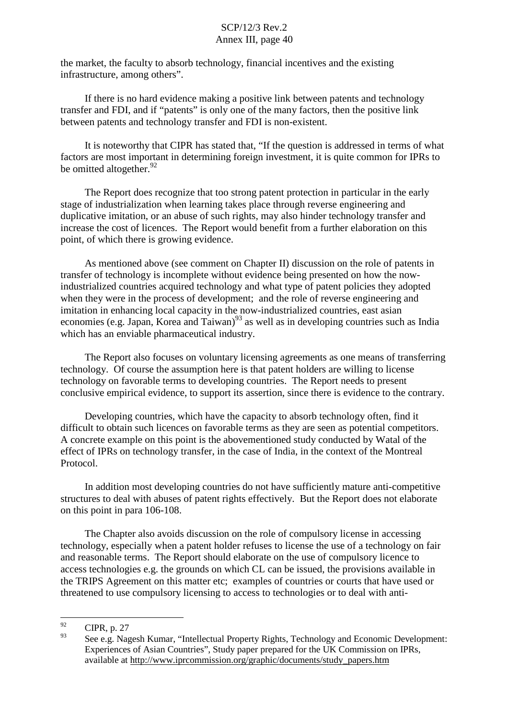the market, the faculty to absorb technology, financial incentives and the existing infrastructure, among others".

If there is no hard evidence making a positive link between patents and technology transfer and FDI, and if "patents" is only one of the many factors, then the positive link between patents and technology transfer and FDI is non-existent.

It is noteworthy that CIPR has stated that, "If the question is addressed in terms of what factors are most important in determining foreign investment, it is quite common for IPRs to be omitted altogether.<sup>92</sup>

The Report does recognize that too strong patent protection in particular in the early stage of industrialization when learning takes place through reverse engineering and duplicative imitation, or an abuse of such rights, may also hinder technology transfer and increase the cost of licences. The Report would benefit from a further elaboration on this point, of which there is growing evidence.

As mentioned above (see comment on Chapter II) discussion on the role of patents in transfer of technology is incomplete without evidence being presented on how the nowindustrialized countries acquired technology and what type of patent policies they adopted when they were in the process of development; and the role of reverse engineering and imitation in enhancing local capacity in the now-industrialized countries, east asian economies (e.g. Japan, Korea and Taiwan)<sup>93</sup> as well as in developing countries such as India which has an enviable pharmaceutical industry.

The Report also focuses on voluntary licensing agreements as one means of transferring technology. Of course the assumption here is that patent holders are willing to license technology on favorable terms to developing countries. The Report needs to present conclusive empirical evidence, to support its assertion, since there is evidence to the contrary.

Developing countries, which have the capacity to absorb technology often, find it difficult to obtain such licences on favorable terms as they are seen as potential competitors. A concrete example on this point is the abovementioned study conducted by Watal of the effect of IPRs on technology transfer, in the case of India, in the context of the Montreal Protocol.

In addition most developing countries do not have sufficiently mature anti-competitive structures to deal with abuses of patent rights effectively. But the Report does not elaborate on this point in para 106-108.

The Chapter also avoids discussion on the role of compulsory license in accessing technology, especially when a patent holder refuses to license the use of a technology on fair and reasonable terms. The Report should elaborate on the use of compulsory licence to access technologies e.g. the grounds on which CL can be issued, the provisions available in the TRIPS Agreement on this matter etc; examples of countries or courts that have used or threatened to use compulsory licensing to access to technologies or to deal with anti-

 $^{92}$  CIPR, p. 27

See e.g. Nagesh Kumar, "Intellectual Property Rights, Technology and Economic Development: Experiences of Asian Countries", Study paper prepared for the UK Commission on IPRs, available at http://www.iprcommission.org/graphic/documents/study\_papers.htm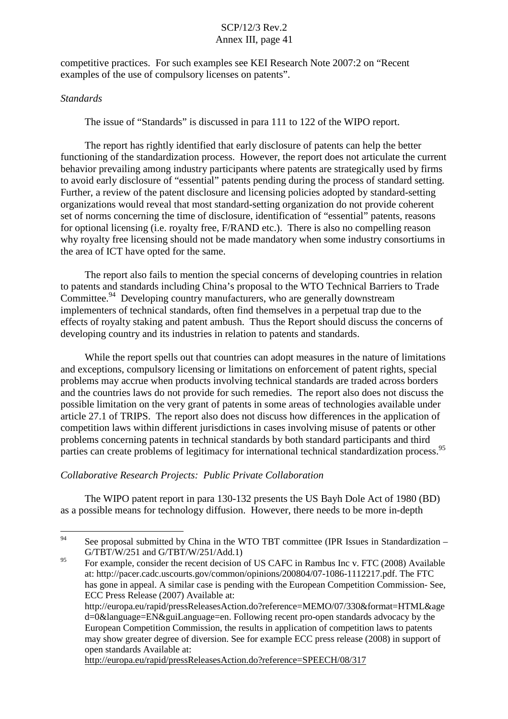competitive practices. For such examples see KEI Research Note 2007:2 on "Recent examples of the use of compulsory licenses on patents".

## *Standards*

The issue of "Standards" is discussed in para 111 to 122 of the WIPO report.

The report has rightly identified that early disclosure of patents can help the better functioning of the standardization process. However, the report does not articulate the current behavior prevailing among industry participants where patents are strategically used by firms to avoid early disclosure of "essential" patents pending during the process of standard setting. Further, a review of the patent disclosure and licensing policies adopted by standard-setting organizations would reveal that most standard-setting organization do not provide coherent set of norms concerning the time of disclosure, identification of "essential" patents, reasons for optional licensing (i.e. royalty free, F/RAND etc.). There is also no compelling reason why royalty free licensing should not be made mandatory when some industry consortiums in the area of ICT have opted for the same.

The report also fails to mention the special concerns of developing countries in relation to patents and standards including China's proposal to the WTO Technical Barriers to Trade Committee.<sup>94</sup> Developing country manufacturers, who are generally downstream implementers of technical standards, often find themselves in a perpetual trap due to the effects of royalty staking and patent ambush. Thus the Report should discuss the concerns of developing country and its industries in relation to patents and standards.

While the report spells out that countries can adopt measures in the nature of limitations and exceptions, compulsory licensing or limitations on enforcement of patent rights, special problems may accrue when products involving technical standards are traded across borders and the countries laws do not provide for such remedies. The report also does not discuss the possible limitation on the very grant of patents in some areas of technologies available under article 27.1 of TRIPS. The report also does not discuss how differences in the application of competition laws within different jurisdictions in cases involving misuse of patents or other problems concerning patents in technical standards by both standard participants and third parties can create problems of legitimacy for international technical standardization process.<sup>95</sup>

## *Collaborative Research Projects: Public Private Collaboration*

The WIPO patent report in para 130-132 presents the US Bayh Dole Act of 1980 (BD) as a possible means for technology diffusion. However, there needs to be more in-depth

http://europa.eu/rapid/pressReleasesAction.do?reference=SPEECH/08/317

<sup>&</sup>lt;sup>94</sup> See proposal submitted by China in the WTO TBT committee (IPR Issues in Standardization – G/TBT/W/251 and G/TBT/W/251/Add.1)

<sup>&</sup>lt;sup>95</sup> For example, consider the recent decision of US CAFC in Rambus Inc v. FTC (2008) Available at: http://pacer.cadc.uscourts.gov/common/opinions/200804/07-1086-1112217.pdf. The FTC has gone in appeal. A similar case is pending with the European Competition Commission- See, ECC Press Release (2007) Available at:

http://europa.eu/rapid/pressReleasesAction.do?reference=MEMO/07/330&format=HTML&age d=0&language=EN&guiLanguage=en. Following recent pro-open standards advocacy by the European Competition Commission, the results in application of competition laws to patents may show greater degree of diversion. See for example ECC press release (2008) in support of open standards Available at: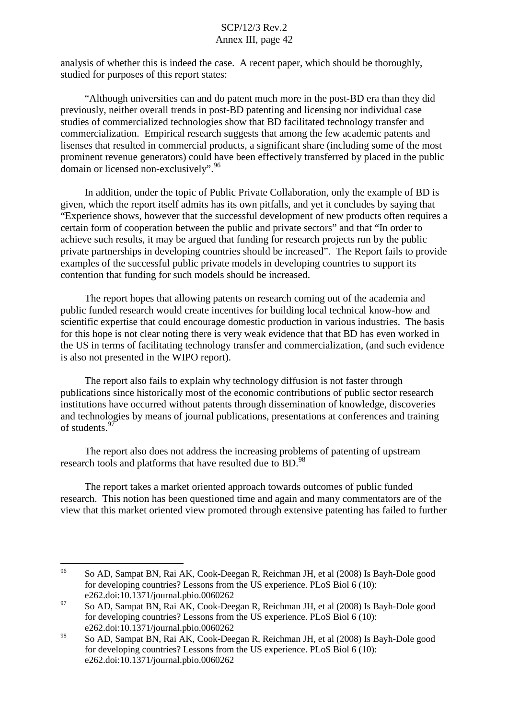analysis of whether this is indeed the case. A recent paper, which should be thoroughly, studied for purposes of this report states:

"Although universities can and do patent much more in the post-BD era than they did previously, neither overall trends in post-BD patenting and licensing nor individual case studies of commercialized technologies show that BD facilitated technology transfer and commercialization. Empirical research suggests that among the few academic patents and lisenses that resulted in commercial products, a significant share (including some of the most prominent revenue generators) could have been effectively transferred by placed in the public domain or licensed non-exclusively".<sup>96</sup>

In addition, under the topic of Public Private Collaboration, only the example of BD is given, which the report itself admits has its own pitfalls, and yet it concludes by saying that "Experience shows, however that the successful development of new products often requires a certain form of cooperation between the public and private sectors" and that "In order to achieve such results, it may be argued that funding for research projects run by the public private partnerships in developing countries should be increased". The Report fails to provide examples of the successful public private models in developing countries to support its contention that funding for such models should be increased.

The report hopes that allowing patents on research coming out of the academia and public funded research would create incentives for building local technical know-how and scientific expertise that could encourage domestic production in various industries. The basis for this hope is not clear noting there is very weak evidence that that BD has even worked in the US in terms of facilitating technology transfer and commercialization, (and such evidence is also not presented in the WIPO report).

The report also fails to explain why technology diffusion is not faster through publications since historically most of the economic contributions of public sector research institutions have occurred without patents through dissemination of knowledge, discoveries and technologies by means of journal publications, presentations at conferences and training of students.<sup>97</sup>

The report also does not address the increasing problems of patenting of upstream research tools and platforms that have resulted due to BD.<sup>98</sup>

The report takes a market oriented approach towards outcomes of public funded research. This notion has been questioned time and again and many commentators are of the view that this market oriented view promoted through extensive patenting has failed to further

<sup>96</sup> So AD, Sampat BN, Rai AK, Cook-Deegan R, Reichman JH, et al (2008) Is Bayh-Dole good for developing countries? Lessons from the US experience. PLoS Biol 6 (10): e262.doi:10.1371/journal.pbio.0060262

 $^{97}$  So AD, Sampat BN, Rai AK, Cook-Deegan R, Reichman JH, et al (2008) Is Bayh-Dole good for developing countries? Lessons from the US experience. PLoS Biol 6 (10): e262.doi:10.1371/journal.pbio.0060262

<sup>98</sup> So AD, Sampat BN, Rai AK, Cook-Deegan R, Reichman JH, et al (2008) Is Bayh-Dole good for developing countries? Lessons from the US experience. PLoS Biol 6 (10): e262.doi:10.1371/journal.pbio.0060262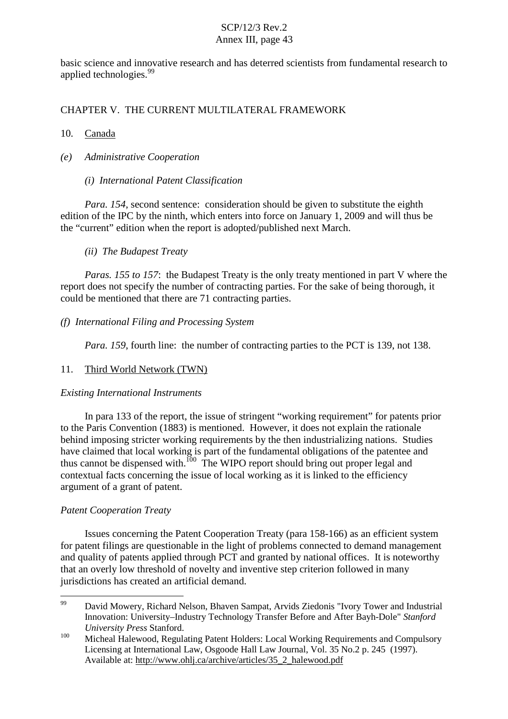basic science and innovative research and has deterred scientists from fundamental research to applied technologies.<sup>99</sup>

CHAPTER V. THE CURRENT MULTILATERAL FRAMEWORK

## 10. Canada

- *(e) Administrative Cooperation*
	- *(i) International Patent Classification*

*Para. 154*, second sentence: consideration should be given to substitute the eighth edition of the IPC by the ninth, which enters into force on January 1, 2009 and will thus be the "current" edition when the report is adopted/published next March.

## *(ii) The Budapest Treaty*

*Paras. 155 to 157*: the Budapest Treaty is the only treaty mentioned in part V where the report does not specify the number of contracting parties. For the sake of being thorough, it could be mentioned that there are 71 contracting parties.

## *(f) International Filing and Processing System*

*Para.* 159, fourth line: the number of contracting parties to the PCT is 139, not 138.

# 11. Third World Network (TWN)

## *Existing International Instruments*

In para 133 of the report, the issue of stringent "working requirement" for patents prior to the Paris Convention (1883) is mentioned. However, it does not explain the rationale behind imposing stricter working requirements by the then industrializing nations. Studies have claimed that local working is part of the fundamental obligations of the patentee and thus cannot be dispensed with.<sup>100</sup> The WIPO report should bring out proper legal and contextual facts concerning the issue of local working as it is linked to the efficiency argument of a grant of patent.

# *Patent Cooperation Treaty*

Issues concerning the Patent Cooperation Treaty (para 158-166) as an efficient system for patent filings are questionable in the light of problems connected to demand management and quality of patents applied through PCT and granted by national offices. It is noteworthy that an overly low threshold of novelty and inventive step criterion followed in many jurisdictions has created an artificial demand.

<sup>99</sup> David Mowery, Richard Nelson, Bhaven Sampat, Arvids Ziedonis "Ivory Tower and Industrial Innovation: University–Industry Technology Transfer Before and After Bayh-Dole" *Stanford*

*University Press* Stanford.<br><sup>100</sup> Micheal Halewood, Regulating Patent Holders: Local Working Requirements and Compulsory Licensing at International Law, Osgoode Hall Law Journal, Vol. 35 No.2 p. 245 (1997). Available at: http://www.ohlj.ca/archive/articles/35\_2\_halewood.pdf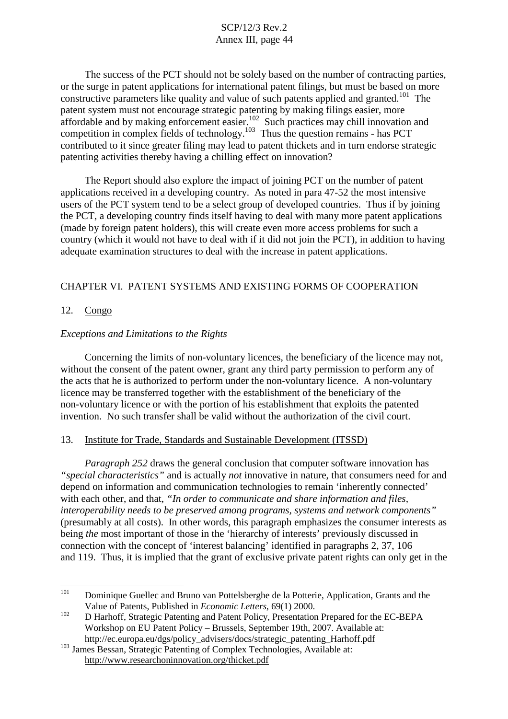The success of the PCT should not be solely based on the number of contracting parties, or the surge in patent applications for international patent filings, but must be based on more constructive parameters like quality and value of such patents applied and granted.<sup>101</sup> The patent system must not encourage strategic patenting by making filings easier, more affordable and by making enforcement easier.<sup>102</sup> Such practices may chill innovation and competition in complex fields of technology. <sup>103</sup> Thus the question remains - has PCT contributed to it since greater filing may lead to patent thickets and in turn endorse strategic patenting activities thereby having a chilling effect on innovation?

The Report should also explore the impact of joining PCT on the number of patent applications received in a developing country. As noted in para 47-52 the most intensive users of the PCT system tend to be a select group of developed countries. Thus if by joining the PCT, a developing country finds itself having to deal with many more patent applications (made by foreign patent holders), this will create even more access problems for such a country (which it would not have to deal with if it did not join the PCT), in addition to having adequate examination structures to deal with the increase in patent applications.

## CHAPTER VI. PATENT SYSTEMS AND EXISTING FORMS OF COOPERATION

### 12. Congo

### *Exceptions and Limitations to the Rights*

Concerning the limits of non-voluntary licences, the beneficiary of the licence may not, without the consent of the patent owner, grant any third party permission to perform any of the acts that he is authorized to perform under the non-voluntary licence. A non-voluntary licence may be transferred together with the establishment of the beneficiary of the non-voluntary licence or with the portion of his establishment that exploits the patented invention. No such transfer shall be valid without the authorization of the civil court.

#### 13. Institute for Trade, Standards and Sustainable Development (ITSSD)

*Paragraph 252* draws the general conclusion that computer software innovation has *"special characteristics"* and is actually *not* innovative in nature, that consumers need for and depend on information and communication technologies to remain 'inherently connected' with each other, and that, *"In order to communicate and share information and files, interoperability needs to be preserved among programs, systems and network components"* (presumably at all costs). In other words, this paragraph emphasizes the consumer interests as being *the* most important of those in the 'hierarchy of interests' previously discussed in connection with the concept of 'interest balancing' identified in paragraphs 2, 37, 106 and 119. Thus, it is implied that the grant of exclusive private patent rights can only get in the

<sup>&</sup>lt;sup>101</sup> Dominique Guellec and Bruno van Pottelsberghe de la Potterie, Application, Grants and the

Value of Patents, Published in *Economic Letters*, 69(1) 2000.<br>
D Harhoff, Strategic Patenting and Patent Policy, Presentation Prepared for the EC-BEPA Workshop on EU Patent Policy – Brussels, September 19th, 2007. Available at: http://ec.europa.eu/dgs/policy\_advisers/docs/strategic\_patenting\_Harhoff.pdf

<sup>&</sup>lt;sup>103</sup> James Bessan, Strategic Patenting of Complex Technologies, Available at: http://www.researchoninnovation.org/thicket.pdf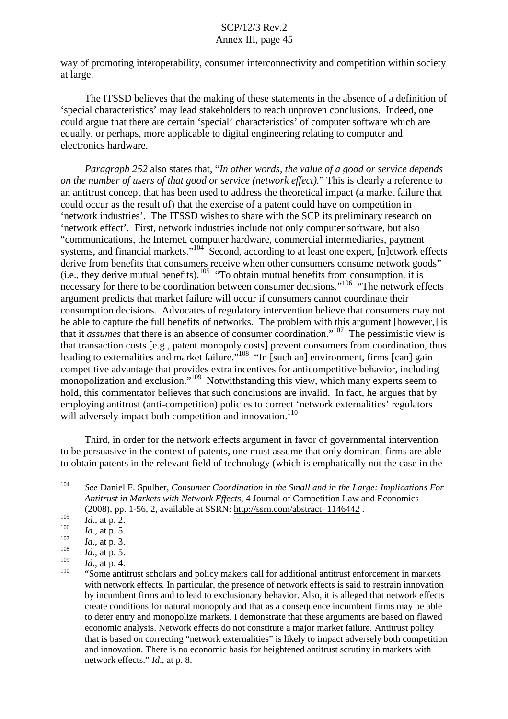way of promoting interoperability, consumer interconnectivity and competition within society at large.

The ITSSD believes that the making of these statements in the absence of a definition of 'special characteristics' may lead stakeholders to reach unproven conclusions. Indeed, one could argue that there are certain 'special' characteristics' of computer software which are equally, or perhaps, more applicable to digital engineering relating to computer and electronics hardware.

*Paragraph 252* also states that, "*In other words, the value of a good or service depends on the number of users of that good or service (network effect).*" This is clearly a reference to an antitrust concept that has been used to address the theoretical impact (a market failure that could occur as the result of) that the exercise of a patent could have on competition in 'network industries'. The ITSSD wishes to share with the SCP its preliminary research on 'network effect'. First, network industries include not only computer software, but also "communications, the Internet, computer hardware, commercial intermediaries, payment systems, and financial markets."<sup>104</sup> Second, according to at least one expert, [n]etwork effects derive from benefits that consumers receive when other consumers consume network goods"  $(i.e., they derive mutual benefits).$ <sup>105</sup> "To obtain mutual benefits from consumption, it is necessary for there to be coordination between consumer decisions."<sup>106</sup> "The network effects argument predicts that market failure will occur if consumers cannot coordinate their consumption decisions. Advocates of regulatory intervention believe that consumers may not be able to capture the full benefits of networks. The problem with this argument [however,] is that it *assumes* that there is an absence of consumer coordination." <sup>107</sup> The pessimistic view is that transaction costs [e.g., patent monopoly costs] prevent consumers from coordination, thus leading to externalities and market failure."<sup>108</sup> "In [such an] environment, firms [can] gain competitive advantage that provides extra incentives for anticompetitive behavior, including monopolization and exclusion."<sup>109</sup> Notwithstanding this view, which many experts seem to hold, this commentator believes that such conclusions are invalid. In fact, he argues that by employing antitrust (anti-competition) policies to correct 'network externalities' regulators will adversely impact both competition and innovation.<sup>110</sup>

Third, in order for the network effects argument in favor of governmental intervention to be persuasive in the context of patents, one must assume that only dominant firms are able to obtain patents in the relevant field of technology (which is emphatically not the case in the

<sup>104</sup> *See* Daniel F. Spulber, *Consumer Coordination in the Small and in the Large: Implications For Antitrust in Markets with Network Effects*, 4 Journal of Competition Law and Economics

<sup>(2008),</sup> pp. 1-56, 2, available at SSRN: <u>http://ssrn.com/abstract=1146442</u>.<br>
106 *Id.*, at p. 2.<br>
106 *Id.*, at p. 5.<br>
108 *Id.*, at p. 3.<br>
108 *Id.*, at p. 5.<br>
109 *Id.*, at p. 4.<br>
109 *Id.*, at p. 4.<br>
109 *Id.*, at p. 4 with network effects. In particular, the presence of network effects is said to restrain innovation by incumbent firms and to lead to exclusionary behavior. Also, it is alleged that network effects create conditions for natural monopoly and that as a consequence incumbent firms may be able to deter entry and monopolize markets. I demonstrate that these arguments are based on flawed economic analysis. Network effects do not constitute a major market failure. Antitrust policy that is based on correcting "network externalities" is likely to impact adversely both competition and innovation. There is no economic basis for heightened antitrust scrutiny in markets with network effects." *Id*., at p. 8.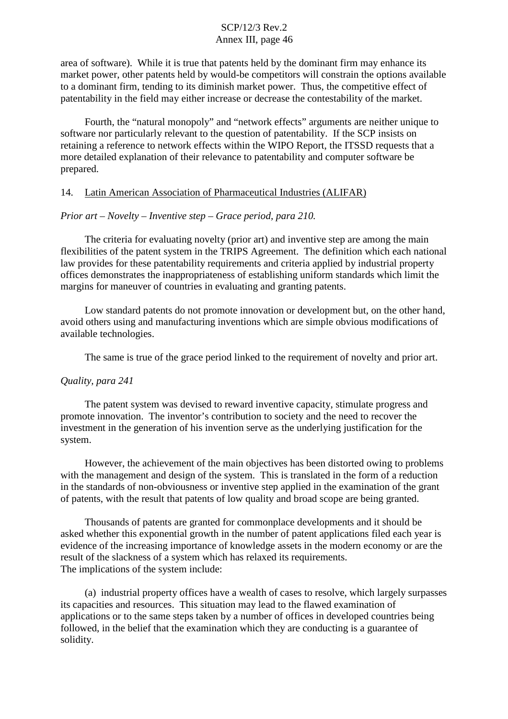area of software). While it is true that patents held by the dominant firm may enhance its market power, other patents held by would-be competitors will constrain the options available to a dominant firm, tending to its diminish market power. Thus, the competitive effect of patentability in the field may either increase or decrease the contestability of the market.

Fourth, the "natural monopoly" and "network effects" arguments are neither unique to software nor particularly relevant to the question of patentability. If the SCP insists on retaining a reference to network effects within the WIPO Report, the ITSSD requests that a more detailed explanation of their relevance to patentability and computer software be prepared.

### 14. Latin American Association of Pharmaceutical Industries (ALIFAR)

#### *Prior art – Novelty – Inventive step – Grace period, para 210.*

The criteria for evaluating novelty (prior art) and inventive step are among the main flexibilities of the patent system in the TRIPS Agreement. The definition which each national law provides for these patentability requirements and criteria applied by industrial property offices demonstrates the inappropriateness of establishing uniform standards which limit the margins for maneuver of countries in evaluating and granting patents.

Low standard patents do not promote innovation or development but, on the other hand, avoid others using and manufacturing inventions which are simple obvious modifications of available technologies.

The same is true of the grace period linked to the requirement of novelty and prior art.

#### *Quality, para 241*

The patent system was devised to reward inventive capacity, stimulate progress and promote innovation. The inventor's contribution to society and the need to recover the investment in the generation of his invention serve as the underlying justification for the system.

However, the achievement of the main objectives has been distorted owing to problems with the management and design of the system. This is translated in the form of a reduction in the standards of non-obviousness or inventive step applied in the examination of the grant of patents, with the result that patents of low quality and broad scope are being granted.

Thousands of patents are granted for commonplace developments and it should be asked whether this exponential growth in the number of patent applications filed each year is evidence of the increasing importance of knowledge assets in the modern economy or are the result of the slackness of a system which has relaxed its requirements. The implications of the system include:

(a) industrial property offices have a wealth of cases to resolve, which largely surpasses its capacities and resources. This situation may lead to the flawed examination of applications or to the same steps taken by a number of offices in developed countries being followed, in the belief that the examination which they are conducting is a guarantee of solidity.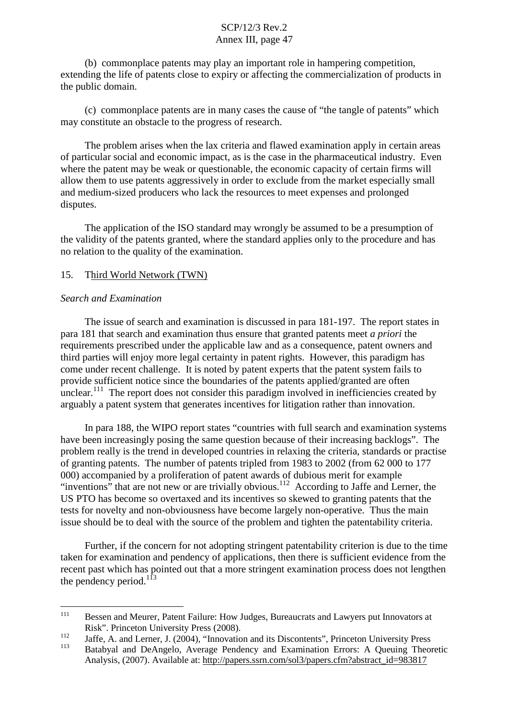(b) commonplace patents may play an important role in hampering competition, extending the life of patents close to expiry or affecting the commercialization of products in the public domain.

(c) commonplace patents are in many cases the cause of "the tangle of patents" which may constitute an obstacle to the progress of research.

The problem arises when the lax criteria and flawed examination apply in certain areas of particular social and economic impact, as is the case in the pharmaceutical industry. Even where the patent may be weak or questionable, the economic capacity of certain firms will allow them to use patents aggressively in order to exclude from the market especially small and medium-sized producers who lack the resources to meet expenses and prolonged disputes.

The application of the ISO standard may wrongly be assumed to be a presumption of the validity of the patents granted, where the standard applies only to the procedure and has no relation to the quality of the examination.

### 15. Third World Network (TWN)

#### *Search and Examination*

The issue of search and examination is discussed in para 181-197. The report states in para 181 that search and examination thus ensure that granted patents meet *a priori* the requirements prescribed under the applicable law and as a consequence, patent owners and third parties will enjoy more legal certainty in patent rights. However, this paradigm has come under recent challenge. It is noted by patent experts that the patent system fails to provide sufficient notice since the boundaries of the patents applied/granted are often unclear.<sup>111</sup> The report does not consider this paradigm involved in inefficiencies created by arguably a patent system that generates incentives for litigation rather than innovation.

In para 188, the WIPO report states "countries with full search and examination systems have been increasingly posing the same question because of their increasing backlogs". The problem really is the trend in developed countries in relaxing the criteria, standards or practise of granting patents. The number of patents tripled from 1983 to 2002 (from 62 000 to 177 000) accompanied by a proliferation of patent awards of dubious merit for example "inventions" that are not new or are trivially obvious.<sup>112</sup> According to Jaffe and Lerner, the US PTO has become so overtaxed and its incentives so skewed to granting patents that the tests for novelty and non-obviousness have become largely non-operative. Thus the main issue should be to deal with the source of the problem and tighten the patentability criteria.

Further, if the concern for not adopting stringent patentability criterion is due to the time taken for examination and pendency of applications, then there is sufficient evidence from the recent past which has pointed out that a more stringent examination process does not lengthen the pendency period.<sup>113</sup>

<sup>&</sup>lt;sup>111</sup> Bessen and Meurer, Patent Failure: How Judges, Bureaucrats and Lawyers put Innovators at

Risk". Princeton University Press (2008).<br>
Jaffe, A. and Lerner, J. (2004), "Innovation and its Discontents", Princeton University Press<br>
Petebual and DeAngele, Ayerses Pendency and Examination Freezy, A Quaying Theor

<sup>113</sup> Batabyal and DeAngelo, Average Pendency and Examination Errors: A Queuing Theoretic Analysis, (2007). Available at: http://papers.ssrn.com/sol3/papers.cfm?abstract\_id=983817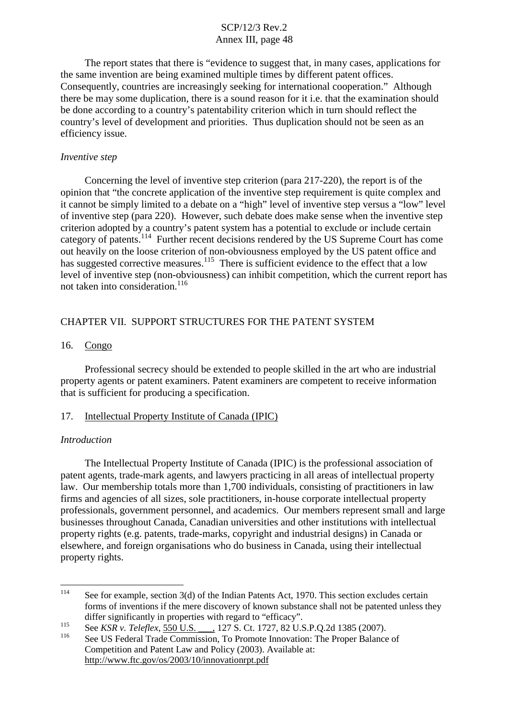The report states that there is "evidence to suggest that, in many cases, applications for the same invention are being examined multiple times by different patent offices. Consequently, countries are increasingly seeking for international cooperation." Although there be may some duplication, there is a sound reason for it i.e. that the examination should be done according to a country's patentability criterion which in turn should reflect the country's level of development and priorities. Thus duplication should not be seen as an efficiency issue.

#### *Inventive step*

Concerning the level of inventive step criterion (para 217-220), the report is of the opinion that "the concrete application of the inventive step requirement is quite complex and it cannot be simply limited to a debate on a "high" level of inventive step versus a "low" level of inventive step (para 220). However, such debate does make sense when the inventive step criterion adopted by a country's patent system has a potential to exclude or include certain category of patents.<sup>114</sup> Further recent decisions rendered by the US Supreme Court has come out heavily on the loose criterion of non-obviousness employed by the US patent office and has suggested corrective measures.<sup>115</sup> There is sufficient evidence to the effect that a low level of inventive step (non-obviousness) can inhibit competition, which the current report has not taken into consideration. 116

### CHAPTER VII. SUPPORT STRUCTURES FOR THE PATENT SYSTEM

#### 16. Congo

Professional secrecy should be extended to people skilled in the art who are industrial property agents or patent examiners. Patent examiners are competent to receive information that is sufficient for producing a specification.

#### 17. Intellectual Property Institute of Canada (IPIC)

#### *Introduction*

The Intellectual Property Institute of Canada (IPIC) is the professional association of patent agents, trade-mark agents, and lawyers practicing in all areas of intellectual property law. Our membership totals more than 1,700 individuals, consisting of practitioners in law firms and agencies of all sizes, sole practitioners, in-house corporate intellectual property professionals, government personnel, and academics. Our members represent small and large businesses throughout Canada, Canadian universities and other institutions with intellectual property rights (e.g. patents, trade-marks, copyright and industrial designs) in Canada or elsewhere, and foreign organisations who do business in Canada, using their intellectual property rights.

<sup>&</sup>lt;sup>114</sup> See for example, section 3(d) of the Indian Patents Act, 1970. This section excludes certain forms of inventions if the mere discovery of known substance shall not be patented unless they differ significantly in properties with regard to "efficacy".<br>
See KSR v. Teleflex, 550 U.S. 127 S. Ct. 1727, 82 U.S.P.Q.2d 1385 (2007).<br>
See US Federal Trade Commission, To Promote Innovation: The Proper Balance of

Competition and Patent Law and Policy (2003). Available at: http://www.ftc.gov/os/2003/10/innovationrpt.pdf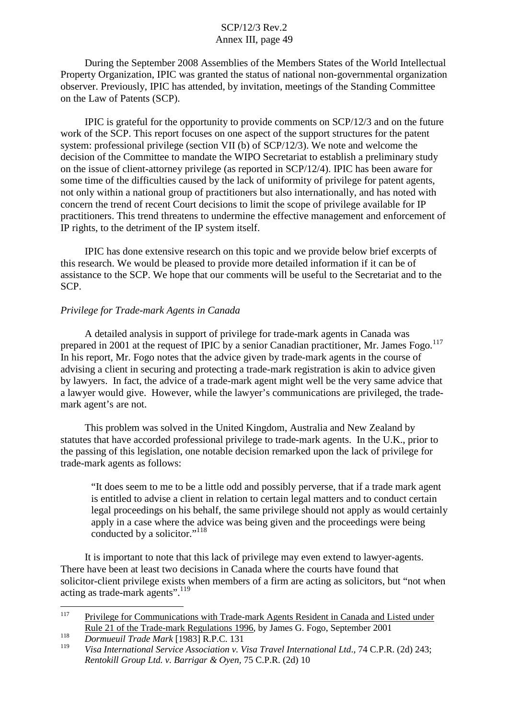During the September 2008 Assemblies of the Members States of the World Intellectual Property Organization, IPIC was granted the status of national non-governmental organization observer. Previously, IPIC has attended, by invitation, meetings of the Standing Committee on the Law of Patents (SCP).

IPIC is grateful for the opportunity to provide comments on SCP/12/3 and on the future work of the SCP. This report focuses on one aspect of the support structures for the patent system: professional privilege (section VII (b) of SCP/12/3). We note and welcome the decision of the Committee to mandate the WIPO Secretariat to establish a preliminary study on the issue of client-attorney privilege (as reported in SCP/12/4). IPIC has been aware for some time of the difficulties caused by the lack of uniformity of privilege for patent agents, not only within a national group of practitioners but also internationally, and has noted with concern the trend of recent Court decisions to limit the scope of privilege available for IP practitioners. This trend threatens to undermine the effective management and enforcement of IP rights, to the detriment of the IP system itself.

IPIC has done extensive research on this topic and we provide below brief excerpts of this research. We would be pleased to provide more detailed information if it can be of assistance to the SCP. We hope that our comments will be useful to the Secretariat and to the SCP.

#### *Privilege for Trade-mark Agents in Canada*

A detailed analysis in support of privilege for trade-mark agents in Canada was prepared in 2001 at the request of IPIC by a senior Canadian practitioner, Mr. James Fogo.<sup>117</sup> In his report, Mr. Fogo notes that the advice given by trade-mark agents in the course of advising a client in securing and protecting a trade-mark registration is akin to advice given by lawyers. In fact, the advice of a trade-mark agent might well be the very same advice that a lawyer would give. However, while the lawyer's communications are privileged, the trademark agent's are not.

This problem was solved in the United Kingdom, Australia and New Zealand by statutes that have accorded professional privilege to trade-mark agents. In the U.K., prior to the passing of this legislation, one notable decision remarked upon the lack of privilege for trade-mark agents as follows:

"It does seem to me to be a little odd and possibly perverse, that if a trade mark agent is entitled to advise a client in relation to certain legal matters and to conduct certain legal proceedings on his behalf, the same privilege should not apply as would certainly apply in a case where the advice was being given and the proceedings were being conducted by a solicitor."<sup>118</sup>

It is important to note that this lack of privilege may even extend to lawyer-agents. There have been at least two decisions in Canada where the courts have found that solicitor-client privilege exists when members of a firm are acting as solicitors, but "not when acting as trade-mark agents".119

<sup>&</sup>lt;sup>117</sup> Privilege for Communications with Trade-mark Agents Resident in Canada and Listed under Rule 21 of the Trade-mark Regulations 1996, by James G. Fogo, September 2001

<sup>118</sup> *Dormueuil Trade Mark* [1983] R.P.C. 131

<sup>119</sup> *Visa International Service Association v. Visa Travel International Ltd*., 74 C.P.R. (2d) 243; *Rentokill Group Ltd. v. Barrigar & Oyen,* 75 C.P.R. (2d) 10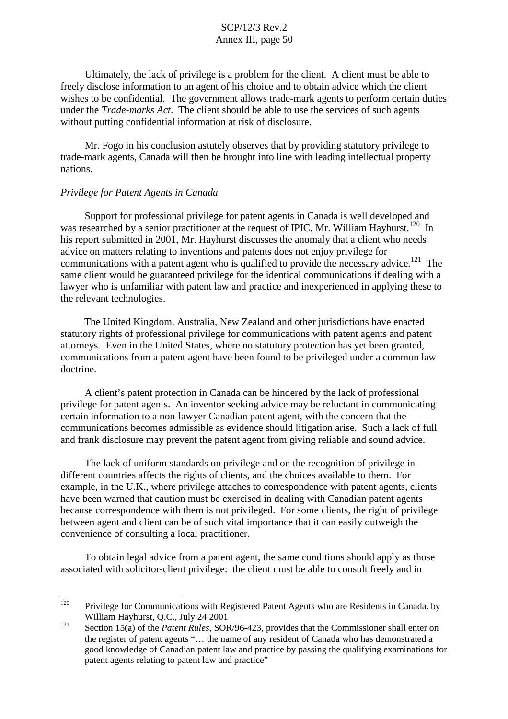Ultimately, the lack of privilege is a problem for the client. A client must be able to freely disclose information to an agent of his choice and to obtain advice which the client wishes to be confidential. The government allows trade-mark agents to perform certain duties under the *Trade-marks Act*. The client should be able to use the services of such agents without putting confidential information at risk of disclosure.

Mr. Fogo in his conclusion astutely observes that by providing statutory privilege to trade-mark agents, Canada will then be brought into line with leading intellectual property nations.

#### *Privilege for Patent Agents in Canada*

Support for professional privilege for patent agents in Canada is well developed and was researched by a senior practitioner at the request of IPIC, Mr. William Hayhurst.<sup>120</sup> In his report submitted in 2001, Mr. Hayhurst discusses the anomaly that a client who needs advice on matters relating to inventions and patents does not enjoy privilege for communications with a patent agent who is qualified to provide the necessary advice.<sup>121</sup> The same client would be guaranteed privilege for the identical communications if dealing with a lawyer who is unfamiliar with patent law and practice and inexperienced in applying these to the relevant technologies.

The United Kingdom, Australia, New Zealand and other jurisdictions have enacted statutory rights of professional privilege for communications with patent agents and patent attorneys. Even in the United States, where no statutory protection has yet been granted, communications from a patent agent have been found to be privileged under a common law doctrine.

A client's patent protection in Canada can be hindered by the lack of professional privilege for patent agents. An inventor seeking advice may be reluctant in communicating certain information to a non-lawyer Canadian patent agent, with the concern that the communications becomes admissible as evidence should litigation arise. Such a lack of full and frank disclosure may prevent the patent agent from giving reliable and sound advice.

The lack of uniform standards on privilege and on the recognition of privilege in different countries affects the rights of clients, and the choices available to them. For example, in the U.K., where privilege attaches to correspondence with patent agents, clients have been warned that caution must be exercised in dealing with Canadian patent agents because correspondence with them is not privileged. For some clients, the right of privilege between agent and client can be of such vital importance that it can easily outweigh the convenience of consulting a local practitioner.

To obtain legal advice from a patent agent, the same conditions should apply as those associated with solicitor-client privilege: the client must be able to consult freely and in

<sup>&</sup>lt;sup>120</sup> Privilege for Communications with Registered Patent Agents who are Residents in Canada. by William Hayhurst, Q.C., July 24 2001

<sup>121</sup> Section 15(a) of the *Patent Rules*, SOR/96-423, provides that the Commissioner shall enter on the register of patent agents "… the name of any resident of Canada who has demonstrated a good knowledge of Canadian patent law and practice by passing the qualifying examinations for patent agents relating to patent law and practice"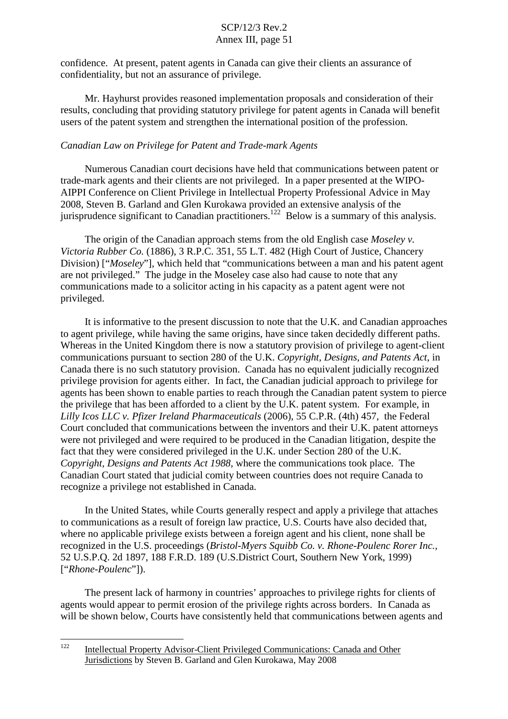confidence. At present, patent agents in Canada can give their clients an assurance of confidentiality, but not an assurance of privilege.

Mr. Hayhurst provides reasoned implementation proposals and consideration of their results, concluding that providing statutory privilege for patent agents in Canada will benefit users of the patent system and strengthen the international position of the profession.

### *Canadian Law on Privilege for Patent and Trade-mark Agents*

Numerous Canadian court decisions have held that communications between patent or trade-mark agents and their clients are not privileged. In a paper presented at the WIPO-AIPPI Conference on Client Privilege in Intellectual Property Professional Advice in May 2008, Steven B. Garland and Glen Kurokawa provided an extensive analysis of the jurisprudence significant to Canadian practitioners.<sup>122</sup> Below is a summary of this analysis.

The origin of the Canadian approach stems from the old English case *Moseley v. Victoria Rubber Co.* (1886), 3 R.P.C. 351, 55 L.T. 482 (High Court of Justice, Chancery Division) ["*Moseley*"], which held that "communications between a man and his patent agent are not privileged." The judge in the Moseley case also had cause to note that any communications made to a solicitor acting in his capacity as a patent agent were not privileged.

It is informative to the present discussion to note that the U.K. and Canadian approaches to agent privilege, while having the same origins, have since taken decidedly different paths. Whereas in the United Kingdom there is now a statutory provision of privilege to agent-client communications pursuant to section 280 of the U.K. *Copyright, Designs, and Patents Act*, in Canada there is no such statutory provision. Canada has no equivalent judicially recognized privilege provision for agents either. In fact, the Canadian judicial approach to privilege for agents has been shown to enable parties to reach through the Canadian patent system to pierce the privilege that has been afforded to a client by the U.K. patent system. For example, in *Lilly Icos LLC v. Pfizer Ireland Pharmaceuticals* (2006), 55 C.P.R. (4th) 457*,* the Federal Court concluded that communications between the inventors and their U.K. patent attorneys were not privileged and were required to be produced in the Canadian litigation, despite the fact that they were considered privileged in the U.K. under Section 280 of the U.K. *Copyright, Designs and Patents Act 1988,* where the communications took place. The Canadian Court stated that judicial comity between countries does not require Canada to recognize a privilege not established in Canada.

In the United States, while Courts generally respect and apply a privilege that attaches to communications as a result of foreign law practice, U.S. Courts have also decided that, where no applicable privilege exists between a foreign agent and his client, none shall be recognized in the U.S. proceedings (*Bristol-Myers Squibb Co. v. Rhone-Poulenc Rorer Inc.,* 52 U.S.P.Q. 2d 1897, 188 F.R.D. 189 (U.S.District Court, Southern New York, 1999) ["*Rhone-Poulenc*"]).

The present lack of harmony in countries' approaches to privilege rights for clients of agents would appear to permit erosion of the privilege rights across borders. In Canada as will be shown below, Courts have consistently held that communications between agents and

<sup>&</sup>lt;sup>122</sup> Intellectual Property Advisor-Client Privileged Communications: Canada and Other Jurisdictions by Steven B. Garland and Glen Kurokawa, May 2008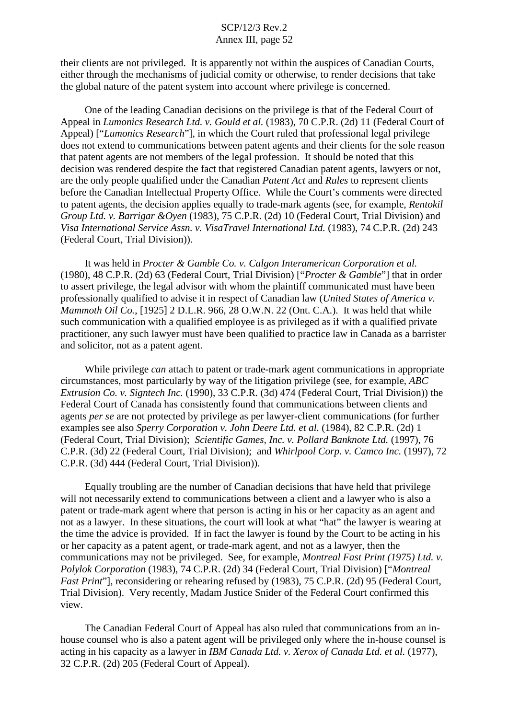their clients are not privileged. It is apparently not within the auspices of Canadian Courts, either through the mechanisms of judicial comity or otherwise, to render decisions that take the global nature of the patent system into account where privilege is concerned.

One of the leading Canadian decisions on the privilege is that of the Federal Court of Appeal in *Lumonics Research Ltd. v. Gould et al.* (1983), 70 C.P.R. (2d) 11 (Federal Court of Appeal) ["*Lumonics Research*"], in which the Court ruled that professional legal privilege does not extend to communications between patent agents and their clients for the sole reason that patent agents are not members of the legal profession. It should be noted that this decision was rendered despite the fact that registered Canadian patent agents, lawyers or not, are the only people qualified under the Canadian *Patent Act* and *Rules* to represent clients before the Canadian Intellectual Property Office. While the Court's comments were directed to patent agents, the decision applies equally to trade-mark agents (see, for example, *Rentokil Group Ltd. v. Barrigar &Oyen* (1983), 75 C.P.R. (2d) 10 (Federal Court, Trial Division) and *Visa International Service Assn. v. VisaTravel International Ltd.* (1983), 74 C.P.R. (2d) 243 (Federal Court, Trial Division)).

It was held in *Procter & Gamble Co. v. Calgon Interamerican Corporation et al.* (1980), 48 C.P.R. (2d) 63 (Federal Court, Trial Division) ["*Procter & Gamble*"] that in order to assert privilege, the legal advisor with whom the plaintiff communicated must have been professionally qualified to advise it in respect of Canadian law (*United States of America v. Mammoth Oil Co.*, [1925] 2 D.L.R. 966, 28 O.W.N. 22 (Ont. C.A.). It was held that while such communication with a qualified employee is as privileged as if with a qualified private practitioner, any such lawyer must have been qualified to practice law in Canada as a barrister and solicitor, not as a patent agent.

While privilege *can* attach to patent or trade-mark agent communications in appropriate circumstances, most particularly by way of the litigation privilege (see, for example, *ABC Extrusion Co. v. Signtech Inc.* (1990), 33 C.P.R. (3d) 474 (Federal Court, Trial Division)) the Federal Court of Canada has consistently found that communications between clients and agents *per se* are not protected by privilege as per lawyer-client communications (for further examples see also *Sperry Corporation v. John Deere Ltd. et al.* (1984), 82 C.P.R. (2d) 1 (Federal Court, Trial Division); *Scientific Games, Inc. v. Pollard Banknote Ltd.* (1997), 76 C.P.R. (3d) 22 (Federal Court, Trial Division); and *Whirlpool Corp. v. Camco Inc.* (1997), 72 C.P.R. (3d) 444 (Federal Court, Trial Division)).

Equally troubling are the number of Canadian decisions that have held that privilege will not necessarily extend to communications between a client and a lawyer who is also a patent or trade-mark agent where that person is acting in his or her capacity as an agent and not as a lawyer. In these situations, the court will look at what "hat" the lawyer is wearing at the time the advice is provided. If in fact the lawyer is found by the Court to be acting in his or her capacity as a patent agent, or trade-mark agent, and not as a lawyer, then the communications may not be privileged. See, for example, *Montreal Fast Print (1975) Ltd. v. Polylok Corporation* (1983), 74 C.P.R. (2d) 34 (Federal Court, Trial Division) ["*Montreal Fast Print*"], reconsidering or rehearing refused by (1983), 75 C.P.R. (2d) 95 (Federal Court, Trial Division). Very recently, Madam Justice Snider of the Federal Court confirmed this view.

The Canadian Federal Court of Appeal has also ruled that communications from an inhouse counsel who is also a patent agent will be privileged only where the in-house counsel is acting in his capacity as a lawyer in *IBM Canada Ltd. v. Xerox of Canada Ltd. et al.* (1977), 32 C.P.R. (2d) 205 (Federal Court of Appeal).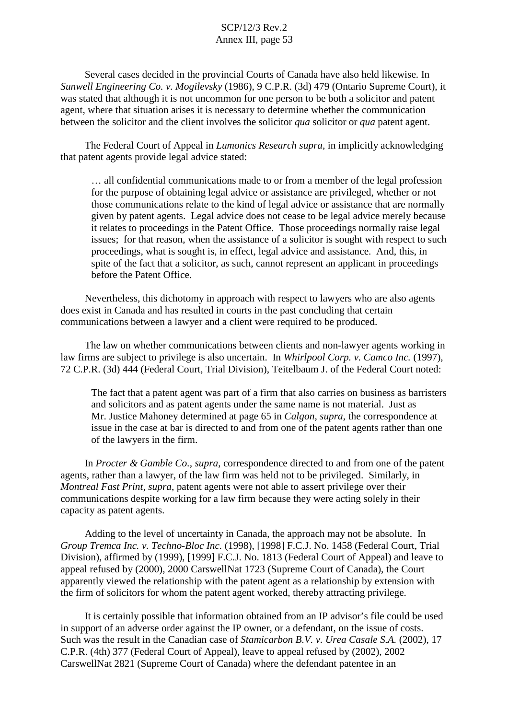Several cases decided in the provincial Courts of Canada have also held likewise. In *Sunwell Engineering Co. v. Mogilevsky* (1986), 9 C.P.R. (3d) 479 (Ontario Supreme Court), it was stated that although it is not uncommon for one person to be both a solicitor and patent agent, where that situation arises it is necessary to determine whether the communication between the solicitor and the client involves the solicitor *qua* solicitor or *qua* patent agent.

The Federal Court of Appeal in *Lumonics Research supra*, in implicitly acknowledging that patent agents provide legal advice stated:

… all confidential communications made to or from a member of the legal profession for the purpose of obtaining legal advice or assistance are privileged, whether or not those communications relate to the kind of legal advice or assistance that are normally given by patent agents. Legal advice does not cease to be legal advice merely because it relates to proceedings in the Patent Office. Those proceedings normally raise legal issues; for that reason, when the assistance of a solicitor is sought with respect to such proceedings, what is sought is, in effect, legal advice and assistance. And, this, in spite of the fact that a solicitor, as such, cannot represent an applicant in proceedings before the Patent Office.

Nevertheless, this dichotomy in approach with respect to lawyers who are also agents does exist in Canada and has resulted in courts in the past concluding that certain communications between a lawyer and a client were required to be produced.

The law on whether communications between clients and non-lawyer agents working in law firms are subject to privilege is also uncertain. In *Whirlpool Corp. v. Camco Inc.* (1997), 72 C.P.R. (3d) 444 (Federal Court, Trial Division), Teitelbaum J. of the Federal Court noted:

The fact that a patent agent was part of a firm that also carries on business as barristers and solicitors and as patent agents under the same name is not material. Just as Mr. Justice Mahoney determined at page 65 in *Calgon*, *supra*, the correspondence at issue in the case at bar is directed to and from one of the patent agents rather than one of the lawyers in the firm.

In *Procter & Gamble Co., supra*, correspondence directed to and from one of the patent agents, rather than a lawyer, of the law firm was held not to be privileged. Similarly, in *Montreal Fast Print, supra*, patent agents were not able to assert privilege over their communications despite working for a law firm because they were acting solely in their capacity as patent agents.

Adding to the level of uncertainty in Canada, the approach may not be absolute. In *Group Tremca Inc. v. Techno-Bloc Inc.* (1998), [1998] F.C.J. No. 1458 (Federal Court, Trial Division), affirmed by (1999), [1999] F.C.J. No. 1813 (Federal Court of Appeal) and leave to appeal refused by (2000), 2000 CarswellNat 1723 (Supreme Court of Canada), the Court apparently viewed the relationship with the patent agent as a relationship by extension with the firm of solicitors for whom the patent agent worked, thereby attracting privilege.

It is certainly possible that information obtained from an IP advisor's file could be used in support of an adverse order against the IP owner, or a defendant, on the issue of costs. Such was the result in the Canadian case of *Stamicarbon B.V. v. Urea Casale S.A.* (2002), 17 C.P.R. (4th) 377 (Federal Court of Appeal), leave to appeal refused by (2002), 2002 CarswellNat 2821 (Supreme Court of Canada) where the defendant patentee in an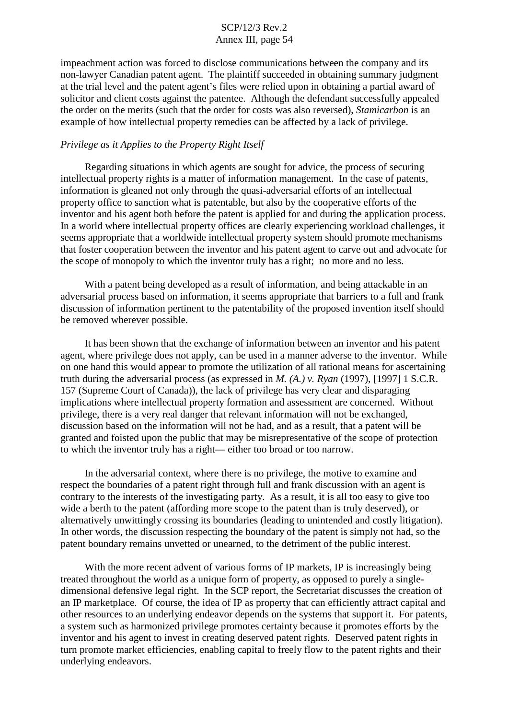impeachment action was forced to disclose communications between the company and its non-lawyer Canadian patent agent. The plaintiff succeeded in obtaining summary judgment at the trial level and the patent agent's files were relied upon in obtaining a partial award of solicitor and client costs against the patentee. Although the defendant successfully appealed the order on the merits (such that the order for costs was also reversed), *Stamicarbon* is an example of how intellectual property remedies can be affected by a lack of privilege.

#### *Privilege as it Applies to the Property Right Itself*

Regarding situations in which agents are sought for advice, the process of securing intellectual property rights is a matter of information management. In the case of patents, information is gleaned not only through the quasi-adversarial efforts of an intellectual property office to sanction what is patentable, but also by the cooperative efforts of the inventor and his agent both before the patent is applied for and during the application process. In a world where intellectual property offices are clearly experiencing workload challenges, it seems appropriate that a worldwide intellectual property system should promote mechanisms that foster cooperation between the inventor and his patent agent to carve out and advocate for the scope of monopoly to which the inventor truly has a right; no more and no less.

With a patent being developed as a result of information, and being attackable in an adversarial process based on information, it seems appropriate that barriers to a full and frank discussion of information pertinent to the patentability of the proposed invention itself should be removed wherever possible.

It has been shown that the exchange of information between an inventor and his patent agent, where privilege does not apply, can be used in a manner adverse to the inventor. While on one hand this would appear to promote the utilization of all rational means for ascertaining truth during the adversarial process (as expressed in *M. (A.) v. Ryan* (1997), [1997] 1 S.C.R. 157 (Supreme Court of Canada)), the lack of privilege has very clear and disparaging implications where intellectual property formation and assessment are concerned. Without privilege, there is a very real danger that relevant information will not be exchanged, discussion based on the information will not be had, and as a result, that a patent will be granted and foisted upon the public that may be misrepresentative of the scope of protection to which the inventor truly has a right— either too broad or too narrow.

In the adversarial context, where there is no privilege, the motive to examine and respect the boundaries of a patent right through full and frank discussion with an agent is contrary to the interests of the investigating party. As a result, it is all too easy to give too wide a berth to the patent (affording more scope to the patent than is truly deserved), or alternatively unwittingly crossing its boundaries (leading to unintended and costly litigation). In other words, the discussion respecting the boundary of the patent is simply not had, so the patent boundary remains unvetted or unearned, to the detriment of the public interest.

With the more recent advent of various forms of IP markets. IP is increasingly being treated throughout the world as a unique form of property, as opposed to purely a singledimensional defensive legal right. In the SCP report, the Secretariat discusses the creation of an IP marketplace. Of course, the idea of IP as property that can efficiently attract capital and other resources to an underlying endeavor depends on the systems that support it. For patents, a system such as harmonized privilege promotes certainty because it promotes efforts by the inventor and his agent to invest in creating deserved patent rights. Deserved patent rights in turn promote market efficiencies, enabling capital to freely flow to the patent rights and their underlying endeavors.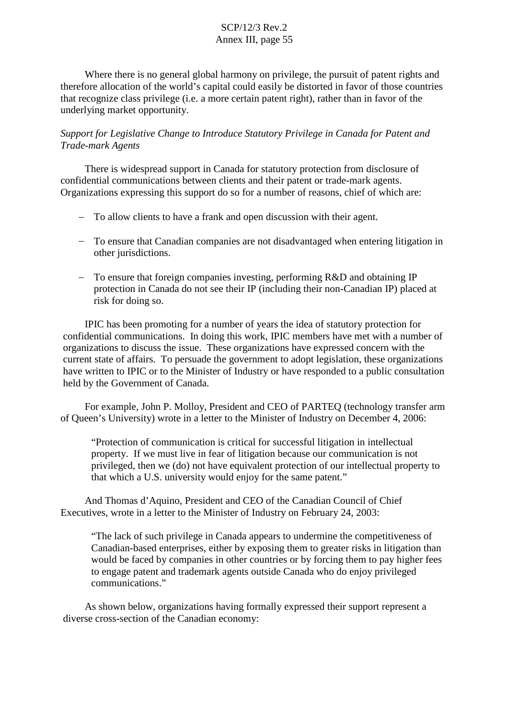Where there is no general global harmony on privilege, the pursuit of patent rights and therefore allocation of the world's capital could easily be distorted in favor of those countries that recognize class privilege (i.e. a more certain patent right), rather than in favor of the underlying market opportunity.

*Support for Legislative Change to Introduce Statutory Privilege in Canada for Patent and Trade-mark Agents*

There is widespread support in Canada for statutory protection from disclosure of confidential communications between clients and their patent or trade-mark agents. Organizations expressing this support do so for a number of reasons, chief of which are:

- To allow clients to have a frank and open discussion with their agent.
- To ensure that Canadian companies are not disadvantaged when entering litigation in other jurisdictions.
- To ensure that foreign companies investing, performing R&D and obtaining IP protection in Canada do not see their IP (including their non-Canadian IP) placed at risk for doing so.

IPIC has been promoting for a number of years the idea of statutory protection for confidential communications. In doing this work, IPIC members have met with a number of organizations to discuss the issue. These organizations have expressed concern with the current state of affairs. To persuade the government to adopt legislation, these organizations have written to IPIC or to the Minister of Industry or have responded to a public consultation held by the Government of Canada.

For example, John P. Molloy, President and CEO of PARTEQ (technology transfer arm of Queen's University) wrote in a letter to the Minister of Industry on December 4, 2006:

"Protection of communication is critical for successful litigation in intellectual property. If we must live in fear of litigation because our communication is not privileged, then we (do) not have equivalent protection of our intellectual property to that which a U.S. university would enjoy for the same patent."

And Thomas d'Aquino, President and CEO of the Canadian Council of Chief Executives, wrote in a letter to the Minister of Industry on February 24, 2003:

"The lack of such privilege in Canada appears to undermine the competitiveness of Canadian-based enterprises, either by exposing them to greater risks in litigation than would be faced by companies in other countries or by forcing them to pay higher fees to engage patent and trademark agents outside Canada who do enjoy privileged communications."

As shown below, organizations having formally expressed their support represent a diverse cross-section of the Canadian economy: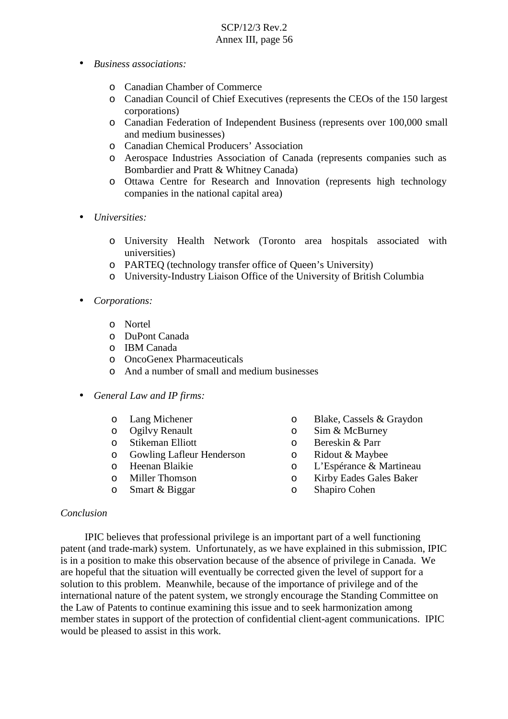- *Business associations:*
	- o Canadian Chamber of Commerce
	- o Canadian Council of Chief Executives (represents the CEOs of the 150 largest corporations)
	- o Canadian Federation of Independent Business (represents over 100,000 small and medium businesses)
	- o Canadian Chemical Producers' Association
	- o Aerospace Industries Association of Canada (represents companies such as Bombardier and Pratt & Whitney Canada)
	- o Ottawa Centre for Research and Innovation (represents high technology companies in the national capital area)
- *Universities:*
	- o University Health Network (Toronto area hospitals associated with universities)
	- o PARTEQ (technology transfer office of Queen's University)
	- o University-Industry Liaison Office of the University of British Columbia

#### • *Corporations:*

- o Nortel
- o DuPont Canada
- o IBM Canada
- o OncoGenex Pharmaceuticals
- o And a number of small and medium businesses
- *General Law and IP firms:*
	- o Lang Michener
	- o Ogilvy Renault
	- o Stikeman Elliott
	- o Gowling Lafleur Henderson
	- o Heenan Blaikie
	- o Miller Thomson
	- o Smart & Biggar
- o Blake, Cassels & Graydon
- o Sim & McBurney
- o Bereskin & Parr
- o Ridout & Maybee
- o L'Espérance & Martineau
- o Kirby Eades Gales Baker
- o Shapiro Cohen

#### *Conclusion*

IPIC believes that professional privilege is an important part of a well functioning patent (and trade-mark) system. Unfortunately, as we have explained in this submission, IPIC is in a position to make this observation because of the absence of privilege in Canada. We are hopeful that the situation will eventually be corrected given the level of support for a solution to this problem. Meanwhile, because of the importance of privilege and of the international nature of the patent system, we strongly encourage the Standing Committee on the Law of Patents to continue examining this issue and to seek harmonization among member states in support of the protection of confidential client-agent communications. IPIC would be pleased to assist in this work.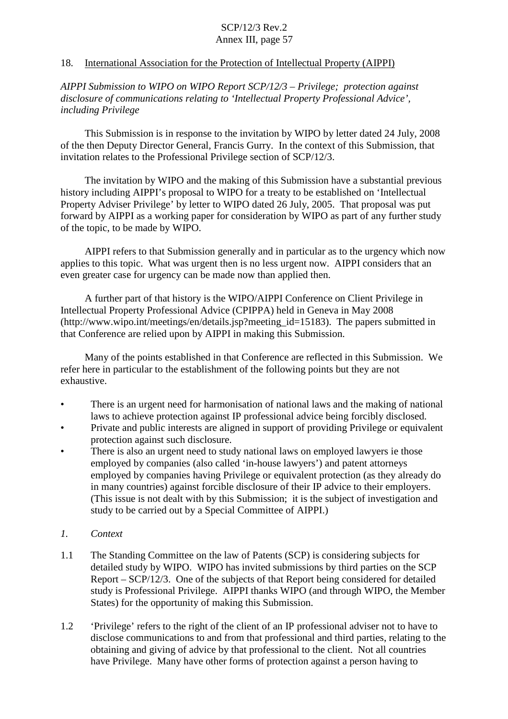### 18. International Association for the Protection of Intellectual Property (AIPPI)

*AIPPI Submission to WIPO on WIPO Report SCP/12/3 – Privilege; protection against disclosure of communications relating to 'Intellectual Property Professional Advice', including Privilege*

This Submission is in response to the invitation by WIPO by letter dated 24 July, 2008 of the then Deputy Director General, Francis Gurry. In the context of this Submission, that invitation relates to the Professional Privilege section of SCP/12/3.

The invitation by WIPO and the making of this Submission have a substantial previous history including AIPPI's proposal to WIPO for a treaty to be established on 'Intellectual Property Adviser Privilege' by letter to WIPO dated 26 July, 2005. That proposal was put forward by AIPPI as a working paper for consideration by WIPO as part of any further study of the topic, to be made by WIPO.

AIPPI refers to that Submission generally and in particular as to the urgency which now applies to this topic. What was urgent then is no less urgent now. AIPPI considers that an even greater case for urgency can be made now than applied then.

A further part of that history is the WIPO/AIPPI Conference on Client Privilege in Intellectual Property Professional Advice (CPIPPA) held in Geneva in May 2008 (http://www.wipo.int/meetings/en/details.jsp?meeting\_id=15183). The papers submitted in that Conference are relied upon by AIPPI in making this Submission.

Many of the points established in that Conference are reflected in this Submission. We refer here in particular to the establishment of the following points but they are not exhaustive.

- There is an urgent need for harmonisation of national laws and the making of national laws to achieve protection against IP professional advice being forcibly disclosed.
- Private and public interests are aligned in support of providing Privilege or equivalent protection against such disclosure.
- There is also an urgent need to study national laws on employed lawyers ie those employed by companies (also called 'in-house lawyers') and patent attorneys employed by companies having Privilege or equivalent protection (as they already do in many countries) against forcible disclosure of their IP advice to their employers. (This issue is not dealt with by this Submission; it is the subject of investigation and study to be carried out by a Special Committee of AIPPI.)
- *1. Context*
- 1.1 The Standing Committee on the law of Patents (SCP) is considering subjects for detailed study by WIPO. WIPO has invited submissions by third parties on the SCP Report – SCP/12/3. One of the subjects of that Report being considered for detailed study is Professional Privilege. AIPPI thanks WIPO (and through WIPO, the Member States) for the opportunity of making this Submission.
- 1.2 'Privilege' refers to the right of the client of an IP professional adviser not to have to disclose communications to and from that professional and third parties, relating to the obtaining and giving of advice by that professional to the client. Not all countries have Privilege. Many have other forms of protection against a person having to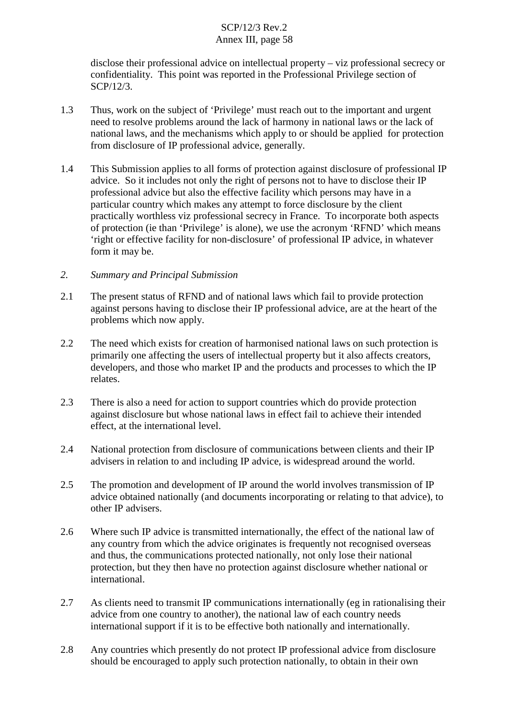disclose their professional advice on intellectual property – viz professional secrecy or confidentiality. This point was reported in the Professional Privilege section of SCP/12/3.

- 1.3 Thus, work on the subject of 'Privilege' must reach out to the important and urgent need to resolve problems around the lack of harmony in national laws or the lack of national laws, and the mechanisms which apply to or should be applied for protection from disclosure of IP professional advice, generally.
- 1.4 This Submission applies to all forms of protection against disclosure of professional IP advice. So it includes not only the right of persons not to have to disclose their IP professional advice but also the effective facility which persons may have in a particular country which makes any attempt to force disclosure by the client practically worthless viz professional secrecy in France. To incorporate both aspects of protection (ie than 'Privilege' is alone), we use the acronym 'RFND' which means 'right or effective facility for non-disclosure' of professional IP advice, in whatever form it may be.
- *2. Summary and Principal Submission*
- 2.1 The present status of RFND and of national laws which fail to provide protection against persons having to disclose their IP professional advice, are at the heart of the problems which now apply.
- 2.2 The need which exists for creation of harmonised national laws on such protection is primarily one affecting the users of intellectual property but it also affects creators, developers, and those who market IP and the products and processes to which the IP relates.
- 2.3 There is also a need for action to support countries which do provide protection against disclosure but whose national laws in effect fail to achieve their intended effect, at the international level.
- 2.4 National protection from disclosure of communications between clients and their IP advisers in relation to and including IP advice, is widespread around the world.
- 2.5 The promotion and development of IP around the world involves transmission of IP advice obtained nationally (and documents incorporating or relating to that advice), to other IP advisers.
- 2.6 Where such IP advice is transmitted internationally, the effect of the national law of any country from which the advice originates is frequently not recognised overseas and thus, the communications protected nationally, not only lose their national protection, but they then have no protection against disclosure whether national or international.
- 2.7 As clients need to transmit IP communications internationally (eg in rationalising their advice from one country to another), the national law of each country needs international support if it is to be effective both nationally and internationally.
- 2.8 Any countries which presently do not protect IP professional advice from disclosure should be encouraged to apply such protection nationally, to obtain in their own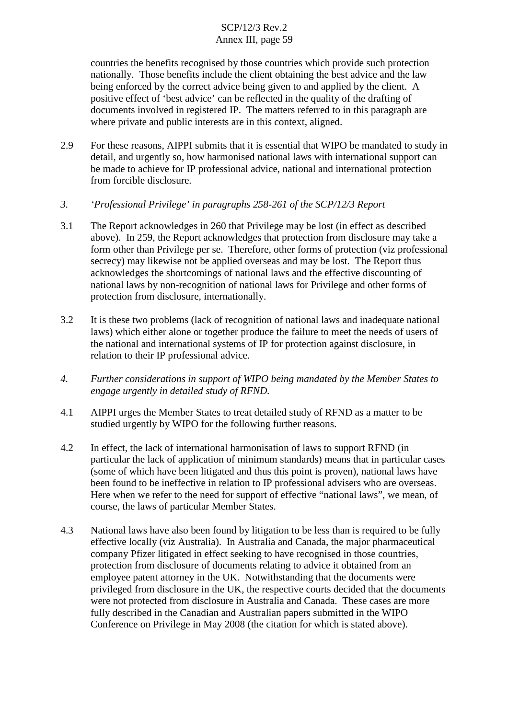countries the benefits recognised by those countries which provide such protection nationally. Those benefits include the client obtaining the best advice and the law being enforced by the correct advice being given to and applied by the client. A positive effect of 'best advice' can be reflected in the quality of the drafting of documents involved in registered IP. The matters referred to in this paragraph are where private and public interests are in this context, aligned.

- 2.9 For these reasons, AIPPI submits that it is essential that WIPO be mandated to study in detail, and urgently so, how harmonised national laws with international support can be made to achieve for IP professional advice, national and international protection from forcible disclosure.
- *3. 'Professional Privilege' in paragraphs 258-261 of the SCP/12/3 Report*
- 3.1 The Report acknowledges in 260 that Privilege may be lost (in effect as described above). In 259, the Report acknowledges that protection from disclosure may take a form other than Privilege per se. Therefore, other forms of protection (viz professional secrecy) may likewise not be applied overseas and may be lost. The Report thus acknowledges the shortcomings of national laws and the effective discounting of national laws by non-recognition of national laws for Privilege and other forms of protection from disclosure, internationally.
- 3.2 It is these two problems (lack of recognition of national laws and inadequate national laws) which either alone or together produce the failure to meet the needs of users of the national and international systems of IP for protection against disclosure, in relation to their IP professional advice.
- *4. Further considerations in support of WIPO being mandated by the Member States to engage urgently in detailed study of RFND.*
- 4.1 AIPPI urges the Member States to treat detailed study of RFND as a matter to be studied urgently by WIPO for the following further reasons.
- 4.2 In effect, the lack of international harmonisation of laws to support RFND (in particular the lack of application of minimum standards) means that in particular cases (some of which have been litigated and thus this point is proven), national laws have been found to be ineffective in relation to IP professional advisers who are overseas. Here when we refer to the need for support of effective "national laws", we mean, of course, the laws of particular Member States.
- 4.3 National laws have also been found by litigation to be less than is required to be fully effective locally (viz Australia). In Australia and Canada, the major pharmaceutical company Pfizer litigated in effect seeking to have recognised in those countries, protection from disclosure of documents relating to advice it obtained from an employee patent attorney in the UK. Notwithstanding that the documents were privileged from disclosure in the UK, the respective courts decided that the documents were not protected from disclosure in Australia and Canada. These cases are more fully described in the Canadian and Australian papers submitted in the WIPO Conference on Privilege in May 2008 (the citation for which is stated above).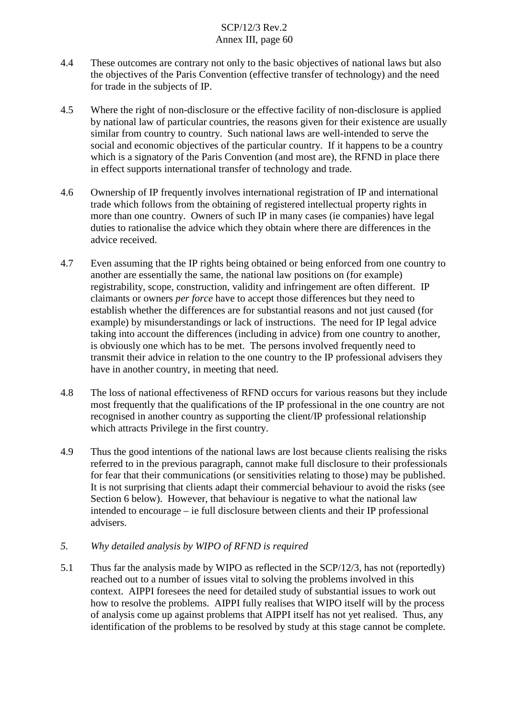- 4.4 These outcomes are contrary not only to the basic objectives of national laws but also the objectives of the Paris Convention (effective transfer of technology) and the need for trade in the subjects of IP.
- 4.5 Where the right of non-disclosure or the effective facility of non-disclosure is applied by national law of particular countries, the reasons given for their existence are usually similar from country to country. Such national laws are well-intended to serve the social and economic objectives of the particular country. If it happens to be a country which is a signatory of the Paris Convention (and most are), the RFND in place there in effect supports international transfer of technology and trade.
- 4.6 Ownership of IP frequently involves international registration of IP and international trade which follows from the obtaining of registered intellectual property rights in more than one country. Owners of such IP in many cases (ie companies) have legal duties to rationalise the advice which they obtain where there are differences in the advice received.
- 4.7 Even assuming that the IP rights being obtained or being enforced from one country to another are essentially the same, the national law positions on (for example) registrability, scope, construction, validity and infringement are often different. IP claimants or owners *per force* have to accept those differences but they need to establish whether the differences are for substantial reasons and not just caused (for example) by misunderstandings or lack of instructions. The need for IP legal advice taking into account the differences (including in advice) from one country to another, is obviously one which has to be met. The persons involved frequently need to transmit their advice in relation to the one country to the IP professional advisers they have in another country, in meeting that need.
- 4.8 The loss of national effectiveness of RFND occurs for various reasons but they include most frequently that the qualifications of the IP professional in the one country are not recognised in another country as supporting the client/IP professional relationship which attracts Privilege in the first country.
- 4.9 Thus the good intentions of the national laws are lost because clients realising the risks referred to in the previous paragraph, cannot make full disclosure to their professionals for fear that their communications (or sensitivities relating to those) may be published. It is not surprising that clients adapt their commercial behaviour to avoid the risks (see Section 6 below). However, that behaviour is negative to what the national law intended to encourage – ie full disclosure between clients and their IP professional advisers.
- *5. Why detailed analysis by WIPO of RFND is required*
- 5.1 Thus far the analysis made by WIPO as reflected in the SCP/12/3, has not (reportedly) reached out to a number of issues vital to solving the problems involved in this context. AIPPI foresees the need for detailed study of substantial issues to work out how to resolve the problems. AIPPI fully realises that WIPO itself will by the process of analysis come up against problems that AIPPI itself has not yet realised. Thus, any identification of the problems to be resolved by study at this stage cannot be complete.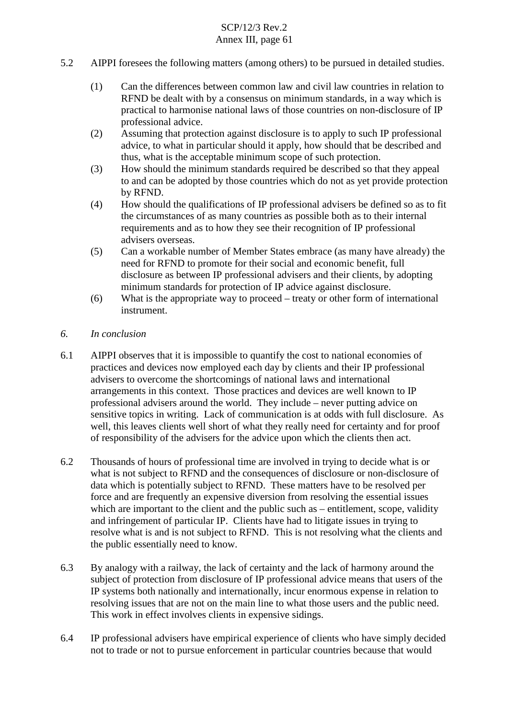- 5.2 AIPPI foresees the following matters (among others) to be pursued in detailed studies.
	- (1) Can the differences between common law and civil law countries in relation to RFND be dealt with by a consensus on minimum standards, in a way which is practical to harmonise national laws of those countries on non-disclosure of IP professional advice.
	- (2) Assuming that protection against disclosure is to apply to such IP professional advice, to what in particular should it apply, how should that be described and thus, what is the acceptable minimum scope of such protection.
	- (3) How should the minimum standards required be described so that they appeal to and can be adopted by those countries which do not as yet provide protection by RFND.
	- (4) How should the qualifications of IP professional advisers be defined so as to fit the circumstances of as many countries as possible both as to their internal requirements and as to how they see their recognition of IP professional advisers overseas.
	- (5) Can a workable number of Member States embrace (as many have already) the need for RFND to promote for their social and economic benefit, full disclosure as between IP professional advisers and their clients, by adopting minimum standards for protection of IP advice against disclosure.
	- (6) What is the appropriate way to proceed treaty or other form of international instrument.
- *6. In conclusion*
- 6.1 AIPPI observes that it is impossible to quantify the cost to national economies of practices and devices now employed each day by clients and their IP professional advisers to overcome the shortcomings of national laws and international arrangements in this context. Those practices and devices are well known to IP professional advisers around the world. They include – never putting advice on sensitive topics in writing. Lack of communication is at odds with full disclosure. As well, this leaves clients well short of what they really need for certainty and for proof of responsibility of the advisers for the advice upon which the clients then act.
- 6.2 Thousands of hours of professional time are involved in trying to decide what is or what is not subject to RFND and the consequences of disclosure or non-disclosure of data which is potentially subject to RFND. These matters have to be resolved per force and are frequently an expensive diversion from resolving the essential issues which are important to the client and the public such as – entitlement, scope, validity and infringement of particular IP. Clients have had to litigate issues in trying to resolve what is and is not subject to RFND. This is not resolving what the clients and the public essentially need to know.
- 6.3 By analogy with a railway, the lack of certainty and the lack of harmony around the subject of protection from disclosure of IP professional advice means that users of the IP systems both nationally and internationally, incur enormous expense in relation to resolving issues that are not on the main line to what those users and the public need. This work in effect involves clients in expensive sidings.
- 6.4 IP professional advisers have empirical experience of clients who have simply decided not to trade or not to pursue enforcement in particular countries because that would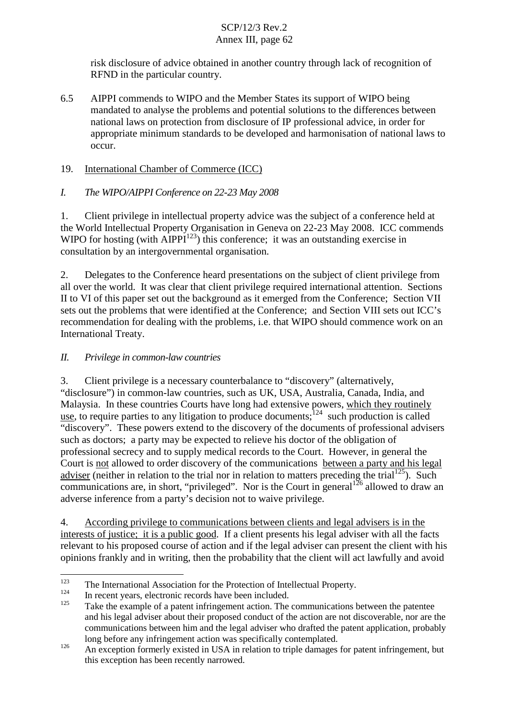risk disclosure of advice obtained in another country through lack of recognition of RFND in the particular country.

6.5 AIPPI commends to WIPO and the Member States its support of WIPO being mandated to analyse the problems and potential solutions to the differences between national laws on protection from disclosure of IP professional advice, in order for appropriate minimum standards to be developed and harmonisation of national laws to occur.

## 19. International Chamber of Commerce (ICC)

## *I. The WIPO/AIPPI Conference on 22-23 May 2008*

1. Client privilege in intellectual property advice was the subject of a conference held at the World Intellectual Property Organisation in Geneva on 22-23 May 2008. ICC commends WIPO for hosting (with  $\widehat{AIPPI}^{123}$ ) this conference; it was an outstanding exercise in consultation by an intergovernmental organisation.

2. Delegates to the Conference heard presentations on the subject of client privilege from all over the world. It was clear that client privilege required international attention. Sections II to VI of this paper set out the background as it emerged from the Conference; Section VII sets out the problems that were identified at the Conference; and Section VIII sets out ICC's recommendation for dealing with the problems, i.e. that WIPO should commence work on an International Treaty.

## *II. Privilege in common-law countries*

3. Client privilege is a necessary counterbalance to "discovery" (alternatively, "disclosure") in common-law countries, such as UK, USA, Australia, Canada, India, and Malaysia. In these countries Courts have long had extensive powers, which they routinely use, to require parties to any litigation to produce documents;  $124$  such production is called "discovery". These powers extend to the discovery of the documents of professional advisers such as doctors; a party may be expected to relieve his doctor of the obligation of professional secrecy and to supply medical records to the Court. However, in general the Court is not allowed to order discovery of the communications between a party and his legal adviser (neither in relation to the trial nor in relation to matters preceding the trial<sup>125</sup>). Such communications are, in short, "privileged". Nor is the Court in general  $1^{26}$  allowed to draw an adverse inference from a party's decision not to waive privilege.

4. According privilege to communications between clients and legal advisers is in the interests of justice; it is a public good. If a client presents his legal adviser with all the facts relevant to his proposed course of action and if the legal adviser can present the client with his opinions frankly and in writing, then the probability that the client will act lawfully and avoid

<sup>&</sup>lt;sup>123</sup> The International Association for the Protection of Intellectual Property.<br>
In recent years, electronic records have been included.<br>
<sup>125</sup> Take the example of a patent infringement action. The communications between and his legal adviser about their proposed conduct of the action are not discoverable, nor are the communications between him and the legal adviser who drafted the patent application, probably long before any infringement action was specifically contemplated.<br>An exception formerly existed in USA in relation to triple damages for patent infringement, but

this exception has been recently narrowed.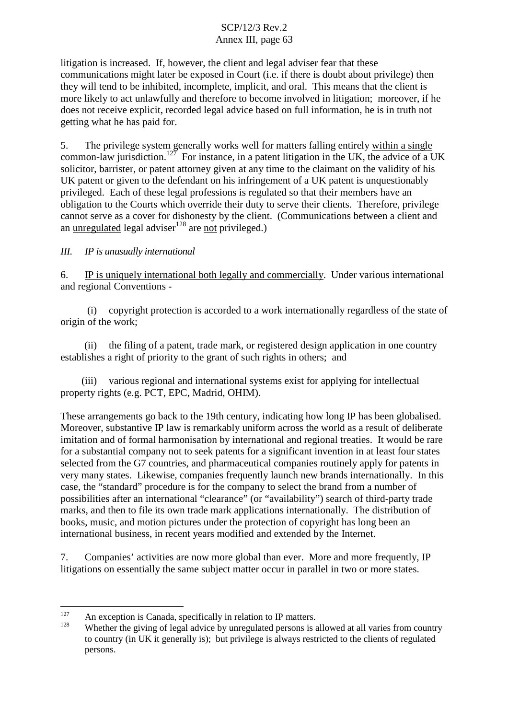litigation is increased. If, however, the client and legal adviser fear that these communications might later be exposed in Court (i.e. if there is doubt about privilege) then they will tend to be inhibited, incomplete, implicit, and oral. This means that the client is more likely to act unlawfully and therefore to become involved in litigation; moreover, if he does not receive explicit, recorded legal advice based on full information, he is in truth not getting what he has paid for.

5. The privilege system generally works well for matters falling entirely within a single common-law jurisdiction.<sup>127</sup> For instance, in a patent litigation in the UK, the advice of a UK solicitor, barrister, or patent attorney given at any time to the claimant on the validity of his UK patent or given to the defendant on his infringement of a UK patent is unquestionably privileged. Each of these legal professions is regulated so that their members have an obligation to the Courts which override their duty to serve their clients. Therefore, privilege cannot serve as a cover for dishonesty by the client. (Communications between a client and an unregulated legal adviser<sup>128</sup> are not privileged.)

## *III. IP is unusually international*

6. IP is uniquely international both legally and commercially. Under various international and regional Conventions -

(i) copyright protection is accorded to a work internationally regardless of the state of origin of the work;

(ii) the filing of a patent, trade mark, or registered design application in one country establishes a right of priority to the grant of such rights in others; and

(iii) various regional and international systems exist for applying for intellectual property rights (e.g. PCT, EPC, Madrid, OHIM).

These arrangements go back to the 19th century, indicating how long IP has been globalised. Moreover, substantive IP law is remarkably uniform across the world as a result of deliberate imitation and of formal harmonisation by international and regional treaties. It would be rare for a substantial company not to seek patents for a significant invention in at least four states selected from the G7 countries, and pharmaceutical companies routinely apply for patents in very many states. Likewise, companies frequently launch new brands internationally. In this case, the "standard" procedure is for the company to select the brand from a number of possibilities after an international "clearance" (or "availability") search of third-party trade marks, and then to file its own trade mark applications internationally. The distribution of books, music, and motion pictures under the protection of copyright has long been an international business, in recent years modified and extended by the Internet.

7. Companies' activities are now more global than ever. More and more frequently, IP litigations on essentially the same subject matter occur in parallel in two or more states.

<sup>&</sup>lt;sup>127</sup> An exception is Canada, specifically in relation to IP matters.<br><sup>128</sup> Whether the giving of legal advice by unregulated persons is allowed at all varies from country to country (in UK it generally is); but privilege is always restricted to the clients of regulated persons.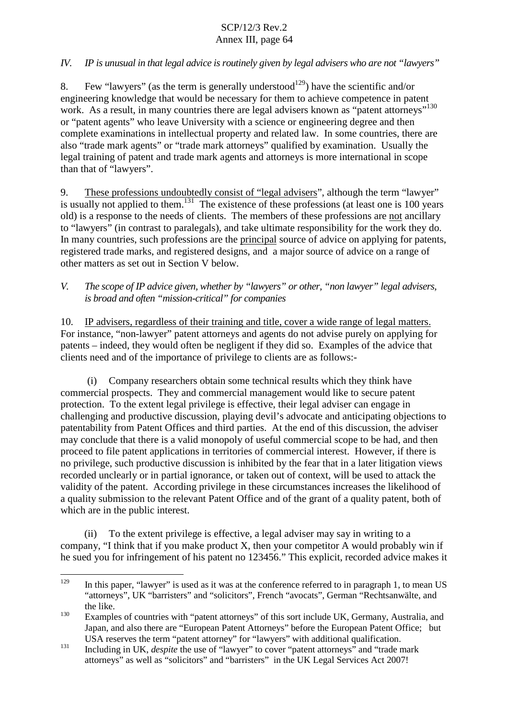### *IV. IP is unusual in that legal advice is routinely given by legal advisers who are not "lawyers"*

8. Few "lawyers" (as the term is generally understood<sup>129</sup>) have the scientific and/or engineering knowledge that would be necessary for them to achieve competence in patent work. As a result, in many countries there are legal advisers known as "patent attorneys"<sup>130</sup> or "patent agents" who leave University with a science or engineering degree and then complete examinations in intellectual property and related law. In some countries, there are also "trade mark agents" or "trade mark attorneys" qualified by examination. Usually the legal training of patent and trade mark agents and attorneys is more international in scope than that of "lawyers".

9. These professions undoubtedly consist of "legal advisers", although the term "lawyer" is usually not applied to them.<sup>131</sup> The existence of these professions (at least one is 100 years old) is a response to the needs of clients. The members of these professions are not ancillary to "lawyers" (in contrast to paralegals), and take ultimate responsibility for the work they do. In many countries, such professions are the principal source of advice on applying for patents, registered trade marks, and registered designs, and a major source of advice on a range of other matters as set out in Section V below.

*V. The scope of IP advice given, whether by "lawyers" or other, "non lawyer" legal advisers, is broad and often "mission-critical" for companies*

10. IP advisers, regardless of their training and title, cover a wide range of legal matters. For instance, "non-lawyer" patent attorneys and agents do not advise purely on applying for patents – indeed, they would often be negligent if they did so. Examples of the advice that clients need and of the importance of privilege to clients are as follows:-

(i) Company researchers obtain some technical results which they think have commercial prospects. They and commercial management would like to secure patent protection. To the extent legal privilege is effective, their legal adviser can engage in challenging and productive discussion, playing devil's advocate and anticipating objections to patentability from Patent Offices and third parties. At the end of this discussion, the adviser may conclude that there is a valid monopoly of useful commercial scope to be had, and then proceed to file patent applications in territories of commercial interest. However, if there is no privilege, such productive discussion is inhibited by the fear that in a later litigation views recorded unclearly or in partial ignorance, or taken out of context, will be used to attack the validity of the patent. According privilege in these circumstances increases the likelihood of a quality submission to the relevant Patent Office and of the grant of a quality patent, both of which are in the public interest.

To the extent privilege is effective, a legal adviser may say in writing to a company, "I think that if you make product X, then your competitor A would probably win if he sued you for infringement of his patent no 123456." This explicit, recorded advice makes it

<sup>&</sup>lt;sup>129</sup> In this paper, "lawyer" is used as it was at the conference referred to in paragraph 1, to mean US "attorneys", UK "barristers" and "solicitors", French "avocats", German "Rechtsanwälte, and the like.<br><sup>130</sup> Examples of countries with "patent attorneys" of this sort include UK, Germany, Australia, and

Japan, and also there are "European Patent Attorneys" before the European Patent Office; but USA reserves the term "patent attorney" for "lawyers" with additional qualification.<br>
Including in UK, *despite* the use of "lawyer" to cover "patent attorneys" and "trade mark

attorneys" as well as "solicitors" and "barristers" in the UK Legal Services Act 2007!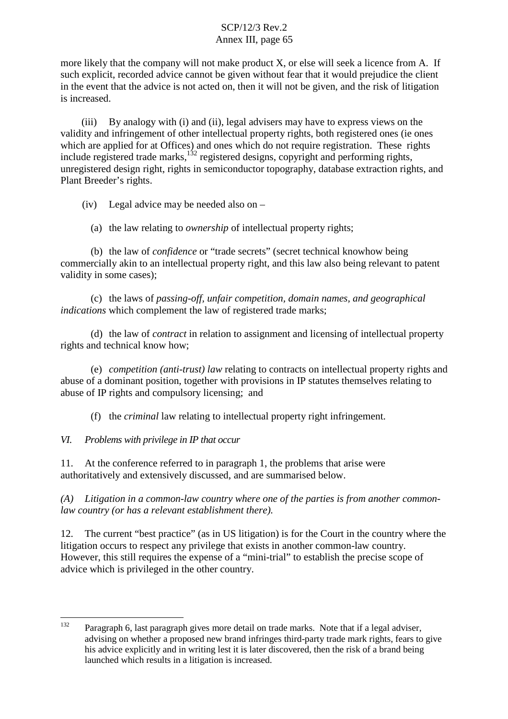more likely that the company will not make product X, or else will seek a licence from A. If such explicit, recorded advice cannot be given without fear that it would prejudice the client in the event that the advice is not acted on, then it will not be given, and the risk of litigation is increased.

(iii) By analogy with (i) and (ii), legal advisers may have to express views on the validity and infringement of other intellectual property rights, both registered ones (ie ones which are applied for at Offices) and ones which do not require registration. These rights include registered trade marks,  $^{132}$  registered designs, copyright and performing rights, unregistered design right, rights in semiconductor topography, database extraction rights, and Plant Breeder's rights.

(iv) Legal advice may be needed also on –

(a) the law relating to *ownership* of intellectual property rights;

(b) the law of *confidence* or "trade secrets" (secret technical knowhow being commercially akin to an intellectual property right, and this law also being relevant to patent validity in some cases);

(c) the laws of *passing-off, unfair competition, domain names, and geographical indications* which complement the law of registered trade marks;

(d) the law of *contract* in relation to assignment and licensing of intellectual property rights and technical know how;

(e) *competition (anti-trust) law* relating to contracts on intellectual property rights and abuse of a dominant position, together with provisions in IP statutes themselves relating to abuse of IP rights and compulsory licensing; and

(f) the *criminal* law relating to intellectual property right infringement.

*VI. Problems with privilege in IP that occur*

11. At the conference referred to in paragraph 1, the problems that arise were authoritatively and extensively discussed, and are summarised below.

*(A) Litigation in a common-law country where one of the parties is from another commonlaw country (or has a relevant establishment there).*

12. The current "best practice" (as in US litigation) is for the Court in the country where the litigation occurs to respect any privilege that exists in another common-law country. However, this still requires the expense of a "mini-trial" to establish the precise scope of advice which is privileged in the other country.

<sup>&</sup>lt;sup>132</sup> Paragraph 6, last paragraph gives more detail on trade marks. Note that if a legal adviser, advising on whether a proposed new brand infringes third-party trade mark rights, fears to give his advice explicitly and in writing lest it is later discovered, then the risk of a brand being launched which results in a litigation is increased.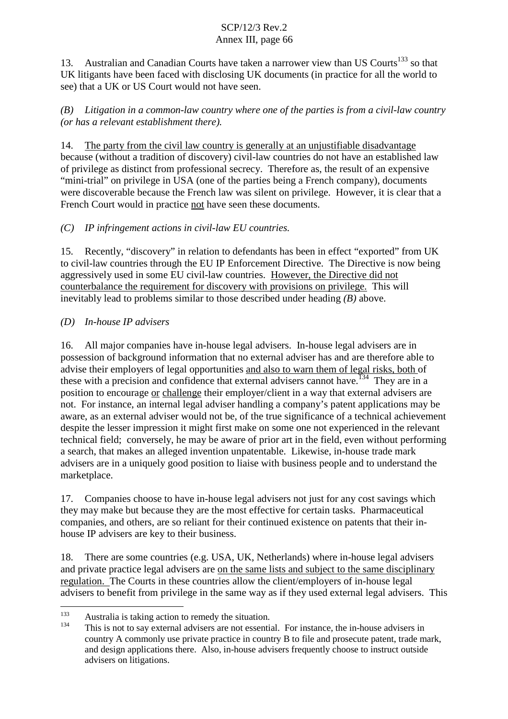13. Australian and Canadian Courts have taken a narrower view than US Courts<sup>133</sup> so that UK litigants have been faced with disclosing UK documents (in practice for all the world to see) that a UK or US Court would not have seen.

*(B) Litigation in a common-law country where one of the parties is from a civil-law country (or has a relevant establishment there).*

14. The party from the civil law country is generally at an unjustifiable disadvantage because (without a tradition of discovery) civil-law countries do not have an established law of privilege as distinct from professional secrecy. Therefore as, the result of an expensive "mini-trial" on privilege in USA (one of the parties being a French company), documents were discoverable because the French law was silent on privilege. However, it is clear that a French Court would in practice not have seen these documents.

# *(C) IP infringement actions in civil-law EU countries.*

15. Recently, "discovery" in relation to defendants has been in effect "exported" from UK to civil-law countries through the EU IP Enforcement Directive. The Directive is now being aggressively used in some EU civil-law countries. However, the Directive did not counterbalance the requirement for discovery with provisions on privilege. This will inevitably lead to problems similar to those described under heading *(B)* above.

## *(D) In-house IP advisers*

16. All major companies have in-house legal advisers. In-house legal advisers are in possession of background information that no external adviser has and are therefore able to advise their employers of legal opportunities and also to warn them of legal risks, both of these with a precision and confidence that external advisers cannot have.<sup>134</sup> They are in a position to encourage or challenge their employer/client in a way that external advisers are not. For instance, an internal legal adviser handling a company's patent applications may be aware, as an external adviser would not be, of the true significance of a technical achievement despite the lesser impression it might first make on some one not experienced in the relevant technical field; conversely, he may be aware of prior art in the field, even without performing a search, that makes an alleged invention unpatentable. Likewise, in-house trade mark advisers are in a uniquely good position to liaise with business people and to understand the marketplace.

17. Companies choose to have in-house legal advisers not just for any cost savings which they may make but because they are the most effective for certain tasks. Pharmaceutical companies, and others, are so reliant for their continued existence on patents that their inhouse IP advisers are key to their business.

18. There are some countries (e.g. USA, UK, Netherlands) where in-house legal advisers and private practice legal advisers are on the same lists and subject to the same disciplinary regulation. The Courts in these countries allow the client/employers of in-house legal advisers to benefit from privilege in the same way as if they used external legal advisers. This

<sup>&</sup>lt;sup>133</sup> Australia is taking action to remedy the situation.<br><sup>134</sup> This is not to say external advisers are not essential. For instance, the in-house advisers in country A commonly use private practice in country B to file and prosecute patent, trade mark, and design applications there. Also, in-house advisers frequently choose to instruct outside advisers on litigations.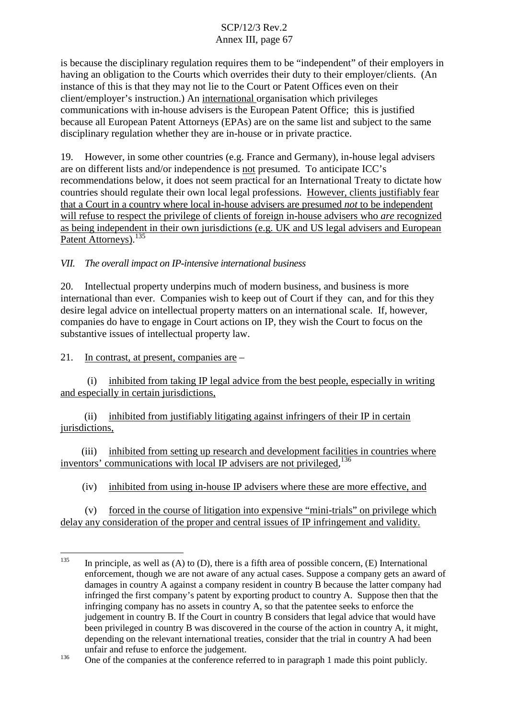is because the disciplinary regulation requires them to be "independent" of their employers in having an obligation to the Courts which overrides their duty to their employer/clients. (An instance of this is that they may not lie to the Court or Patent Offices even on their client/employer's instruction.) An international organisation which privileges communications with in-house advisers is the European Patent Office; this is justified because all European Patent Attorneys (EPAs) are on the same list and subject to the same disciplinary regulation whether they are in-house or in private practice.

19. However, in some other countries (e.g. France and Germany), in-house legal advisers are on different lists and/or independence is not presumed. To anticipate ICC's recommendations below, it does not seem practical for an International Treaty to dictate how countries should regulate their own local legal professions. However, clients justifiably fear that a Court in a country where local in-house advisers are presumed *not* to be independent will refuse to respect the privilege of clients of foreign in-house advisers who *are* recognized as being independent in their own jurisdictions (e.g. UK and US legal advisers and European Patent Attorneys).<sup>135</sup>

## *VII. The overall impact on IP-intensive international business*

20. Intellectual property underpins much of modern business, and business is more international than ever. Companies wish to keep out of Court if they can, and for this they desire legal advice on intellectual property matters on an international scale. If, however, companies do have to engage in Court actions on IP, they wish the Court to focus on the substantive issues of intellectual property law.

21. In contrast, at present, companies are –

(i) inhibited from taking IP legal advice from the best people, especially in writing and especially in certain jurisdictions,

(ii) inhibited from justifiably litigating against infringers of their IP in certain jurisdictions,

(iii) inhibited from setting up research and development facilities in countries where inventors' communications with local IP advisers are not privileged, <sup>136</sup>

(iv) inhibited from using in-house IP advisers where these are more effective, and

(v) forced in the course of litigation into expensive "mini-trials" on privilege which delay any consideration of the proper and central issues of IP infringement and validity.

<sup>&</sup>lt;sup>135</sup> In principle, as well as (A) to (D), there is a fifth area of possible concern, (E) International enforcement, though we are not aware of any actual cases. Suppose a company gets an award of damages in country A against a company resident in country B because the latter company had infringed the first company's patent by exporting product to country A. Suppose then that the infringing company has no assets in country A, so that the patentee seeks to enforce the judgement in country B. If the Court in country B considers that legal advice that would have been privileged in country B was discovered in the course of the action in country A, it might, depending on the relevant international treaties, consider that the trial in country A had been unfair and refuse to enforce the judgement.<br>
One of the companies at the conference referred to in paragraph 1 made this point publicly.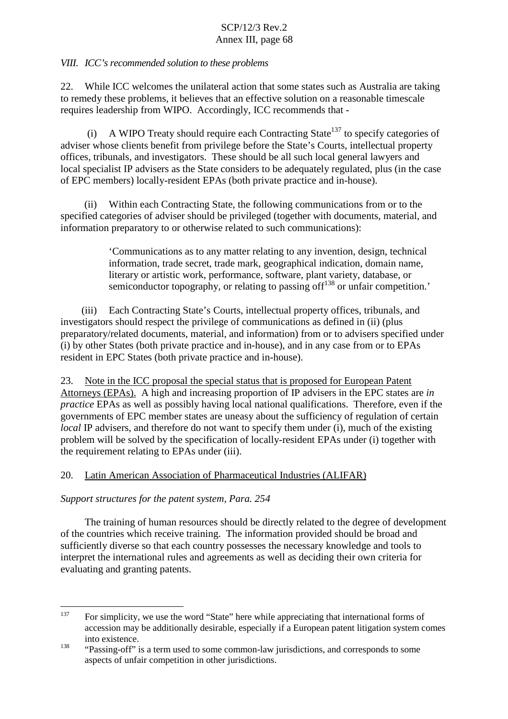## *VIII. ICC's recommended solution to these problems*

22. While ICC welcomes the unilateral action that some states such as Australia are taking to remedy these problems, it believes that an effective solution on a reasonable timescale requires leadership from WIPO. Accordingly, ICC recommends that -

(i) A WIPO Treaty should require each Contracting State<sup>137</sup> to specify categories of adviser whose clients benefit from privilege before the State's Courts, intellectual property offices, tribunals, and investigators. These should be all such local general lawyers and local specialist IP advisers as the State considers to be adequately regulated, plus (in the case of EPC members) locally-resident EPAs (both private practice and in-house).

(ii) Within each Contracting State, the following communications from or to the specified categories of adviser should be privileged (together with documents, material, and information preparatory to or otherwise related to such communications):

> 'Communications as to any matter relating to any invention, design, technical information, trade secret, trade mark, geographical indication, domain name, literary or artistic work, performance, software, plant variety, database, or semiconductor topography, or relating to passing of  $f^{138}$  or unfair competition.'

(iii) Each Contracting State's Courts, intellectual property offices, tribunals, and investigators should respect the privilege of communications as defined in (ii) (plus preparatory/related documents, material, and information) from or to advisers specified under (i) by other States (both private practice and in-house), and in any case from or to EPAs resident in EPC States (both private practice and in-house).

23. Note in the ICC proposal the special status that is proposed for European Patent Attorneys (EPAs). A high and increasing proportion of IP advisers in the EPC states are *in practice* EPAs as well as possibly having local national qualifications. Therefore, even if the governments of EPC member states are uneasy about the sufficiency of regulation of certain *local* IP advisers, and therefore do not want to specify them under (i), much of the existing problem will be solved by the specification of locally-resident EPAs under (i) together with the requirement relating to EPAs under (iii).

## 20. Latin American Association of Pharmaceutical Industries (ALIFAR)

## *Support structures for the patent system, Para. 254*

The training of human resources should be directly related to the degree of development of the countries which receive training. The information provided should be broad and sufficiently diverse so that each country possesses the necessary knowledge and tools to interpret the international rules and agreements as well as deciding their own criteria for evaluating and granting patents.

<sup>&</sup>lt;sup>137</sup> For simplicity, we use the word "State" here while appreciating that international forms of accession may be additionally desirable, especially if a European patent litigation system comes into existence.<br>
"Passing-off" is a term used to some common-law jurisdictions, and corresponds to some

aspects of unfair competition in other jurisdictions.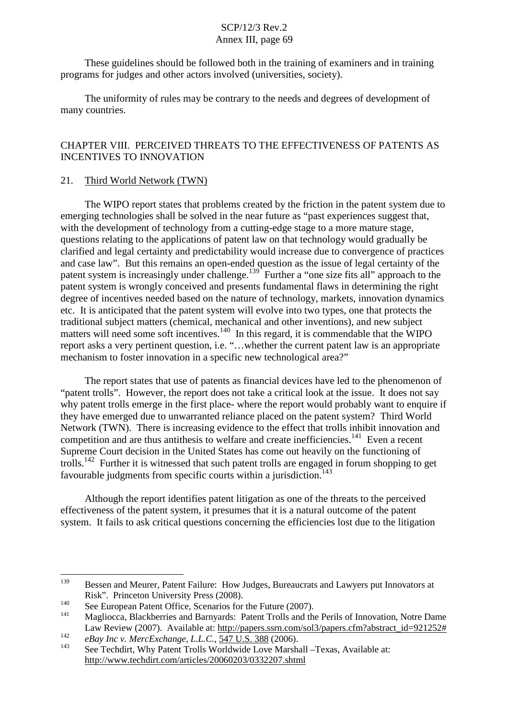These guidelines should be followed both in the training of examiners and in training programs for judges and other actors involved (universities, society).

The uniformity of rules may be contrary to the needs and degrees of development of many countries.

## CHAPTER VIII. PERCEIVED THREATS TO THE EFFECTIVENESS OF PATENTS AS INCENTIVES TO INNOVATION

### 21. Third World Network (TWN)

The WIPO report states that problems created by the friction in the patent system due to emerging technologies shall be solved in the near future as "past experiences suggest that, with the development of technology from a cutting-edge stage to a more mature stage, questions relating to the applications of patent law on that technology would gradually be clarified and legal certainty and predictability would increase due to convergence of practices and case law". But this remains an open-ended question as the issue of legal certainty of the patent system is increasingly under challenge.<sup>139</sup> Further a "one size fits all" approach to the patent system is wrongly conceived and presents fundamental flaws in determining the right degree of incentives needed based on the nature of technology, markets, innovation dynamics etc. It is anticipated that the patent system will evolve into two types, one that protects the traditional subject matters (chemical, mechanical and other inventions), and new subject matters will need some soft incentives.<sup>140</sup> In this regard, it is commendable that the WIPO report asks a very pertinent question, i.e. "…whether the current patent law is an appropriate mechanism to foster innovation in a specific new technological area?"

The report states that use of patents as financial devices have led to the phenomenon of "patent trolls". However, the report does not take a critical look at the issue. It does not say why patent trolls emerge in the first place- where the report would probably want to enquire if they have emerged due to unwarranted reliance placed on the patent system? Third World Network (TWN). There is increasing evidence to the effect that trolls inhibit innovation and competition and are thus antithesis to welfare and create inefficiencies.<sup>141</sup> Even a recent Supreme Court decision in the United States has come out heavily on the functioning of trolls.<sup>142</sup> Further it is witnessed that such patent trolls are engaged in forum shopping to get favourable judgments from specific courts within a jurisdiction.<sup>143</sup>

Although the report identifies patent litigation as one of the threats to the perceived effectiveness of the patent system, it presumes that it is a natural outcome of the patent system. It fails to ask critical questions concerning the efficiencies lost due to the litigation

<sup>&</sup>lt;sup>139</sup> Bessen and Meurer, Patent Failure: How Judges, Bureaucrats and Lawyers put Innovators at

Risk". Princeton University Press (2008).<br>
140 See European Patent Office, Scenarios for the Future (2007).<br>
141 Magliocca, Blackberries and Barnyards: Patent Trolls and the Perils of Innovation, Notre Dame Law Review (2007). Available at: http://papers.ssrn.com/sol3/papers.cfm?abstract\_id=921252#

<sup>142</sup>

<sup>&</sup>lt;sup>142</sup> *eBay Inc v. MercExchange, L.L.C.*, 547 U.S. 388 (2006).<br><sup>143</sup> See Techdirt, Why Patent Trolls Worldwide Love Marshall –Texas, Available at: http://www.techdirt.com/articles/20060203/0332207.shtml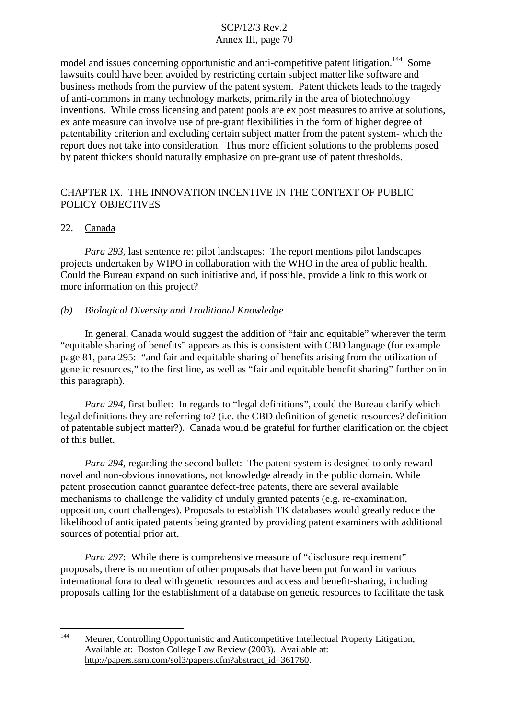model and issues concerning opportunistic and anti-competitive patent litigation.<sup>144</sup> Some lawsuits could have been avoided by restricting certain subject matter like software and business methods from the purview of the patent system. Patent thickets leads to the tragedy of anti-commons in many technology markets, primarily in the area of biotechnology inventions. While cross licensing and patent pools are ex post measures to arrive at solutions, ex ante measure can involve use of pre-grant flexibilities in the form of higher degree of patentability criterion and excluding certain subject matter from the patent system- which the report does not take into consideration. Thus more efficient solutions to the problems posed by patent thickets should naturally emphasize on pre-grant use of patent thresholds.

## CHAPTER IX. THE INNOVATION INCENTIVE IN THE CONTEXT OF PUBLIC POLICY ORIECTIVES

#### 22. Canada

*Para 293*, last sentence re: pilot landscapes: The report mentions pilot landscapes projects undertaken by WIPO in collaboration with the WHO in the area of public health. Could the Bureau expand on such initiative and, if possible, provide a link to this work or more information on this project?

### *(b) Biological Diversity and Traditional Knowledge*

In general, Canada would suggest the addition of "fair and equitable" wherever the term "equitable sharing of benefits" appears as this is consistent with CBD language (for example page 81, para 295: "and fair and equitable sharing of benefits arising from the utilization of genetic resources," to the first line, as well as "fair and equitable benefit sharing" further on in this paragraph).

*Para 294*, first bullet: In regards to "legal definitions", could the Bureau clarify which legal definitions they are referring to? (i.e. the CBD definition of genetic resources? definition of patentable subject matter?). Canada would be grateful for further clarification on the object of this bullet.

*Para 294*, regarding the second bullet: The patent system is designed to only reward novel and non-obvious innovations, not knowledge already in the public domain. While patent prosecution cannot guarantee defect-free patents, there are several available mechanisms to challenge the validity of unduly granted patents (e.g. re-examination, opposition, court challenges). Proposals to establish TK databases would greatly reduce the likelihood of anticipated patents being granted by providing patent examiners with additional sources of potential prior art.

*Para* 297: While there is comprehensive measure of "disclosure requirement" proposals, there is no mention of other proposals that have been put forward in various international fora to deal with genetic resources and access and benefit-sharing, including proposals calling for the establishment of a database on genetic resources to facilitate the task

<sup>144</sup> Meurer, Controlling Opportunistic and Anticompetitive Intellectual Property Litigation, Available at: Boston College Law Review (2003). Available at: http://papers.ssrn.com/sol3/papers.cfm?abstract\_id=361760.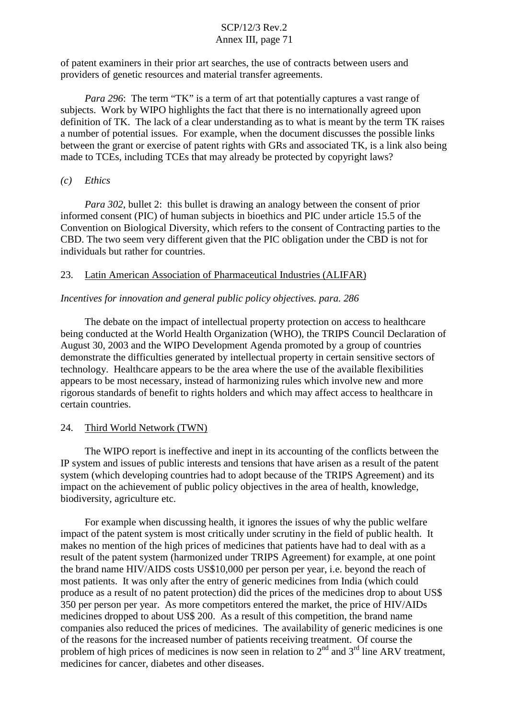of patent examiners in their prior art searches, the use of contracts between users and providers of genetic resources and material transfer agreements.

*Para* 296: The term "TK" is a term of art that potentially captures a vast range of subjects. Work by WIPO highlights the fact that there is no internationally agreed upon definition of TK. The lack of a clear understanding as to what is meant by the term TK raises a number of potential issues. For example, when the document discusses the possible links between the grant or exercise of patent rights with GRs and associated TK, is a link also being made to TCEs, including TCEs that may already be protected by copyright laws?

#### *(c) Ethics*

*Para 302*, bullet 2: this bullet is drawing an analogy between the consent of prior informed consent (PIC) of human subjects in bioethics and PIC under article 15.5 of the Convention on Biological Diversity, which refers to the consent of Contracting parties to the CBD. The two seem very different given that the PIC obligation under the CBD is not for individuals but rather for countries.

#### 23. Latin American Association of Pharmaceutical Industries (ALIFAR)

#### *Incentives for innovation and general public policy objectives. para. 286*

The debate on the impact of intellectual property protection on access to healthcare being conducted at the World Health Organization (WHO), the TRIPS Council Declaration of August 30, 2003 and the WIPO Development Agenda promoted by a group of countries demonstrate the difficulties generated by intellectual property in certain sensitive sectors of technology. Healthcare appears to be the area where the use of the available flexibilities appears to be most necessary, instead of harmonizing rules which involve new and more rigorous standards of benefit to rights holders and which may affect access to healthcare in certain countries.

#### 24. Third World Network (TWN)

The WIPO report is ineffective and inept in its accounting of the conflicts between the IP system and issues of public interests and tensions that have arisen as a result of the patent system (which developing countries had to adopt because of the TRIPS Agreement) and its impact on the achievement of public policy objectives in the area of health, knowledge, biodiversity, agriculture etc.

For example when discussing health, it ignores the issues of why the public welfare impact of the patent system is most critically under scrutiny in the field of public health. It makes no mention of the high prices of medicines that patients have had to deal with as a result of the patent system (harmonized under TRIPS Agreement) for example, at one point the brand name HIV/AIDS costs US\$10,000 per person per year, i.e. beyond the reach of most patients. It was only after the entry of generic medicines from India (which could produce as a result of no patent protection) did the prices of the medicines drop to about US\$ 350 per person per year. As more competitors entered the market, the price of HIV/AIDs medicines dropped to about US\$ 200. As a result of this competition, the brand name companies also reduced the prices of medicines. The availability of generic medicines is one of the reasons for the increased number of patients receiving treatment. Of course the problem of high prices of medicines is now seen in relation to  $2<sup>nd</sup>$  and  $3<sup>rd</sup>$  line ARV treatment, medicines for cancer, diabetes and other diseases.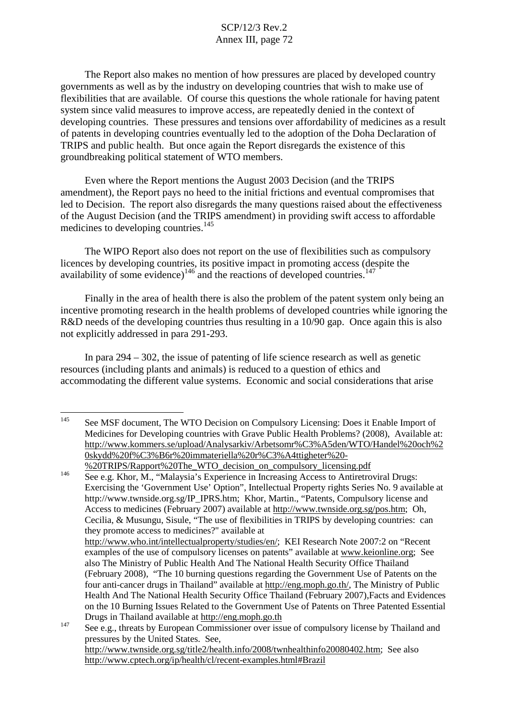The Report also makes no mention of how pressures are placed by developed country governments as well as by the industry on developing countries that wish to make use of flexibilities that are available. Of course this questions the whole rationale for having patent system since valid measures to improve access, are repeatedly denied in the context of developing countries. These pressures and tensions over affordability of medicines as a result of patents in developing countries eventually led to the adoption of the Doha Declaration of TRIPS and public health. But once again the Report disregards the existence of this groundbreaking political statement of WTO members.

Even where the Report mentions the August 2003 Decision (and the TRIPS amendment), the Report pays no heed to the initial frictions and eventual compromises that led to Decision. The report also disregards the many questions raised about the effectiveness of the August Decision (and the TRIPS amendment) in providing swift access to affordable medicines to developing countries. 145

The WIPO Report also does not report on the use of flexibilities such as compulsory licences by developing countries, its positive impact in promoting access (despite the availability of some evidence) $146$  and the reactions of developed countries.  $147$ 

Finally in the area of health there is also the problem of the patent system only being an incentive promoting research in the health problems of developed countries while ignoring the R&D needs of the developing countries thus resulting in a 10/90 gap. Once again this is also not explicitly addressed in para 291-293.

In para 294 – 302, the issue of patenting of life science research as well as genetic resources (including plants and animals) is reduced to a question of ethics and accommodating the different value systems. Economic and social considerations that arise

<sup>&</sup>lt;sup>145</sup> See MSF document, The WTO Decision on Compulsory Licensing: Does it Enable Import of Medicines for Developing countries with Grave Public Health Problems? (2008), Available at: http://www.kommers.se/upload/Analysarkiv/Arbetsomr%C3%A5den/WTO/Handel%20och%2 0skydd%20f%C3%B6r%20immateriella%20r%C3%A4ttigheter%20- %20TRIPS/Rapport%20The\_WTO\_decision\_on\_compulsory\_licensing.pdf

<sup>146</sup> See e.g. Khor, M., "Malaysia's Experience in Increasing Access to Antiretroviral Drugs: Exercising the 'Government Use' Option", Intellectual Property rights Series No. 9 available at http://www.twnside.org.sg/IP\_IPRS.htm; Khor, Martin., "Patents, Compulsory license and Access to medicines (February 2007) available at http://www.twnside.org.sg/pos.htm; Oh, Cecilia, & Musungu, Sisule, "The use of flexibilities in TRIPS by developing countries: can they promote access to medicines?" available at http://www.who.int/intellectualproperty/studies/en/; KEI Research Note 2007:2 on "Recent examples of the use of compulsory licenses on patents" available at www.keionline.org; See also The Ministry of Public Health And The National Health Security Office Thailand (February 2008), "The 10 burning questions regarding the Government Use of Patents on the four anti-cancer drugs in Thailand" available at http://eng.moph.go.th/, The Ministry of Public Health And The National Health Security Office Thailand (February 2007),Facts and Evidences on the 10 Burning Issues Related to the Government Use of Patents on Three Patented Essential Drugs in Thailand available at http://eng.moph.go.th

 $147$  See e.g., threats by European Commissioner over issue of compulsory license by Thailand and pressures by the United States. See, http://www.twnside.org.sg/title2/health.info/2008/twnhealthinfo20080402.htm; See also http://www.cptech.org/ip/health/cl/recent-examples.html#Brazil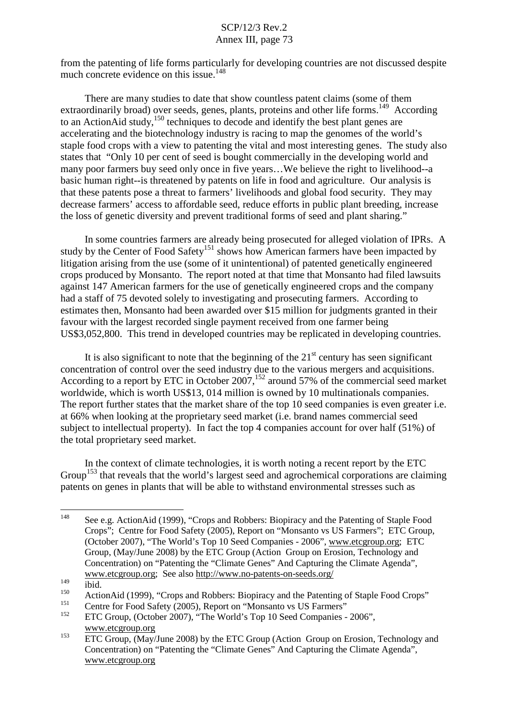from the patenting of life forms particularly for developing countries are not discussed despite much concrete evidence on this issue.<sup>148</sup>

There are many studies to date that show countless patent claims (some of them extraordinarily broad) over seeds, genes, plants, proteins and other life forms.<sup>149</sup> According to an ActionAid study,<sup>150</sup> techniques to decode and identify the best plant genes are accelerating and the biotechnology industry is racing to map the genomes of the world's staple food crops with a view to patenting the vital and most interesting genes. The study also states that "Only 10 per cent of seed is bought commercially in the developing world and many poor farmers buy seed only once in five years…We believe the right to livelihood--a basic human right--is threatened by patents on life in food and agriculture. Our analysis is that these patents pose a threat to farmers' livelihoods and global food security. They may decrease farmers' access to affordable seed, reduce efforts in public plant breeding, increase the loss of genetic diversity and prevent traditional forms of seed and plant sharing."

In some countries farmers are already being prosecuted for alleged violation of IPRs. A study by the Center of Food Safety<sup>151</sup> shows how American farmers have been impacted by litigation arising from the use (some of it unintentional) of patented genetically engineered crops produced by Monsanto. The report noted at that time that Monsanto had filed lawsuits against 147 American farmers for the use of genetically engineered crops and the company had a staff of 75 devoted solely to investigating and prosecuting farmers. According to estimates then, Monsanto had been awarded over \$15 million for judgments granted in their favour with the largest recorded single payment received from one farmer being US\$3,052,800. This trend in developed countries may be replicated in developing countries.

It is also significant to note that the beginning of the  $21<sup>st</sup>$  century has seen significant concentration of control over the seed industry due to the various mergers and acquisitions. According to a report by ETC in October 2007,<sup>152</sup> around 57% of the commercial seed market worldwide, which is worth US\$13, 014 million is owned by 10 multinationals companies. The report further states that the market share of the top 10 seed companies is even greater i.e. at 66% when looking at the proprietary seed market (i.e. brand names commercial seed subject to intellectual property). In fact the top 4 companies account for over half (51%) of the total proprietary seed market.

In the context of climate technologies, it is worth noting a recent report by the ETC Group<sup>153</sup> that reveals that the world's largest seed and agrochemical corporations are claiming patents on genes in plants that will be able to withstand environmental stresses such as

<sup>148</sup> See e.g. ActionAid (1999), "Crops and Robbers: Biopiracy and the Patenting of Staple Food Crops"; Centre for Food Safety (2005), Report on "Monsanto vs US Farmers"; ETC Group, (October 2007), "The World's Top 10 Seed Companies - 2006", www.etcgroup.org; ETC Group, (May/June 2008) by the ETC Group (Action Group on Erosion, Technology and Concentration) on "Patenting the "Climate Genes" And Capturing the Climate Agenda", www.etcgroup.org; See also http://www.no-patents-on-seeds.org/

<sup>149&</sup>lt;br>
150<br>
ActionAid (1999), "Crops and Robbers: Biopiracy and the Patenting of Staple Food Crops"<br>
151<br>
152 ETC Group, (October 2007), "The World's Top 10 Seed Companies - 2006",

www.etcgroup.org

<sup>&</sup>lt;sup>153</sup> ETC Group, (May/June 2008) by the ETC Group (Action Group on Erosion, Technology and Concentration) on "Patenting the "Climate Genes" And Capturing the Climate Agenda", www.etcgroup.org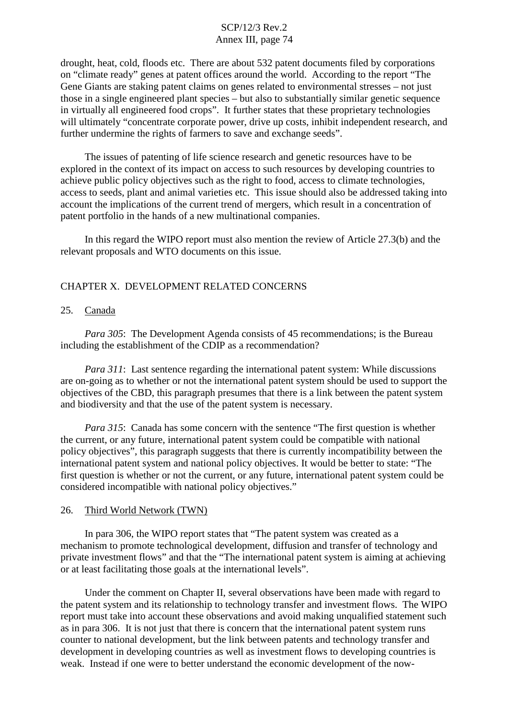# SCP/12/3 Rev.2 Annex III, page 74

drought, heat, cold, floods etc. There are about 532 patent documents filed by corporations on "climate ready" genes at patent offices around the world. According to the report "The Gene Giants are staking patent claims on genes related to environmental stresses – not just those in a single engineered plant species – but also to substantially similar genetic sequence in virtually all engineered food crops". It further states that these proprietary technologies will ultimately "concentrate corporate power, drive up costs, inhibit independent research, and further undermine the rights of farmers to save and exchange seeds".

The issues of patenting of life science research and genetic resources have to be explored in the context of its impact on access to such resources by developing countries to achieve public policy objectives such as the right to food, access to climate technologies, access to seeds, plant and animal varieties etc. This issue should also be addressed taking into account the implications of the current trend of mergers, which result in a concentration of patent portfolio in the hands of a new multinational companies.

In this regard the WIPO report must also mention the review of Article 27.3(b) and the relevant proposals and WTO documents on this issue.

## CHAPTER X. DEVELOPMENT RELATED CONCERNS

#### 25. Canada

*Para 305*: The Development Agenda consists of 45 recommendations; is the Bureau including the establishment of the CDIP as a recommendation?

*Para* 311: Last sentence regarding the international patent system: While discussions are on-going as to whether or not the international patent system should be used to support the objectives of the CBD, this paragraph presumes that there is a link between the patent system and biodiversity and that the use of the patent system is necessary.

*Para 315*: Canada has some concern with the sentence "The first question is whether the current, or any future, international patent system could be compatible with national policy objectives", this paragraph suggests that there is currently incompatibility between the international patent system and national policy objectives. It would be better to state: "The first question is whether or not the current, or any future, international patent system could be considered incompatible with national policy objectives."

#### 26. Third World Network (TWN)

In para 306, the WIPO report states that "The patent system was created as a mechanism to promote technological development, diffusion and transfer of technology and private investment flows" and that the "The international patent system is aiming at achieving or at least facilitating those goals at the international levels".

Under the comment on Chapter II, several observations have been made with regard to the patent system and its relationship to technology transfer and investment flows. The WIPO report must take into account these observations and avoid making unqualified statement such as in para 306. It is not just that there is concern that the international patent system runs counter to national development, but the link between patents and technology transfer and development in developing countries as well as investment flows to developing countries is weak. Instead if one were to better understand the economic development of the now-